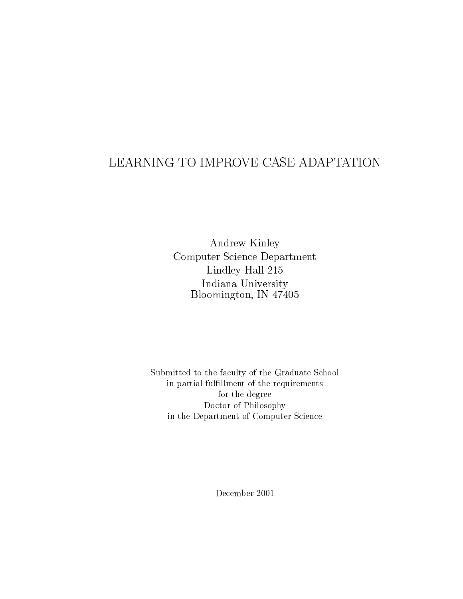Andrew Kinley Computer Science Department Lindley Hall 215 Indiana University Bloomington, IN 47405

Submitted to the faculty of the Graduate School in partial fulllment of the requirements for the degree Doctor of Philosophy in the Department of Computer Science

December 2001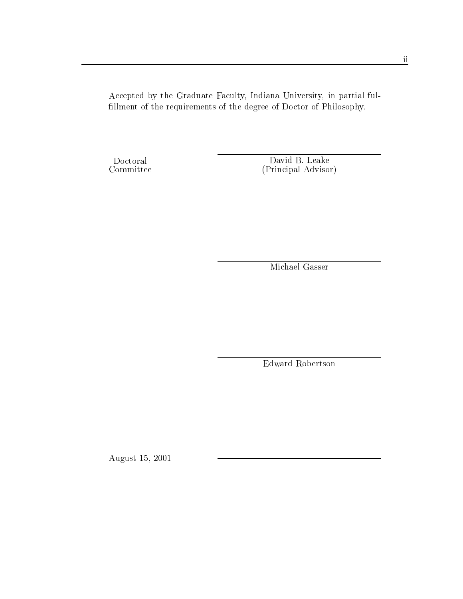Accepted by the Graduate Faculty, Indiana University, in partial ful fillment of the requirements of the degree of Doctor of Philosophy.

David B. Leake (Principal Advisor)

Michael Gasser

Edward Robertson

August 15, 2001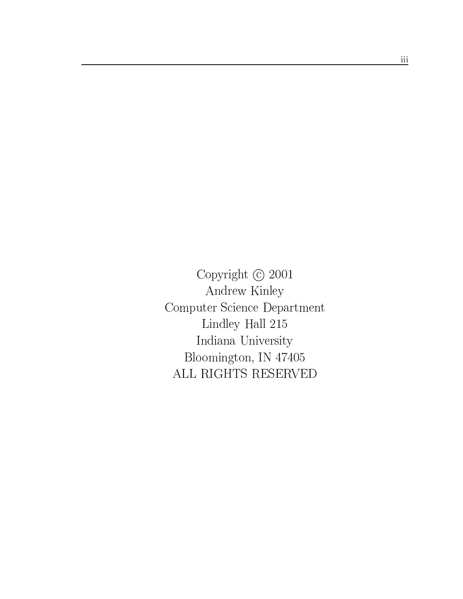Copyright  $\odot$  2001 Andrew Kinley Computer Science Department Lindley Hall 215 Indiana University Bloomington, IN 47405 ALL RIGHTS RESERVED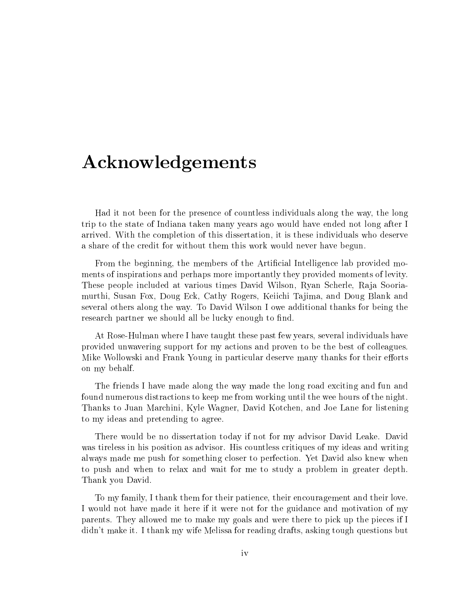## Acknowledgements

Had it not been for the presence of countless individuals along the way, the long trip to the state of Indiana taken many years ago would have ended not long after I arrived. With the completion of this dissertation, it is these individuals who deserve a share of the credit for without them this work would never have begun.

From the beginning, the members of the Artificial Intelligence lab provided moments of inspirations and perhaps more importantly they provided moments of levity. These people included at various times David Wilson, Ryan Scherle, Raja Sooriamurthi, Susan Fox, Doug Eck, Cathy Rogers, Keiichi Tajima, and Doug Blank and several others along the way. To David Wilson I owe additional thanks for being the research partner we should all be lucky enough to find.

At Rose-Hulman where I have taught these past few years, several individuals have provided unwavering support for my actions and proven to be the best of colleagues. Mike Wollowski and Frank Young in particular deserve many thanks for their efforts on my behalf.

The friends I have made along the way made the long road exciting and fun and found numerous distractions to keep me from working until the wee hours of the night. Thanks to Juan Marchini, Kyle Wagner, David Kotchen, and Joe Lane for listening to my ideas and pretending to agree.

There would be no dissertation today if not for my advisor David Leake. David was tireless in his position as advisor. His countless critiques of my ideas and writing always made me push for something closer to perfection. Yet David also knew when to push and when to relax and wait for me to study a problem in greater depth. Thank you David.

To my family, I thank them for their patience, their encouragement and their love. I would not have made it here if it were not for the guidance and motivation of my parents. They allowed me to make my goals and were there to pick up the pieces if I didn't make it. I thank my wife Melissa for reading drafts, asking tough questions but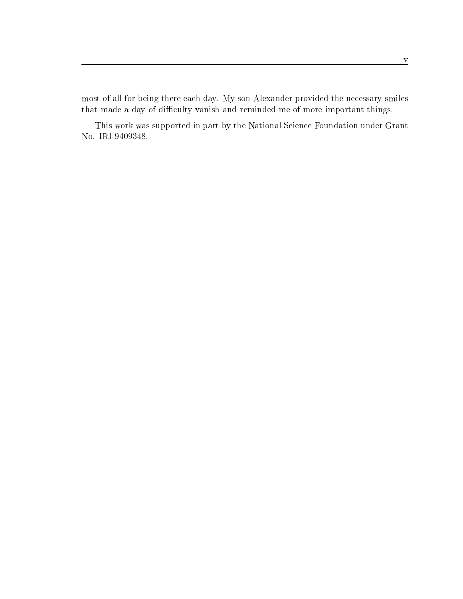most of all for being there each day. My son Alexander provided the necessary smiles that made a day of difficulty vanish and reminded me of more important things.

This work was supported in part by the National Science Foundation under Grant No. IRI-9409348.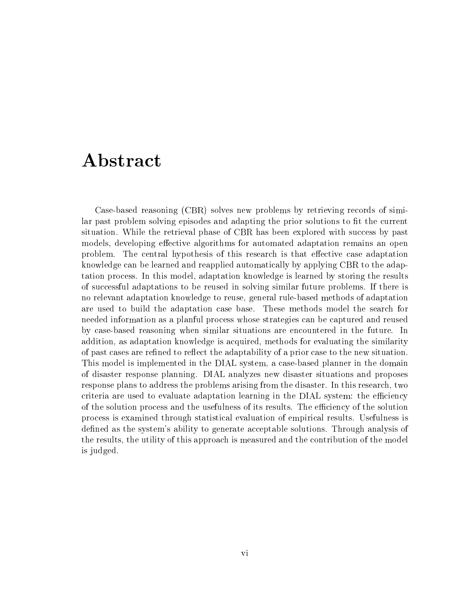# Abstract

Case-based reasoning (CBR) solves new problems by retrieving records of similar past problem solving episodes and adapting the prior solutions to fit the current situation. While the retrieval phase of CBR has been explored with success by past models, developing effective algorithms for automated adaptation remains an open problem. The central hypothesis of this research is that effective case adaptation knowledge can be learned and reapplied automatically by applying CBR to the adaptation process. In this model, adaptation knowledge is learned by storing the results of successful adaptations to be reused in solving similar future problems. If there is no relevant adaptation knowledge to reuse, general rule-based methods of adaptation are used to build the adaptation case base. These methods model the search for needed information as a planful process whose strategies can be captured and reused by case-based reasoning when similar situations are encountered in the future. In addition, as adaptation knowledge is acquired, methods for evaluating the similarity of past cases are refined to reflect the adaptability of a prior case to the new situation. This model is implemented in the DIAL system, a case-based planner in the domain of disaster response planning. DIAL analyzes new disaster situations and proposes response plans to address the problems arising from the disaster. In this research, two criteria are used to evaluate adaptation learning in the DIAL system: the efficiency of the solution process and the usefulness of its results. The efficiency of the solution process is examined through statistical evaluation of empirical results. Usefulness is defined as the system's ability to generate acceptable solutions. Through analysis of the results, the utility of this approach is measured and the contribution of the model is judged.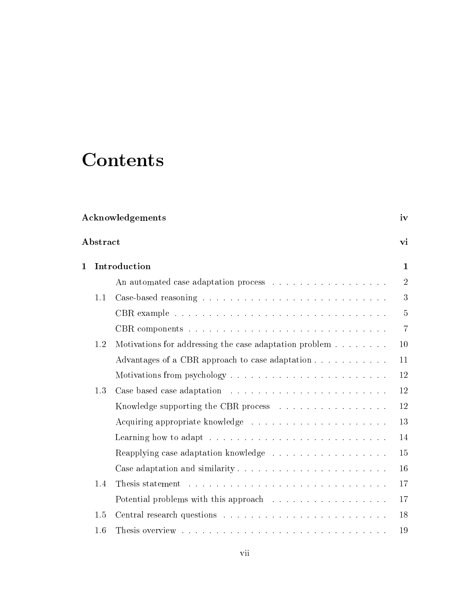# **Contents**

| Acknowledgements |     |                                                                                 | iv             |  |
|------------------|-----|---------------------------------------------------------------------------------|----------------|--|
| Abstract         |     |                                                                                 | vi             |  |
| $\mathbf{1}$     |     | Introduction                                                                    |                |  |
|                  |     |                                                                                 | $\overline{2}$ |  |
|                  | 1.1 |                                                                                 | 3              |  |
|                  |     |                                                                                 | 5              |  |
|                  |     |                                                                                 | $\overline{7}$ |  |
|                  | 1.2 | Motivations for addressing the case adaptation problem                          | 10             |  |
|                  |     | Advantages of a CBR approach to case adaptation                                 | 11             |  |
|                  |     |                                                                                 | 12             |  |
|                  | 1.3 |                                                                                 | 12             |  |
|                  |     | Knowledge supporting the CBR process $\ldots \ldots \ldots \ldots \ldots$       | 12             |  |
|                  |     |                                                                                 | 13             |  |
|                  |     | Learning how to adapt $\ldots \ldots \ldots \ldots \ldots \ldots \ldots \ldots$ | 14             |  |
|                  |     |                                                                                 | 15             |  |
|                  |     |                                                                                 | 16             |  |
|                  | 1.4 |                                                                                 | 17             |  |
|                  |     |                                                                                 | 17             |  |
|                  | 1.5 |                                                                                 | 18             |  |
|                  |     |                                                                                 |                |  |

1.6 Thesis overview . . . .. . . . . . . . . . . . . . . . . . . . . . . . . . 19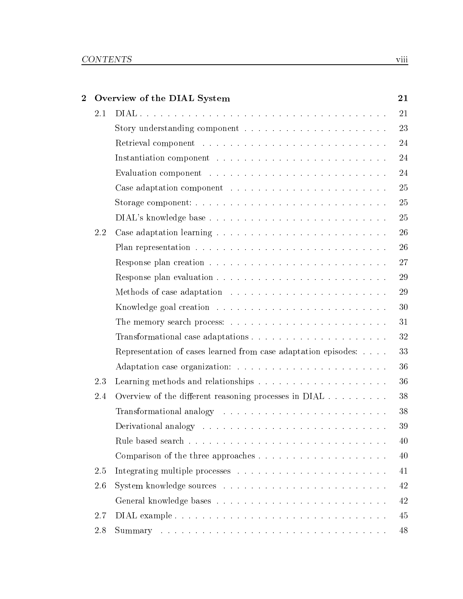| $\overline{2}$ |     | Overview of the DIAL System                                                   | 21 |
|----------------|-----|-------------------------------------------------------------------------------|----|
|                | 2.1 |                                                                               | 21 |
|                |     |                                                                               | 23 |
|                |     |                                                                               | 24 |
|                |     |                                                                               | 24 |
|                |     |                                                                               | 24 |
|                |     |                                                                               | 25 |
|                |     |                                                                               | 25 |
|                |     |                                                                               | 25 |
|                | 2.2 |                                                                               | 26 |
|                |     |                                                                               | 26 |
|                |     |                                                                               | 27 |
|                |     |                                                                               | 29 |
|                |     | Methods of case adaptation $\ldots \ldots \ldots \ldots \ldots \ldots \ldots$ | 29 |
|                |     |                                                                               | 30 |
|                |     |                                                                               | 31 |
|                |     |                                                                               | 32 |
|                |     | Representation of cases learned from case adaptation episodes:                | 33 |
|                |     |                                                                               | 36 |
|                | 2.3 |                                                                               | 36 |
|                | 2.4 | Overview of the different reasoning processes in DIAL                         | 38 |
|                |     |                                                                               | 38 |
|                |     |                                                                               | 39 |
|                |     |                                                                               | 40 |
|                |     |                                                                               | 40 |
|                | 2.5 |                                                                               | 41 |
|                | 2.6 |                                                                               | 42 |
|                |     |                                                                               | 42 |
|                | 2.7 |                                                                               | 45 |
|                | 2.8 |                                                                               | 48 |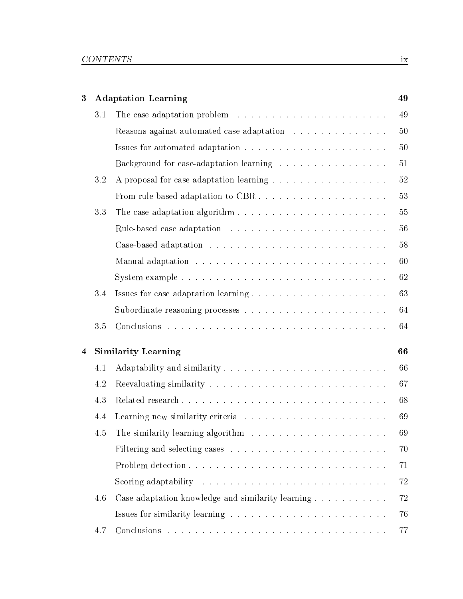| $\boldsymbol{3}$        |     | <b>Adaptation Learning</b>                                                                  | 49 |
|-------------------------|-----|---------------------------------------------------------------------------------------------|----|
|                         | 3.1 |                                                                                             | 49 |
|                         |     | Reasons against automated case adaptation                                                   | 50 |
|                         |     |                                                                                             | 50 |
|                         |     | Background for case-adaptation learning                                                     | 51 |
|                         | 3.2 |                                                                                             | 52 |
|                         |     |                                                                                             | 53 |
|                         | 3.3 |                                                                                             | 55 |
|                         |     |                                                                                             | 56 |
|                         |     |                                                                                             | 58 |
|                         |     |                                                                                             | 60 |
|                         |     |                                                                                             | 62 |
|                         | 3.4 |                                                                                             | 63 |
|                         |     |                                                                                             | 64 |
|                         | 3.5 |                                                                                             | 64 |
| $\overline{\mathbf{4}}$ |     | <b>Similarity Learning</b>                                                                  | 66 |
|                         | 4.1 | Adaptability and similarity                                                                 | 66 |
|                         | 4.2 |                                                                                             | 67 |
|                         | 4.3 | Related research                                                                            | 68 |
|                         | 4.4 |                                                                                             | 69 |
|                         | 4.5 | The similarity learning algorithm $\;\ldots\; \ldots\; \ldots\; \ldots\; \ldots\; \ldots\;$ | 69 |
|                         |     |                                                                                             | 70 |
|                         |     |                                                                                             | 71 |
|                         |     |                                                                                             |    |
|                         |     | Scoring adaptability $\ldots \ldots \ldots \ldots \ldots \ldots \ldots \ldots \ldots$       | 72 |
|                         | 4.6 | Case adaptation knowledge and similarity learning                                           | 72 |
|                         |     |                                                                                             | 76 |
|                         | 4.7 |                                                                                             | 77 |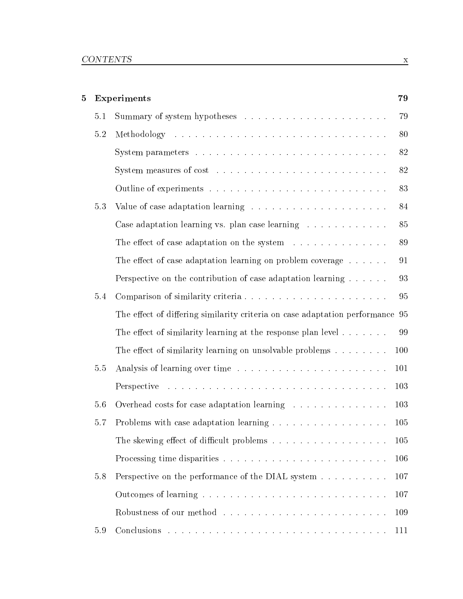| 5 |         | Experiments                                                                   | 79  |
|---|---------|-------------------------------------------------------------------------------|-----|
|   | 5.1     |                                                                               | 79  |
|   | $5.2\,$ |                                                                               | 80  |
|   |         |                                                                               | 82  |
|   |         |                                                                               | 82  |
|   |         |                                                                               | 83  |
|   | 5.3     | Value of case adaptation learning                                             | 84  |
|   |         | Case adaptation learning vs. plan case learning                               | 85  |
|   |         | The effect of case adaptation on the system                                   | 89  |
|   |         | The effect of case adaptation learning on problem coverage $\dots \dots$      | 91  |
|   |         | Perspective on the contribution of case adaptation learning                   | 93  |
|   | 5.4     | Comparison of similarity criteria                                             | 95  |
|   |         | The effect of differing similarity criteria on case adaptation performance 95 |     |
|   |         | The effect of similarity learning at the response plan level $\dots \dots$    | 99  |
|   |         | The effect of similarity learning on unsolvable problems $\dots \dots$        | 100 |
|   | 5.5     |                                                                               | 101 |
|   |         |                                                                               | 103 |
|   | 5.6     | Overhead costs for case adaptation learning                                   | 103 |
|   | 5.7     |                                                                               | 105 |
|   |         | The skewing effect of difficult problems                                      | 105 |
|   |         |                                                                               | 106 |
|   | 5.8     | Perspective on the performance of the DIAL system                             | 107 |
|   |         |                                                                               | 107 |
|   |         |                                                                               | 109 |
|   | 5.9     |                                                                               | 111 |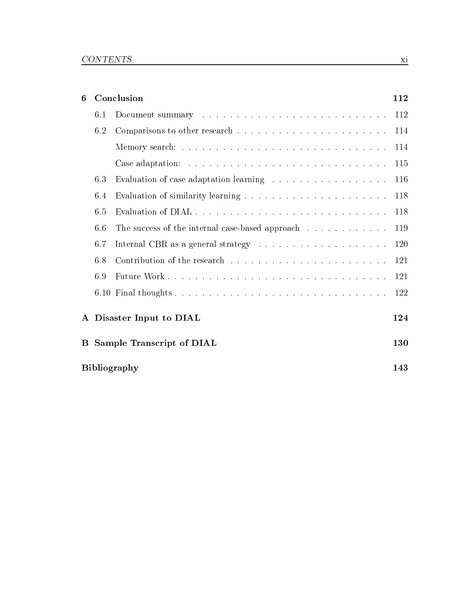| 6            |     | Conclusion                                      | 112  |
|--------------|-----|-------------------------------------------------|------|
|              | 6.1 |                                                 | 112  |
|              | 6.2 |                                                 | 114  |
|              |     |                                                 | 114  |
|              |     |                                                 | 115  |
|              | 6.3 |                                                 | 116  |
|              | 6.4 |                                                 | 118  |
|              | 6.5 |                                                 | 118  |
|              | 6.6 | The success of the internal case-based approach | 119  |
|              | 6.7 |                                                 | 120  |
|              | 6.8 |                                                 | 121  |
|              | 6.9 |                                                 | -121 |
|              |     |                                                 | 122  |
| $\mathbf{A}$ |     | Disaster Input to DIAL                          | 124  |
| B            |     | <b>Sample Transcript of DIAL</b>                | 130  |
|              |     | <b>Bibliography</b>                             | 143  |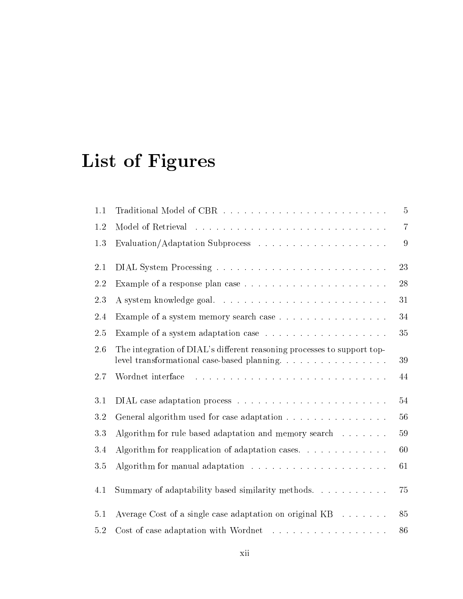# List of Figures

| 1.1     |                                                                                                                                                                                                                                                    | $\overline{5}$ |
|---------|----------------------------------------------------------------------------------------------------------------------------------------------------------------------------------------------------------------------------------------------------|----------------|
| 1.2     |                                                                                                                                                                                                                                                    | $\overline{7}$ |
| 1.3     |                                                                                                                                                                                                                                                    | $\overline{9}$ |
| 2.1     |                                                                                                                                                                                                                                                    | 23             |
| 2.2     |                                                                                                                                                                                                                                                    | 28             |
| 2.3     |                                                                                                                                                                                                                                                    | 31             |
| 2.4     | Example of a system memory search case                                                                                                                                                                                                             | 34             |
| 2.5     |                                                                                                                                                                                                                                                    | 35             |
| 2.6     | The integration of DIAL's different reasoning processes to support top-<br>level transformational case-based planning.                                                                                                                             | 39             |
| 2.7     | and a construction of the construction of the construction of the construction of the construction of the construction of the construction of the construction of the construction of the construction of the construction of<br>Wordnet interface | 44             |
| 3.1     |                                                                                                                                                                                                                                                    | 54             |
| 3.2     | General algorithm used for case adaptation                                                                                                                                                                                                         | 56             |
| 3.3     | Algorithm for rule based adaptation and memory search                                                                                                                                                                                              | 59             |
| 3.4     | Algorithm for reapplication of adaptation cases. $\ldots$                                                                                                                                                                                          | 60             |
| 3.5     | Algorithm for manual adaptation $\ldots \ldots \ldots \ldots \ldots \ldots$                                                                                                                                                                        | 61             |
| 4.1     | Summary of adaptability based similarity methods.                                                                                                                                                                                                  | 75             |
| 5.1     | Average Cost of a single case adaptation on original $KB \dots \dots$                                                                                                                                                                              | 85             |
| $5.2\,$ |                                                                                                                                                                                                                                                    | 86             |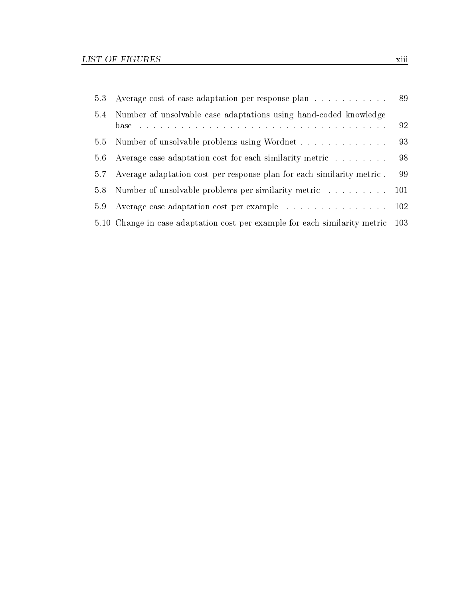|     | 5.3 Average cost of case adaptation per response plan 89                       |    |
|-----|--------------------------------------------------------------------------------|----|
| 5.4 | Number of unsolvable case adaptations using hand-coded knowledge               | 92 |
| 5.5 | Number of unsolvable problems using Wordnet                                    | 93 |
| 5.6 | Average case adaptation cost for each similarity metric                        | 98 |
| 5.7 | Average adaptation cost per response plan for each similarity metric.          | 99 |
| 5.8 | Number of unsolvable problems per similarity metric 101                        |    |
| 5.9 | Average case adaptation cost per example 102                                   |    |
|     | 5.10 Change in case adaptation cost per example for each similarity metric 103 |    |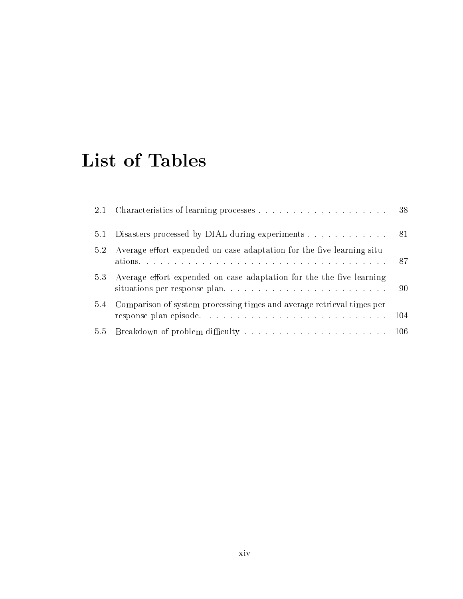# List of Tables

| 2.1 |                                                                        |  |
|-----|------------------------------------------------------------------------|--|
| 5.1 | Disasters processed by DIAL during experiments 81                      |  |
| 5.2 | Average effort expended on case adaptation for the five learning situ- |  |
| 5.3 | Average effort expended on case adaptation for the the five learning   |  |
| 5.4 | Comparison of system processing times and average retrieval times per  |  |
|     |                                                                        |  |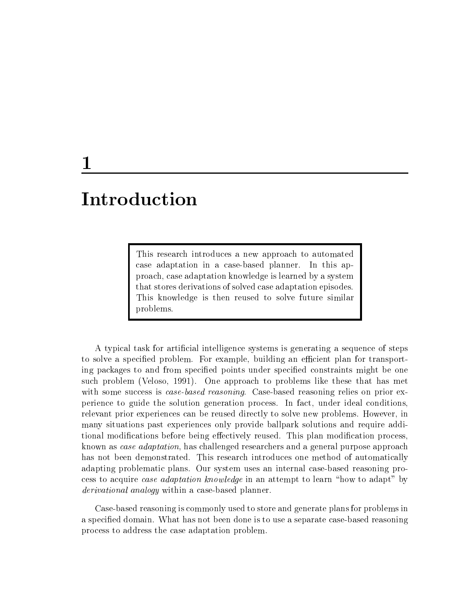## 1

# Introduction

This research introduces a new approach to automated case adaptation in a case-based planner. In this approach, case adaptation knowledge is learned by a system that stores derivations of solved case adaptation episodes. This knowledge is then reused to solve future similar problems.

A typical task for articial intelligence systems is generating a sequence of steps to solve a specified problem. For example, building an efficient plan for transporting packages to and from specified points under specified constraints might be one such problem (Veloso, 1991). One approach to problems like these that has met with some success is *case-based reasoning*. Case-based reasoning relies on prior experience to guide the solution generation process. In fact, under ideal conditions, relevant prior experiences can be reused directly to solve new problems. However, in many situations past experiences only provide ballpark solutions and require additional modifications before being effectively reused. This plan modification process, known as case adaptation, has challenged researchers and a general purpose approach has not been demonstrated. This research introduces one method of automatically adapting problematic plans. Our system uses an internal case-based reasoning process to acquire *case adaptation knowledge* in an attempt to learn "how to adapt" by derivational analogy within a case-based planner.

Case-based reasoning is commonly used to store and generate plans for problems in a specied domain. What has not been done is to use a separate case-based reasoning process to address the case adaptation problem.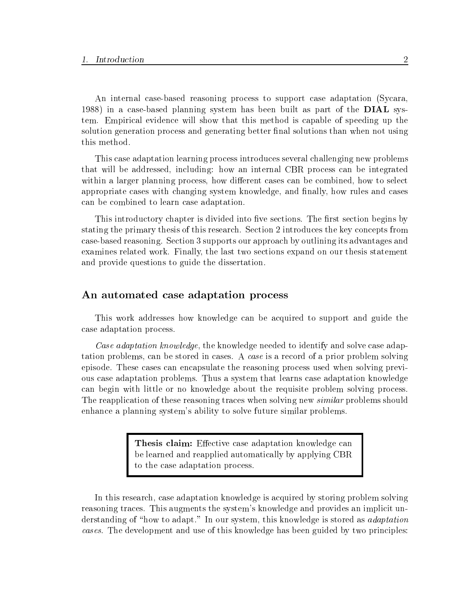An internal case-based reasoning process to support case adaptation (Sycara, 1988) in a case-based planning system has been built as part of the DIAL system. Empirical evidence will show that this method is capable of speeding up the solution generation process and generating better final solutions than when not using this method.

This case adaptation learning process introduces several challenging new problems that will be addressed, including: how an internal CBR process can be integrated within a larger planning process, how different cases can be combined, how to select appropriate cases with changing system knowledge, and finally, how rules and cases can be combined to learn case adaptation.

This introductory chapter is divided into five sections. The first section begins by stating the primary thesis of this research. Section 2 introduces the key concepts from case-based reasoning. Section 3 supports our approach by outlining its advantages and examines related work. Finally, the last two sections expand on our thesis statement and provide questions to guide the dissertation.

#### An automated case adaptation process

This work addresses how knowledge can be acquired to support and guide the case adaptation process.

Case adaptation knowledge, the knowledge needed to identify and solve case adaptation problems, can be stored in cases. A caseis a record of a prior problem solving episode. These cases can encapsulate the reasoning process used when solving previous case adaptation problems. Thus a system that learns case adaptation knowledge can begin with little or no knowledge about the requisite problem solving process. The reapplication of these reasoning traces when solving new *similar* problems should enhance a planning system's ability to solve future similar problems.

> Thesis claim: Effective case adaptation knowledge can be learned and reapplied automatically by applying CBR to the case adaptation process.

In this research, case adaptation knowledge is acquired by storing problem solving reasoning traces. This augments the system's knowledge and provides an implicit understanding of "how to adapt." In our system, this knowledge is stored as *adaptation* cases. The development and use of this knowledge has been guided by two principles: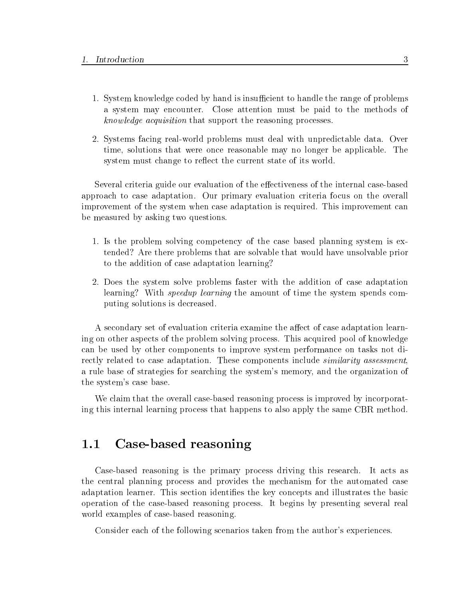- 1. System knowledge coded by hand is insufficient to handle the range of problems a system mayencounter. Close attention must be paid to the methods of knowledge acquisition that support the reasoning processes.
- 2. Systems facing real-world problems must deal with unpredictable data. Over time, solutions that were once reasonable may no longer be applicable. The system must change to reflect the current state of its world.

Several criteria guide our evaluation of the effectiveness of the internal case-based approach to case adaptation. Our primary evaluation criteria focus on the overall improvement of the system when case adaptation is required. This improvement can be measured by asking two questions.

- 1. Is the problem solving competency of the case based planning system is extended? Are there problems that are solvable that would have unsolvable prior to the addition of case adaptation learning?
- 2. Does the system solve problems faster with the addition of case adaptation learning? With *speedup learning* the amount of time the system spends computing solutions is decreased.

A secondary set of evaluation criteria examine the affect of case adaptation learning on other aspects of the problem solving process. This acquired pool of knowledge can be used by other components to improve system performance on tasks not directly related to case adaptation. These components include *similarity assessment*. a rule base of strategies for searching the system's memory, and the organization of the system's case base.

We claim that the overall case-based reasoning process is improved by incorporating this internal learning process that happens to also apply the same CBR method.

#### $1.1$ Case-based reasoning

Case-based reasoning is the primary process driving this research. It acts as the central planning process and provides the mechanism for the automated case adaptation learner. This section identifies the key concepts and illustrates the basic operation of the case-based reasoning process. It begins by presenting several real world examples of case-based reasoning.

Consider each of the following scenarios taken from the author's experiences.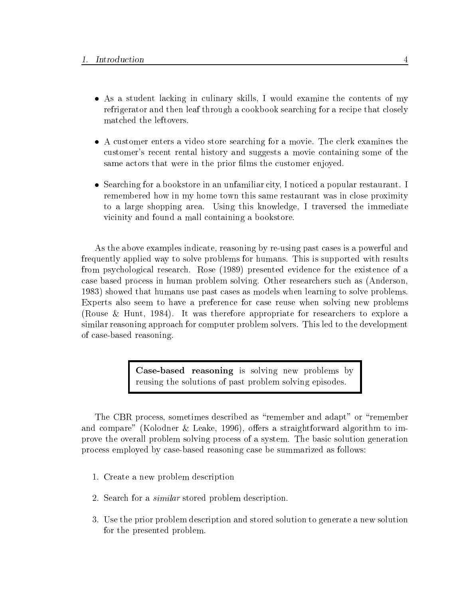- As a student lacking in culinary skills, I would examine the contents of my refrigerator and then leaf through a cookbook searching for a recipe that closely matched the leftovers.
- A customer enters a video store searching for a movie. The clerk examines the customer's recent rental history and suggests a movie containing some of the same actors that were in the prior films the customer enjoyed.
- Searching for a bookstore in an unfamiliar city, I noticed a popular restaurant. I remembered how in my home town this same restaurant was in close proximity to a large shopping area. Using this knowledge, I traversed the immediate vicinity and found a mall containing a bookstore.

As the above examples indicate, reasoning by re-using past cases is a powerful and frequently applied way to solve problems for humans. This is supported with results from psychological research. Rose (1989) presented evidence for the existence of a case based process in human problem solving. Other researchers such as(Anderson, 1983) showed that humans use past cases as models when learning to solve problems. Experts also seem to have a preference for case reuse when solving new problems (Rouse & Hunt, 1984). It was therefore appropriate for researchers to explore a similar reasoning approach for computer problem solvers. This led to the development of case-based reasoning.

> Case-based reasoning is solving new problems by reusing the solutions of past problem solving episodes.

The CBR process, sometimes described as "remember and adapt" or "remember and compare" (Kolodner & Leake, 1996), offers a straightforward algorithm to improve the overall problem solving process of a system. The basic solution generation process employed by case-based reasoning case be summarized as follows:

- 1. Create a new problem description
- 2. Search for a similar stored problem description.
- 3. Use the prior problem description and stored solution to generate a new solution for the presented problem.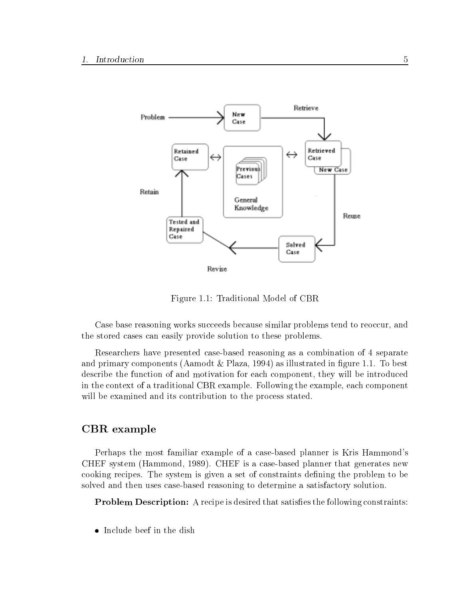

Figure 1.1: Traditional Model of CBR

Case base reasoning works succeeds because similar problems tend to reoccur, and the stored cases can easily provide solution to these problems.

Researchers have presented case-based reasoning as a combination of 4 separate and primary components (Aamodt  $\&$  Plaza, 1994) as illustrated in figure 1.1. To best describe the function of and motivation for each component, they will be introduced in the context of a traditional CBR example. Following the example, each component will be examined and its contribution to the process stated.

#### CBR example

Perhaps the most familiar example of a case-based planner is Kris Hammond's CHEF system (Hammond, 1989). CHEF is a case-based planner that generates new cooking recipes. The system is given a set of constraints defining the problem to be solved and then uses case-based reasoning to determine a satisfactory solution.

**Problem Description:** A recipe is desired that satisfies the following constraints:

• Include beef in the dish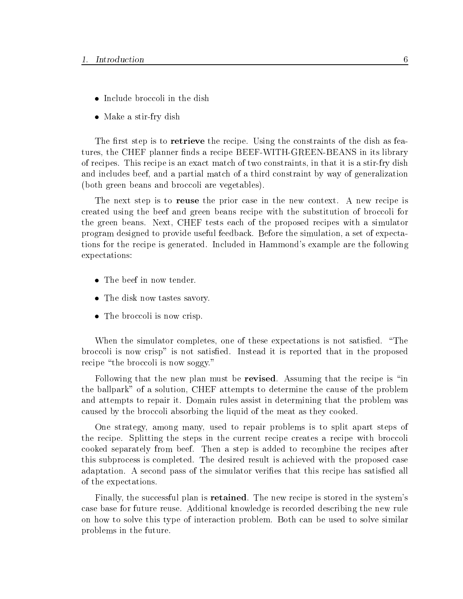- Include broccoli in the dish
- Make a stir-fry dish

The first step is to retrieve the recipe. Using the constraints of the dish as features, the CHEF planner finds a recipe BEEF-WITH-GREEN-BEANS in its library of recipes. This recipe is an exact match of two constraints, in that it is a stir-fry dish and includes beef, and a partial match of a third constraint by way of generalization (both green beans and broccoli are vegetables).

The next step is to reuse the prior case in the new context. A new recipe is created using the beef and green beans recipe with the substitution of broccoli for the green beans. Next, CHEF tests each of the proposed recipes with a simulator program designed to provide useful feedback. Before the simulation, a set of expectations for the recipe is generated. Included in Hammond's example are the following expectations:

- $\bullet$  The beef in now tender.
- The disk now tastes savory.
- The broccoli is now crisp.

When the simulator completes, one of these expectations is not satisfied. "The broccoli is now crisp" is not satised. Instead itis reported that in the proposed recipe "the broccoli is now soggy."

Following that the new plan must be revised. Assuming that the recipe is "in the ballpark" of a solution, CHEF attempts to determine the cause of the problem and attempts to repair it. Domain rules assist in determining that the problem was caused by the broccoli absorbing the liquid of the meat as they cooked.

One strategy, among many, used to repair problems is to split apart steps of the recipe. Splitting the steps in the current recipe creates a recipe with broccoli cooked separately from beef. Then a step is added to recombine the recipes after this subprocess is completed. The desired result is achieved with the proposed case adaptation. A second pass of the simulator verifies that this recipe has satisfied all of the expectations.

Finally, the successful plan is retained. The new recipe is stored in the system's case base for future reuse. Additional knowledge is recorded describing the new rule on how to solve this type of interaction problem. Both can be used to solve similar problems in the future.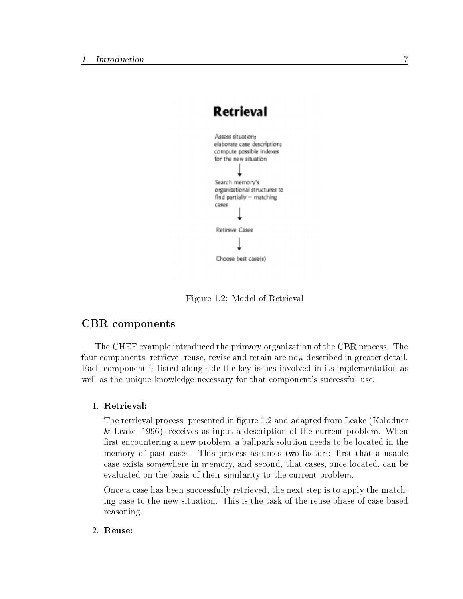

Figure 1.2: Model of Retrieval

#### CBR components

The CHEF example introduced the primary organization of the CBR process. The four components, retrieve, reuse, revise and retain are now described in greater detail. Each component is listed along side the key issues involved in its implementation as well as the unique knowledge necessary for that component's successful use.

1. Retrieval:

The retrieval process, presented in figure 1.2 and adapted from Leake (Kolodner & Leake, 1996), receives as input a description of the current problem. When first encountering a new problem, a ballpark solution needs to be located in the memory of past cases. This process assumes two factors: first that a usable case exists somewhere in memory, and second, that cases, once located, can be evaluated on the basis of their similarity to the current problem.

Once a case has been successfully retrieved, the next step is to apply the matching case to the new situation. This is the task of the reuse phase of case-based reasoning.

2. Reuse: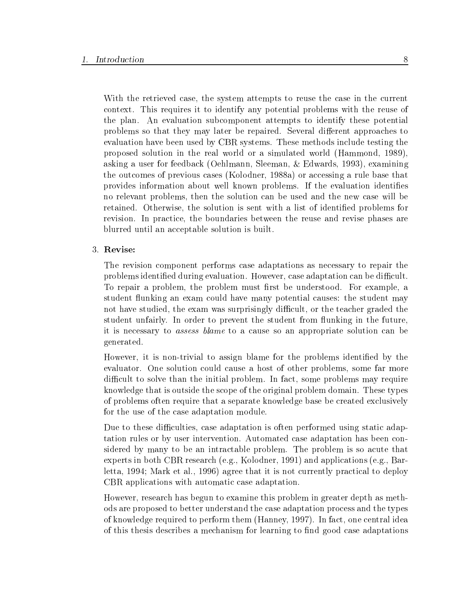With the retrieved case, the system attempts to reuse the case in the current context. This requires it to identify any potential problems with the reuse of the plan. An evaluation subcomponent attempts to identify these potential problems so that they may later be repaired. Several different approaches to evaluation have been used by CBR systems. These methods include testing the proposed solution in the real world or a simulated world (Hammond, 1989), asking a user for feedback (Oehlmann, Sleeman, & Edwards, 1993), examining the outcomes of previous cases (Kolodner, 1988a) or accessing a rule base that provides information about well known problems. If the evaluation identies no relevant problems, then the solution can be used and the new case will be retained. Otherwise, the solution is sent with a list of identified problems for revision. In practice, the boundaries between the reuse and revise phases are blurred until an acceptable solution is built.

#### 3. Revise:

The revision component performs case adaptations as necessary to repair the problems identified during evaluation. However, case adaptation can be difficult. To repair a problem, the problem must first be understood. For example, a student flunking an exam could have many potential causes: the student may not have studied, the exam was surprisingly difficult, or the teacher graded the student unfairly. In order to prevent the student from flunking in the future, it is necessary to assess blame to a cause so an appropriate solution can be generated.

However, it is non-trivial to assign blame for the problems identified by the evaluator. One solution could cause a host of other problems, some far more difficult to solve than the initial problem. In fact, some problems may require knowledge that is outside the scope of the original problem domain. These types of problems often require that a separate knowledge base be created exclusively for the use of the case adaptation module.

Due to these difficulties, case adaptation is often performed using static adaptation rules or by user intervention. Automated case adaptation has been considered by many to be an intractable problem. The problem is so acute that experts in both CBR research (e.g., Kolodner, 1991) and applications (e.g., Barletta, 1994; Mark et al., 1996) agree that it is not currently practical to deploy CBR applications with automatic case adaptation.

However, research has begun to examine this problem in greater depth as methods are proposed to better understand the case adaptation process and the types of knowledge required to perform them (Hanney, 1997). In fact, one central idea of this thesis describes a mechanism for learning to find good case adaptations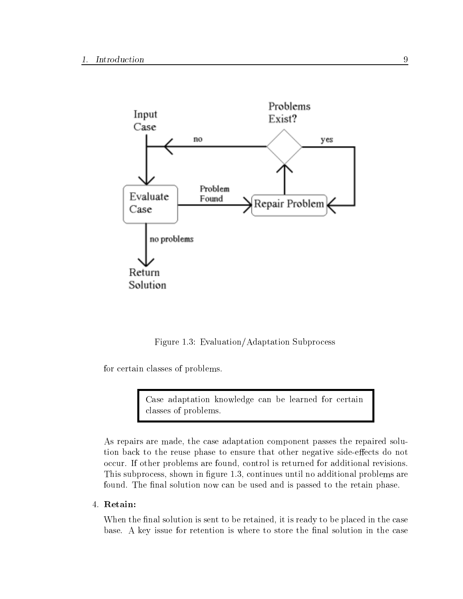

Figure 1.3: Evaluation/Adaptation Subprocess

for certain classes of problems.

Case adaptation knowledge can be learned for certain classes of problems.

As repairs are made, the case adaptation component passes the repaired solution back to the reuse phase to ensure that other negative side-effects do not occur. If other problems are found, control is returned for additional revisions. This subprocess, shown in figure 1.3, continues until no additional problems are found. The final solution now can be used and is passed to the retain phase.

#### 4. Retain:

When the final solution is sent to be retained, it is ready to be placed in the case base. A key issue for retention is where to store the final solution in the case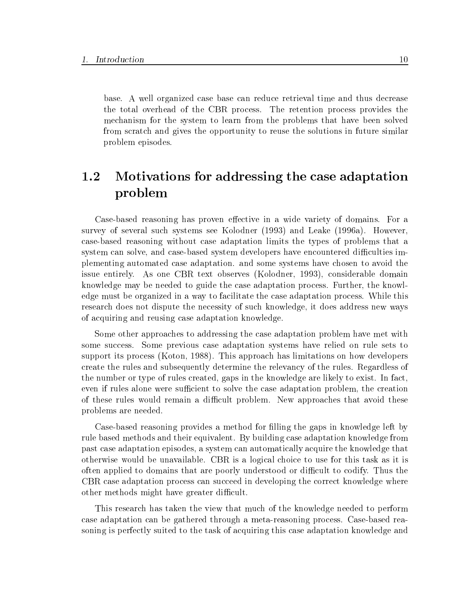base. A well organized case base can reduce retrieval time and thus decrease the total overhead of the CBR process. The retention process provides the mechanism for the system to learn from the problems that have been solved from scratch and gives the opportunity to reuse the solutions in future similar problem episodes.

#### $1.2$ Motivations for addressing the case adaptation problem

Case-based reasoning has proven effective in a wide variety of domains. For a survey of several such systems see Kolodner (1993) and Leake (1996a). However, case-based reasoning without case adaptation limits the types of problems that a system can solve, and case-based system developers have encountered difficulties implementing automated case adaptation. and some systems have chosen to avoid the issue entirely. As one CBR text observes (Kolodner, 1993), considerable domain knowledge may be needed to guide the case adaptation process. Further, the knowledge must be organized in a way to facilitate the case adaptation process. While this research does not dispute the necessity of such knowledge, it does address new ways of acquiring and reusing case adaptation knowledge.

Some other approaches to addressing the case adaptation problem have met with some success. Some previous case adaptation systems have relied on rule sets to support its process (Koton, 1988). This approach has limitations on how developers create the rules and subsequently determine the relevancy of the rules. Regardless of the number or type of rules created, gaps in the knowledge are likely to exist. In fact, even if rules alone were sufficient to solve the case adaptation problem, the creation of these rules would remain a difficult problem. New approaches that avoid these problems are needed.

Case-based reasoning provides a method for lling the gaps in knowledge left by rule based methods and their equivalent. By building case adaptation knowledge from past case adaptation episodes, a system can automatically acquire the knowledge that otherwise would be unavailable. CBR is a logical choice to use for this task as it is often applied to domains that are poorly understood or difficult to codify. Thus the CBR case adaptation process can succeed in developing the correct knowledge where other methods might have greater difficult.

This research has taken the view that much of the knowledge needed to perform case adaptation can be gathered through a meta-reasoning process. Case-based reasoning is perfectly suited to the task of acquiring this case adaptation knowledge and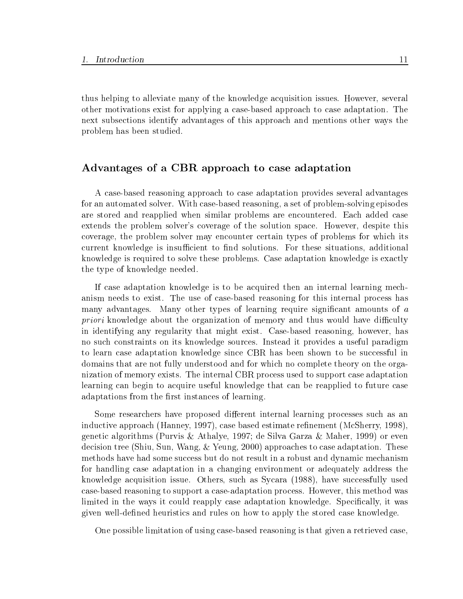thus helping to alleviate many of the knowledge acquisition issues. However, several other motivations exist for applying a case-based approach to case adaptation. The next subsections identify advantages of this approach and mentions other ways the problem has been studied.

#### Advantages of a CBR approach to case adaptation

A case-based reasoning approach to case adaptation provides several advantages for an automated solver. With case-based reasoning, a set of problem-solving episodes are stored and reapplied when similar problems are encountered. Each added case extends the problem solver's coverage of the solution space. However, despite this coverage, the problem solver may encounter certain types of problems for which its current knowledge is insufficient to find solutions. For these situations, additional knowledge is required to solve these problems. Case adaptation knowledge is exactly the type of knowledge needed.

If case adaptation knowledge is to be acquired then an internal learning mechanism needs to exist. The use of case-based reasoning for this internal process has many advantages. Many other types of learning require significant amounts of a  $priori$  knowledge about the organization of memory and thus would have difficulty in identifying any regularity that might exist. Case-based reasoning, however, has no such constraints on its knowledge sources. Instead it provides a useful paradigm to learn case adaptation knowledge since CBR has been shown to be successful in domains that are not fully understood and for which no complete theory on the organization of memory exists. The internal CBR process used to support case adaptation learning can begin to acquire useful knowledge that can be reapplied to future case adaptations from the first instances of learning.

Some researchers have proposed different internal learning processes such as an inductive approach (Hanney, 1997), case based estimate refinement (McSherry, 1998), genetic algorithms (Purvis & Athalye, 1997; de Silva Garza & Maher, 1999) or even decision tree (Shiu, Sun, Wang, & Yeung, 2000) approaches to case adaptation. These methods have had some success but do not result in a robust and dynamic mechanism for handling case adaptation in a changing environment or adequately address the knowledge acquisition issue. Others, such as Sycara (1988), have successfully used case-based reasoning to support a case-adaptation process. However, this method was limited in the ways it could reapply case adaptation knowledge. Specifically, it was given well-dened heuristics and rules on how to apply the stored case knowledge.

One possible limitation of using case-based reasoning is that given a retrieved case,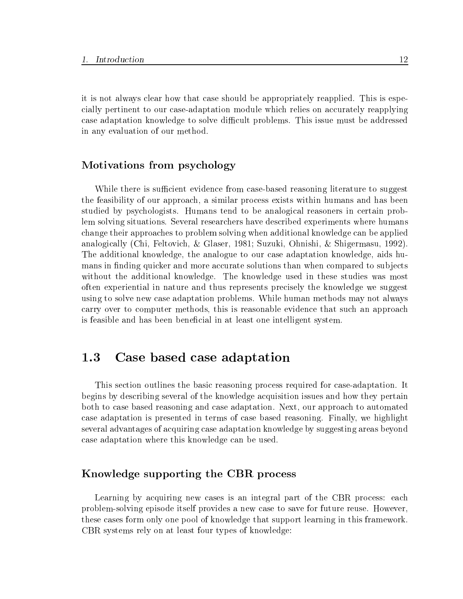it is not always clear how that case should be appropriately reapplied. This is especially pertinent to our case-adaptation module which relies on accurately reapplying case adaptation knowledge to solve difficult problems. This issue must be addressed in any evaluation of our method.

#### Motivations from psychology

While there is sufficient evidence from case-based reasoning literature to suggest the feasibility of our approach, a similar process exists within humans and has been studied by psychologists. Humans tend to be analogical reasoners in certain problem solving situations. Several researchers have described experiments where humans change their approaches to problem solving when additional knowledge can be applied analogically (Chi, Feltovich, & Glaser, 1981; Suzuki, Ohnishi, & Shigermasu, 1992). The additional knowledge, the analogue to our case adaptation knowledge, aids humans in finding quicker and more accurate solutions than when compared to subjects without the additional knowledge. The knowledge used in these studies was most often experiential in nature and thus represents precisely the knowledge we suggest using to solve new case adaptation problems. While human methods may not always carry over to computer methods, this is reasonable evidence that such an approach is feasible and has been beneficial in at least one intelligent system.

## 1.3 Case based case adaptation

This section outlines the basic reasoning process required for case-adaptation. It begins by describing several of the knowledge acquisition issues and how they pertain both to case based reasoning and case adaptation. Next, our approach to automated case adaptation is presented in terms of case based reasoning. Finally, we highlight several advantages of acquiring case adaptation knowledge by suggesting areas beyond case adaptation where this knowledge can be used.

### Knowledge supporting the CBR process

Learning by acquiring new cases is an integral part of the CBR process: each problem-solving episode itself provides a new case to save for future reuse. However, these cases form only one pool of knowledge that support learning in this framework. CBR systems rely on at least four types of knowledge: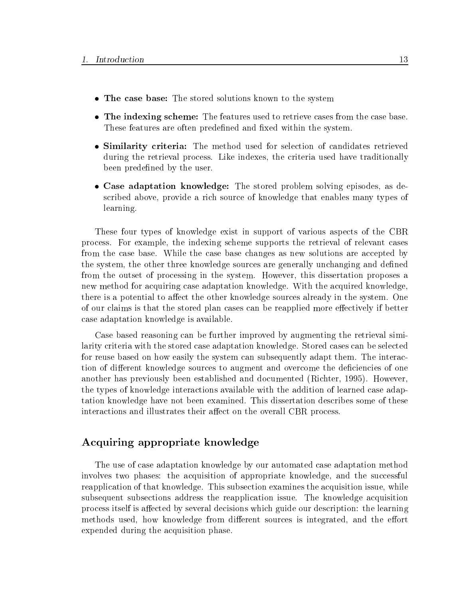- The case base: The stored solutions known to the system
- The indexing scheme: The features used to retrieve cases from the case base. These features are often predefined and fixed within the system.
- Similarity criteria: The method used for selection of candidates retrieved during the retrieval process. Like indexes, the criteria used have traditionally been predefined by the user.
- Case adaptation knowledge: The stored problem solving episodes, as described above, provide a rich source of knowledge that enables many types of learning.

These four types of knowledge exist in support of various aspects of the CBR process. For example, the indexing scheme supports the retrieval of relevant cases from the case base. While the case base changes as new solutions are accepted by the system, the other three knowledge sources are generally unchanging and defined from the outset of processing in the system. However, this dissertation proposes a new method for acquiring case adaptation knowledge. With the acquired knowledge, there is a potential to affect the other knowledge sources already in the system. One of our claims is that the stored plan cases can be reapplied more effectively if better case adaptation knowledge is available.

Case based reasoning can be further improved by augmenting the retrieval similarity criteria with the stored case adaptation knowledge. Stored cases can be selected for reuse based on how easily the system can subsequently adapt them. The interaction of different knowledge sources to augment and overcome the deficiencies of one another has previously been established and documented (Richter, 1995). However, the types of knowledge interactions available with the addition of learned case adaptation knowledge have not been examined. This dissertation describes some of these interactions and illustrates their affect on the overall CBR process.

### Acquiring appropriate knowledge

The use of case adaptation knowledge by our automated case adaptation method involves two phases: the acquisition of appropriate knowledge, and the successful reapplication of that knowledge. This subsection examines the acquisition issue, while subsequent subsections address the reapplication issue. The knowledge acquisition process itself is affected by several decisions which guide our description: the learning methods used, how knowledge from different sources is integrated, and the effort expended during the acquisition phase.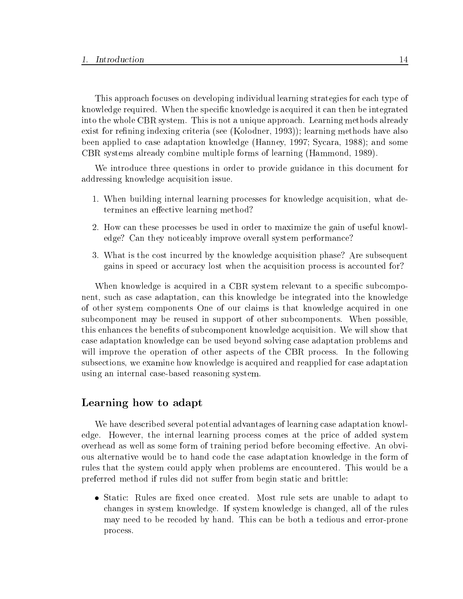This approach focuses on developing individual learning strategies for each type of knowledge required. When the specific knowledge is acquired it can then be integrated into the whole CBR system. This is not a unique approach. Learning methods already exist for refining indexing criteria (see (Kolodner, 1993)); learning methods have also been applied to case adaptation knowledge (Hanney, 1997; Sycara, 1988); and some CBR systems already combine multiple forms of learning (Hammond, 1989).

We introduce three questions in order to provide guidance in this document for addressing knowledge acquisition issue.

- 1. When building internal learning processes for knowledge acquisition, what determines an effective learning method?
- 2. How can these processes be used in order to maximize the gain of useful knowledge? Can they noticeably improve overall system performance?
- 3. What is the cost incurred by the knowledge acquisition phase? Are subsequent gains in speed or accuracy lost when the acquisition process is accounted for?

When knowledge is acquired in a CBR system relevant to a specific subcomponent, such as case adaptation, can this knowledge be integrated into the knowledge of other system components One of our claims is that knowledge acquired in one subcomponent may be reused in support of other subcomponents. When possible, this enhances the benefits of subcomponent knowledge acquisition. We will show that case adaptation knowledge can be used beyond solving case adaptation problems and will improve the operation of other aspects of the CBR process. In the following subsections, we examine how knowledge is acquired and reapplied for case adaptation using an internal case-based reasoning system.

#### Learning how to adapt

We have described several potential advantages of learning case adaptation knowledge. However, the internal learning process comes at the price of added system overhead as well as some form of training period before becoming effective. An obvious alternative would be to hand code the case adaptation knowledge in the form of rules that the system could apply when problems are encountered. This would be a preferred method if rules did not suffer from begin static and brittle:

• Static: Rules are fixed once created. Most rule sets are unable to adapt to changes in system knowledge. If system knowledge is changed, all of the rules may need to be recoded by hand. This can be both a tedious and error-prone process.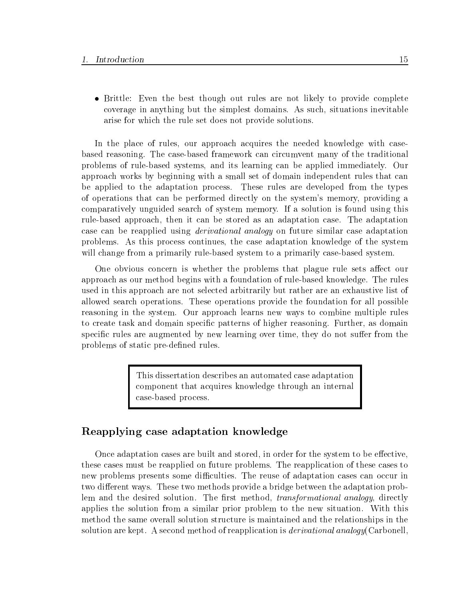• Brittle: Even the best though out rules are not likely to provide complete coverage in anything but the simplest domains. As such, situations inevitable arise for which the rule set does not provide solutions.

In the place of rules, our approach acquires the needed knowledge with casebased reasoning. The case-based framework can circumvent many of the traditional problems of rule-based systems, and its learning can be applied immediately. Our approach works by beginning with a small set of domain independent rules that can be applied to the adaptation process. These rules are developed from the types of operations that can be performed directly on the system's memory, providing a comparatively unguided search of system memory.If a solution is found using this rule-based approach, then it can be stored as an adaptation case. The adaptation case can be reapplied using derivational analogy on future similar case adaptation problems. As this process continues, the case adaptation knowledge of the system will change from a primarily rule-based system to a primarily case-based system.

One obvious concern is whether the problems that plague rule sets affect our approach as our method begins with a foundation of rule-based knowledge. The rules used in this approach are not selected arbitrarily but rather are an exhaustive list of allowed search operations. These operations provide the foundation for all possible reasoning in the system. Our approach learns new ways to combine multiple rules to create task and domain specic patterns of higher reasoning. Further, as domain specific rules are augmented by new learning over time, they do not suffer from the problems of static pre-defined rules.

> This dissertation describes an automated case adaptation component that acquires knowledge through an internal case-based process.

### Reapplying case adaptation knowledge

Once adaptation cases are built and stored, in order for the system to be effective, these cases must be reapplied on future problems. The reapplication of these cases to new problems presents some difficulties. The reuse of adaptation cases can occur in two different ways. These two methods provide a bridge between the adaptation problem and the desired solution. The first method, *transformational analogy*, directly applies the solution from a similar prior problem to the new situation. With this method the same overall solution structure is maintained and the relationships in the solution are kept. A second method of reapplication is *derivational analogy* (Carbonell,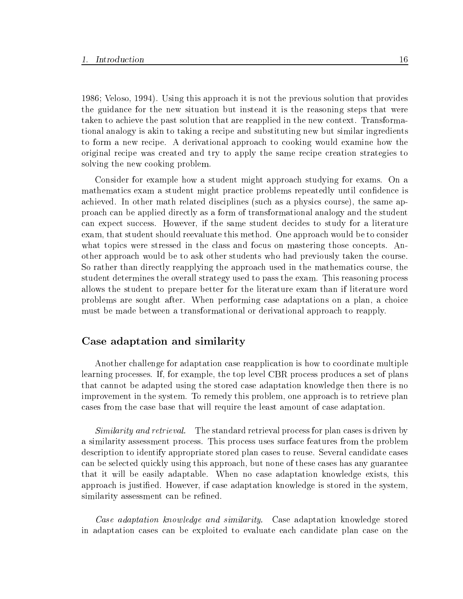1986; Veloso, 1994). Using this approach it is not the previous solution that provides the guidance for the new situation but instead it is the reasoning steps that were taken to achieve the past solution that are reapplied in the new context. Transformational analogy is akin to taking a recipe and substituting new but similar ingredients to form a new recipe. A derivational approach to cooking would examine how the original recipe was created and try to apply the same recipe creation strategies to solving the new cooking problem.

Consider for example how a student might approach studying for exams. On a mathematics exam a student might practice problems repeatedly until confidence is achieved. In other math related disciplines (such as a physics course), the same approach can be applied directly as a form of transformational analogy and the student can expect success. However, if the same student decides to study for a literature exam, that student should reevaluate this method. One approach would be to consider what topics were stressed in the class and focus on mastering those concepts. Another approach would be to ask other students who had previously taken the course. So rather than directly reapplying the approach used in the mathematics course, the student determines the overall strategy used to pass the exam. This reasoning process allows the student to prepare better for the literature exam than if literature word problems are sought after. When performing case adaptations on a plan, a choice must be made between a transformational or derivational approach to reapply.

#### Case adaptation and similarity

Another challenge for adaptation case reapplication is how to coordinate multiple learning processes. If, for example, the top level CBR process produces a set of plans that cannot be adapted using the stored case adaptation knowledge then there is no improvement in the system. To remedy this problem, one approach is to retrieve plan cases from the case base that will require the least amount of case adaptation.

Similarity and retrieval. The standard retrieval process for plan cases is driven by a similarity assessment process. This process uses surface features from the problem description to identify appropriate stored plan cases to reuse. Several candidate cases can be selected quickly using this approach, but none of these cases has any guarantee that it will be easily adaptable. When no case adaptation knowledge exists, this approach is justied. However, if case adaptation knowledge is stored in the system, similarity assessment can be refined.

Case adaptation knowledge and similarity. Case adaptation knowledge stored in adaptation cases can be exploited to evaluate each candidate plan case on the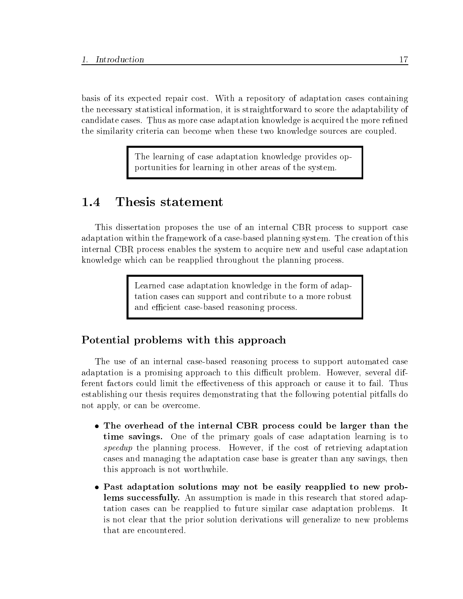basis of its expected repair cost. With a repository of adaptation cases containing the necessary statistical information, it is straightforward to score the adaptability of candidate cases. Thus as more case adaptation knowledge is acquired the more refined the similarity criteria can become when these two knowledge sources are coupled.

> The learning of case adaptation knowledge provides opportunities for learning in other areas of the system.

#### Thesis statement 1.4

This dissertation proposes the use of an internal CBR process to support case adaptation within the framework of a case-based planning system. The creation of this internal CBR process enables the system to acquire new and useful case adaptation knowledge which can be reapplied throughout the planning process.

> Learned case adaptation knowledge in the form of adaptation cases can support and contribute to a more robust and ecient case-based reasoning process.

### Potential problems with this approach

The use of an internal case-based reasoning process to support automated case adaptation is a promising approach to this difficult problem. However, several different factors could limit the effectiveness of this approach or cause it to fail. Thus establishing our thesis requires demonstrating that the following potential pitfalls do not apply, or can be overcome.

- The overhead of the internal CBR process could be larger than the time savings. One of the primary goals of case adaptation learning is to speedup the planning process. However, if the cost of retrieving adaptation cases and managing the adaptation case base is greater than any savings, then this approach is not worthwhile.
- Past adaptation solutions may not be easily reapplied to new problems successfully. An assumption is made in this research that stored adaptation cases can be reapplied to future similar case adaptation problems. It is not clear that the prior solution derivations will generalize to new problems that are encountered.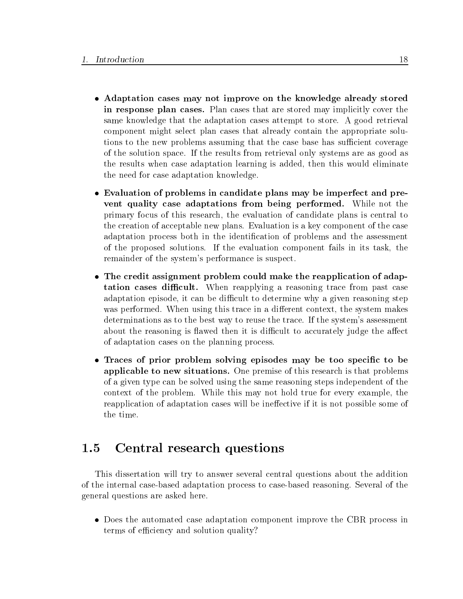- Adaptation cases may not improve on the knowledge already stored in response plan cases. Plan cases that are stored may implicitly cover the same knowledge that the adaptation cases attempt to store. A good retrieval component might select plan cases that already contain the appropriate solutions to the new problems assuming that the case base has sufficient coverage of the solution space. If the results from retrieval only systems are as good as the results when case adaptation learning is added, then this would eliminate the need for case adaptation knowledge.
- Evaluation of problems in candidate plans may be imperfect and prevent quality case adaptations from being performed. While not the primary focus of this research, the evaluation of candidate plans is central to the creation of acceptable new plans. Evaluation is a key component of the case adaptation process both in the identication of problems and the assessment of the proposed solutions. If the evaluation component fails in its task, the remainder of the system's performance is suspect.
- The credit assignment problem could make the reapplication of adaptation cases difficult. When reapplying a reasoning trace from past case adaptation episode, it can be difficult to determine why a given reasoning step was performed. When using this trace in a different context, the system makes determinations as to the best way to reuse the trace. If the system's assessment about the reasoning is flawed then it is difficult to accurately judge the affect of adaptation cases on the planning process.
- Traces of prior problem solving episodes may be too specific to be applicable to new situations. One premise of this research is that problems of a given type can be solved using the same reasoning steps independent of the context of the problem. While this may not hold true for every example, the reapplication of adaptation cases will be ineffective if it is not possible some of the time.

#### Central research questions  $1.5$

This dissertation will try to answer several central questions about the addition of the internal case-based adaptation process to case-based reasoning. Several of the general questions are asked here.

 Does the automated case adaptation component improve the CBR process in terms of efficiency and solution quality?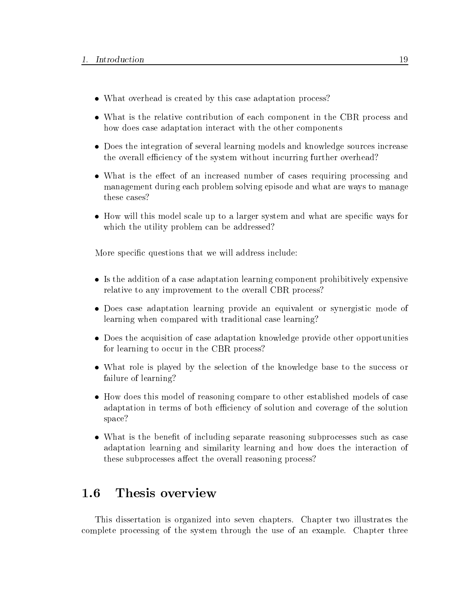- What overhead is created by this case adaptation process?
- What is the relative contribution of each component in the CBR process and how does case adaptation interact with the other components
- Does the integration of several learning models and knowledge sources increase the overall efficiency of the system without incurring further overhead?
- What is the effect of an increased number of cases requiring processing and management during each problem solving episode and what are ways to manage these cases?
- How will this model scale up to a larger system and what are specific ways for which the utility problem can be addressed?

More specific questions that we will address include:

- Is the addition of a case adaptation learning component prohibitively expensive relative to any improvement to the overall CBR process?
- Does case adaptation learning provide an equivalent or synergistic mode of learning when compared with traditional case learning?
- Does the acquisition of case adaptation knowledge provide other opportunities for learning to occur in the CBR process?
- What role is played by the selection of the knowledge base to the success or failure of learning?
- How does this model of reasoning compare to other established models of case adaptation in terms of both efficiency of solution and coverage of the solution space?
- What is the benefit of including separate reasoning subprocesses such as case adaptation learning and similarity learning and how doesthe interaction of these subprocesses affect the overall reasoning process?

#### Thesis overview 1.6

This dissertation is organized into seven chapters. Chapter two illustrates the complete processing of the system through the use of an example. Chapter three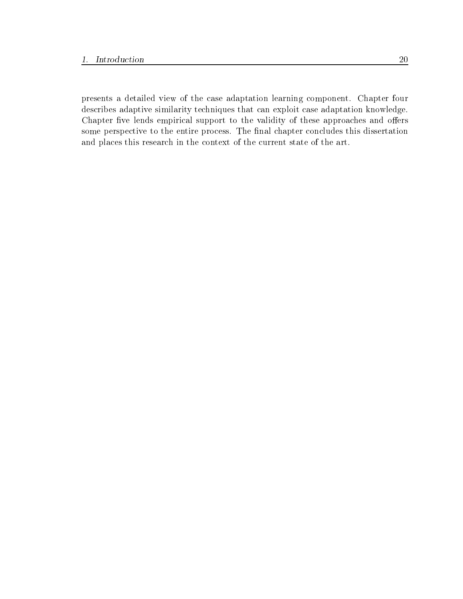presents a detailed view of the case adaptation learning component. Chapter four describes adaptive similarity techniques that can exploit case adaptation knowledge. Chapter five lends empirical support to the validity of these approaches and offers some perspective to the entire process. The final chapter concludes this dissertation and places this research in the context of the current state of the art.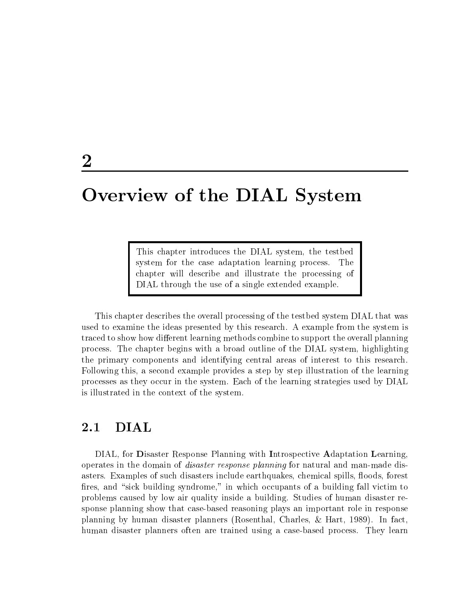# Overview of the DIAL System

This chapter introduces the DIAL system, the testbed system for the case adaptation learning process. The chapter will describe and illustrate the processing of DIAL through the use of a single extended example.

This chapter describes the overall processing of the testbed system DIAL that was used to examine the ideas presented by this research. A example from the system is traced to show how different learning methods combine to support the overall planning process. The chapter begins with a broad outline of the DIAL system, highlighting the primary components and identifying central areas of interest to this research. Following this, a second example provides a step by step illustration of the learning processes as they occur in the system. Each of the learning strategies used by DIAL is illustrated in the context of the system.

## 2.1 DIAL

DIAL, for Disaster Response Planning with Introspective Adaptation Learning, operates in the domain of disaster response planning for natural and man-made disasters. Examples of such disasters include earthquakes, chemical spills, floods, forest fires, and "sick building syndrome," in which occupants of a building fall victim to problems caused by low air quality inside a building. Studies of human disaster response planning show that case-based reasoning plays an important role in response planning by human disaster planners (Rosenthal, Charles, & Hart, 1989). In fact, human disaster planners often are trained using a case-based process. They learn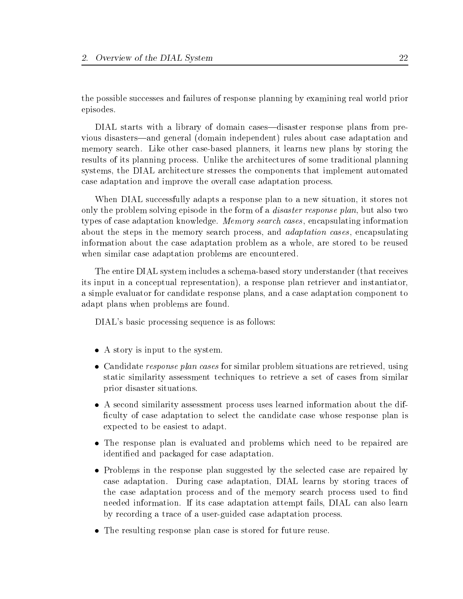the possible successes and failures of response planning by examining real world prior episodes.

DIAL starts with a library of domain cases—disaster response plans from previous disasters|and general (domain independent) rules about case adaptation and memory search. Like other case-based planners, it learns new plans by storing the results of its planning process. Unlike the architectures of some traditional planning systems, the DIAL architecture stresses the components that implement automated case adaptation and improve the overall case adaptation process.

When DIAL successfully adapts a response plan to a new situation, it stores not only the problem solving episode in the form of a *disaster response plan*, but also two types of case adaptation knowledge. Memory search cases , encapsulating information about the steps in the memory search process, and *adaptation cases*, encapsulating information about the case adaptation problem as a whole, are stored to be reused when similar case adaptation problems are encountered.

The entire DIAL system includes a schema-based story understander (that receives its input in a conceptual representation), a response plan retriever and instantiator, a simple evaluator for candidate response plans, and a case adaptation component to adapt plans when problems are found.

DIAL's basic processing sequence is as follows:

- A story is input to the system.
- Candidate *response plan cases* for similar problem situations are retrieved, using static similarity assessment techniques to retrieve a set of cases from similar prior disaster situations.
- A second similarity assessment process uses learned information about the dif ficulty of case adaptation to select the candidate case whose response plan is expected to be easiest to adapt.
- The response plan is evaluated and problems which need to be repaired are identied and packaged for case adaptation.
- Problems in the response plan suggested by the selected case are repaired by case adaptation. During case adaptation, DIAL learns by storing traces of the case adaptation process and of the memory search process used to find needed information. If its case adaptation attempt fails, DIAL can also learn by recording a trace of a user-guided case adaptation process.
- The resulting response plan case is stored for future reuse.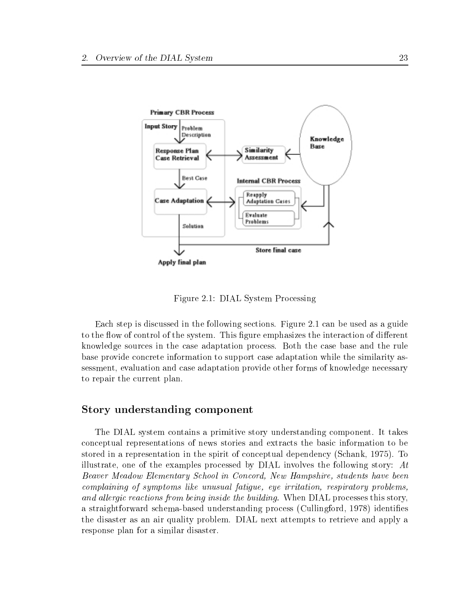

Figure 2.1: DIAL System Processing

Each step is discussed in the following sections. Figure 2.1 can be used as a guide to the flow of control of the system. This figure emphasizes the interaction of different knowledge sources in the case adaptation process. Both the case base and the rule base provide concrete information to support case adaptation while the similarity assessment, evaluation and case adaptation provide other forms of knowledge necessary to repair the current plan.

#### Story understanding component

The DIAL system contains a primitive story understanding component. It takes conceptual representations of news stories and extracts the basic information to be stored in a representation in the spirit of conceptual dependency (Schank, 1975). To illustrate, one of the examples processed by DIAL involves the following story:  $At$ Beaver Meadow Elementary School in Concord, New Hampshire, students have been complaining of symptoms like unusual fatigue, eye irritation, respiratory problems, and allergic reactions from being inside the building. When DIAL processes this story, a straightforward schema-based understanding process (Cullingford, 1978) identies the disaster as an air quality problem. DIAL next attempts to retrieve and apply a response plan for a similar disaster.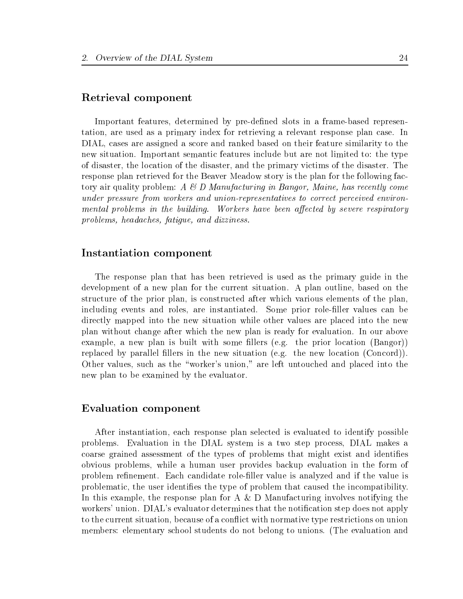#### Retrieval component

Important features, determined by pre-defined slots in a frame-based representation, are used as a primary index for retrieving a relevant response plan case. In DIAL, cases are assigned a score and ranked based on their feature similarity to the new situation. Important semantic features include but are not limited to: the type of disaster, the location of the disaster, and the primary victims of the disaster. The response plan retrieved for the Beaver Meadow story is the plan for the following factory air quality problem:  $A \& D$  Manufacturing in Bangor, Maine, has recently come under pressure from workers and union-representatives to correct perceived environmental problems in the building. Workers have been affected by severe respiratory problems, headaches, fatigue, and dizziness.

#### Instantiation component

The response plan that has been retrieved is used as the primary guide in the development of a new plan for the current situation. A plan outline, based on the structure of the prior plan, is constructed after which various elements of the plan, including events and roles, are instantiated. Some prior role-filler values can be directly mapped into the new situation while other values are placed into the new plan without change after which the new plan is ready for evaluation. In our above example, a new plan is built with some fillers (e.g. the prior location  $(Bangor)$ ) replaced by parallel fillers in the new situation (e.g. the new location (Concord)). Other values, such as the \worker's union," are left untouched and placed into the new plan to be examined by the evaluator.

#### Evaluation component

After instantiation, each response plan selected is evaluated to identify possible problems. Evaluation in the DIAL system is a two step process, DIAL makes a coarse grained assessment of the types of problems that might exist and identies obvious problems, while a human user provides backup evaluation in the form of problem refinement. Each candidate role-filler value is analyzed and if the value is problematic, the user identies the type of problem that caused the incompatibility. In this example, the response plan for A & D Manufacturing involves notifying the workers' union. DIAL's evaluator determines that the notification step does not apply to the current situation, because of a conflict with normative type restrictions on union members: elementary school students do not belong to unions. (The evaluation and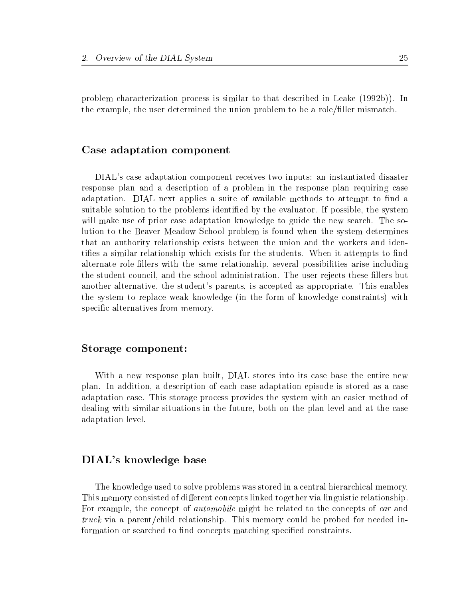problem characterization process is similar to that described in Leake (1992b)). In the example, the user determined the union problem to be a role/filler mismatch.

#### Case adaptation component

DIAL's case adaptation component receives two inputs: an instantiated disaster response plan and a description of a problem in the response plan requiring case adaptation. DIAL next applies a suite of available methods to attempt to find a suitable solution to the problems identied by the evaluator. If possible, the system will make use of prior case adaptation knowledge to guide the new search. The solution to the Beaver Meadow School problem is found when the system determines that an authority relationship exists between the union and the workers and identifies a similar relationship which exists for the students. When it attempts to find alternate role-llers with the same relationship, several possibilities arise including the student council, and the school administration. The user rejects these fillers but another alternative, the student's parents, is accepted as appropriate. This enables the system to replace weak knowledge (in the form of knowledge constraints) with specific alternatives from memory.

#### Storage component:

With a new response plan built, DIAL stores into its case base the entire new plan. In addition, a description of each case adaptation episode is stored as a case adaptation case. This storage process provides the system with an easier method of dealing with similar situations in the future, both on the plan level and at the case adaptation level.

#### DIAL's knowledge base

The knowledge used to solve problems was stored in a central hierarchical memory. This memory consisted of different concepts linked together via linguistic relationship. For example, the concept of *automobile* might be related to the concepts of *car* and truck via a parent/child relationship. This memory could be probed for needed information or searched to find concepts matching specified constraints.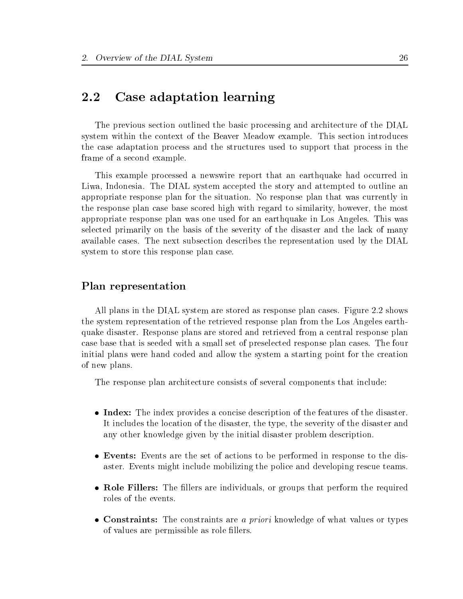# 2.2 Case adaptation learning

The previous section outlined the basic processing and architecture of the DIAL system within the context of the Beaver Meadow example. This section introduces the case adaptation process and the structures used to support that process in the frame of a second example.

This example processed a newswire report that an earthquake had occurred in Liwa, Indonesia. The DIAL system accepted the story and attempted to outline an appropriate response plan for the situation. No response plan that was currently in the response plan case base scored high with regard to similarity, however, the most appropriate response plan was one used for an earthquake in Los Angeles. This was selected primarily on the basis of the severity of the disaster and the lack of many available cases. The next subsection describes the representation used by the DIAL system to store this response plan case.

## Plan representation

All plans in the DIAL system are stored as response plan cases. Figure 2.2 shows the system representation of the retrieved response plan from the Los Angeles earthquake disaster. Response plans are stored and retrieved from a central response plan case base that is seeded with a small set of preselected response plan cases. The four initial plans were hand coded and allow the system a starting point for the creation of new plans.

The response plan architecture consists of several components that include:

- Index: The index provides a concise description of the features of the disaster. It includes the location of the disaster, the type, the severity of the disaster and any other knowledge given by the initial disaster problem description.
- Events: Events are the set of actions to be performed in response to the disaster. Events might include mobilizing the police and developing rescue teams.
- Role Fillers: The fillers are individuals, or groups that perform the required roles of the events.
- Constraints: The constraints are a priori knowledge of what values or types of values are permissible as role fillers.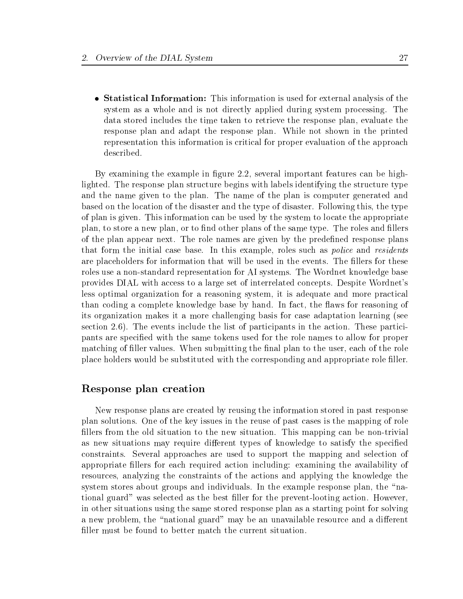• Statistical Information: This information is used for external analysis of the system as a whole and is not directly applied during system processing. The data stored includes the time taken to retrieve the response plan, evaluate the response plan and adapt the response plan. While not shown in the printed representation this information is critical for proper evaluation of the approach described.

By examining the example in figure 2.2, several important features can be highlighted. The response plan structure begins with labels identifying the structure type and the name given to the plan. The name of the plan is computer generated and based on the location of the disaster and the type of disaster. Following this, the type of plan is given. This information can be used by the system to locate the appropriate plan, to store a new plan, or to find other plans of the same type. The roles and fillers of the plan appear next. The role names are given by the predefined response plans that form the initial case base. In this example, roles such as *police* and *residents* are placeholders for information that will be used in the events. The fillers for these roles use a non-standard representation for AI systems. The Wordnet knowledge base provides DIAL with access to a large set of interrelated concepts. Despite Wordnet's less optimal organization for a reasoning system, it is adequate and more practical than coding a complete knowledge base by hand. In fact, the aws for reasoning of its organization makes it a more challenging basis for case adaptation learning (see section 2.6). The events include the list of participants in the action. These participants are specied with the same tokens used for the role names to allow for proper matching of filler values. When submitting the final plan to the user, each of the role place holders would be substituted with the corresponding and appropriate role filler.

## Response plan creation

New response plans are created by reusing the information stored in past response plan solutions. One of the key issues in the reuse of past cases is the mapping of role fillers from the old situation to the new situation. This mapping can be non-trivial as new situations may require different types of knowledge to satisfy the specified constraints. Several approaches are used to support the mapping and selection of appropriate llers for each required action including: examining the availability of resources, analyzing the constraints of the actions and applying the knowledge the system stores about groups and individuals. In the example response plan, the "national guard" was selected as the best ller for the prevent-looting action. However, in other situations using the same stored response plan as a starting point for solving a new problem, the "national guard" may be an unavailable resource and a different filler must be found to better match the current situation.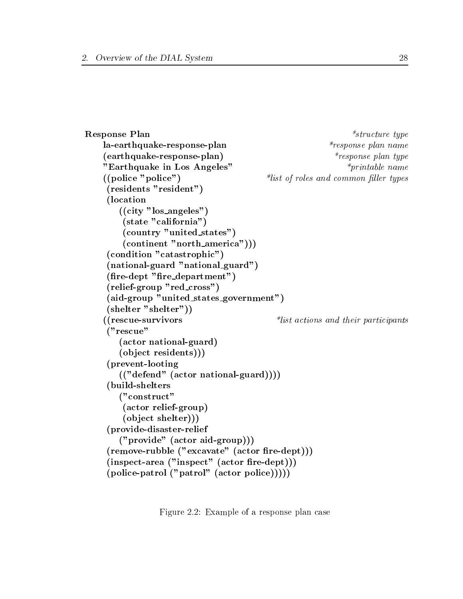```
Response Plan *structure type
   la-earthquake-response-plan *response plan *response plan name
    (earthquake-response-plan) *response plan type
    "Earthquake in Los Angeles" *_{printable\ name}((police "police") *list \ of \ roles \ and \ common \ filter \ types(residents "resident")
    (location
       ((city "los angeles")
        (state "california")
        (country "united states")
        (continent "north america")))
    (condition "catastrophic")
    (national-guard "national guard")
    (fire-dept "fire-dependent")(relief-group "red cross")
    (aid-group "united states government")
    (shelter "shelter"))
    ((rescue-survivors  *list actions and their participants
    ("rescue"
       (actor national-guard)
       (ob ject residents)))
    (prevent-looting
       (("defend" (actor national-guard))))
    (build-shelters
       ("construct"
        (actor relief-group)
        (ob ject shelter)))
    (provide-disaster-relief
       ("provide" (actor aid-group)))
    (remove-rubble ("exact" (actor fire-depth)))(inspect-area ("inspect" (actor fire-depth)))(police-patrol ("patrol" (actor police)))))
```
Figure 2.2: Example of a response plan case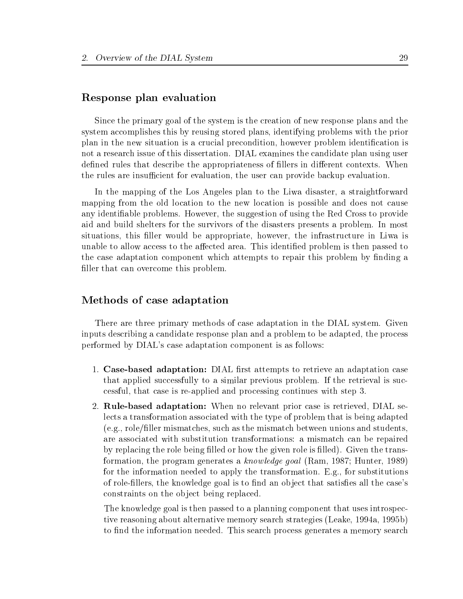#### Response plan evaluation

Since the primary goal of the system is the creation of new response plans and the system accomplishes this by reusing stored plans, identifying problems with the prior plan in the new situation is a crucial precondition, however problem identification is not a research issue of this dissertation. DIAL examines the candidate plan using user defined rules that describe the appropriateness of fillers in different contexts. When the rules are insufficient for evaluation, the user can provide backup evaluation.

In the mapping of the Los Angeles plan to the Liwa disaster, a straightforward mapping from the old location to the new location is possible and does not cause any identiable problems. However, the suggestion of using the Red Cross to provide aid and build shelters for the survivors of the disasters presents a problem. In most situations, this filler would be appropriate, however, the infrastructure in Liwa is unable to allow access to the affected area. This identified problem is then passed to the case adaptation component which attempts to repair this problem by finding a filler that can overcome this problem.

#### Methods of case adaptation

There are three primary methods of case adaptation in the DIAL system. Given inputs describing a candidate response plan and a problem to be adapted, the process performed by DIAL's case adaptation component is as follows:

- 1. Case-based adaptation: DIAL first attempts to retrieve an adaptation case that applied successfully to a similar previous problem. If the retrieval is successful, that case is re-applied and processing continues with step 3.
- 2. Rule-based adaptation: When no relevant prior case is retrieved, DIAL selects a transformation associated with the type of problem that is being adapted  $(e.g., role/filler mismatches, such as the mismatch between unions and students,$ are associated with substitution transformations: a mismatch can be repaired by replacing the role being filled or how the given role is filled). Given the transformation, the program generates a knowledge goal (Ram, 1987; Hunter, 1989) for the information needed to apply the transformation. E.g., for substitutions of role-fillers, the knowledge goal is to find an object that satisfies all the case's constraints on the object being replaced.

The knowledge goal is then passed to a planning component that uses introspective reasoning about alternative memory search strategies (Leake, 1994a, 1995b) to find the information needed. This search process generates a memory search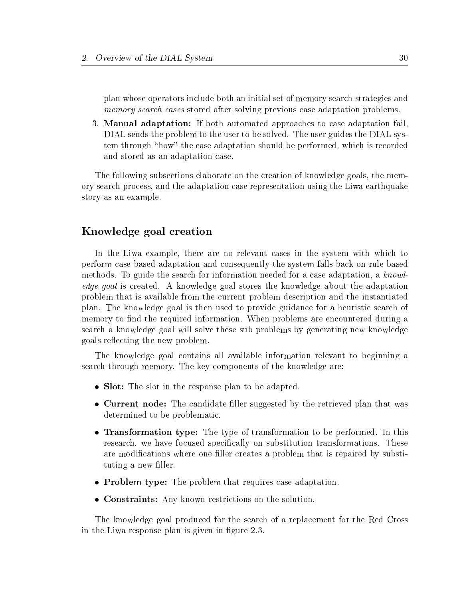plan whose operators include both an initial set of memory search strategies and memory search cases stored after solving previous case adaptation problems.

3. Manual adaptation: If both automated approaches to case adaptation fail, DIAL sends the problem to the user to be solved. The user guides the DIAL system through "how" the case adaptation should be performed, which is recorded and stored as an adaptation case.

The following subsections elaborate on the creation of knowledge goals, the memory search process, and the adaptation case representation using the Liwa earthquake story as an example.

#### Knowledge goal creation

In the Liwa example, there are no relevant cases in the system with which to perform case-based adaptation and consequently the system falls back on rule-based methods. To guide the search for information needed for a case adaptation, a knowledge goal is created. A knowledge goal stores the knowledge about the adaptation problem that is available from the current problem description and the instantiated plan. The knowledge goal is then used to provide guidance for a heuristic search of memory to find the required information. When problems are encountered during a search a knowledge goal will solve these sub problems by generating new knowledge goals re
ecting the new problem.

The knowledge goal contains all available information relevant to beginning a search through memory. The key components of the knowledge are:

- Slot: The slot in the response plan to be adapted.
- Current node: The candidate filler suggested by the retrieved plan that was determined to be problematic.
- Transformation type: The type of transformation to be performed. In this research, we have focused specifically on substitution transformations. These are modifications where one filler creates a problem that is repaired by substituting a new filler.
- Problem type: The problem that requires case adaptation.
- Constraints: Any known restrictions on the solution.

The knowledge goal produced for the search of a replacement for the Red Cross in the Liwa response plan is given in figure 2.3.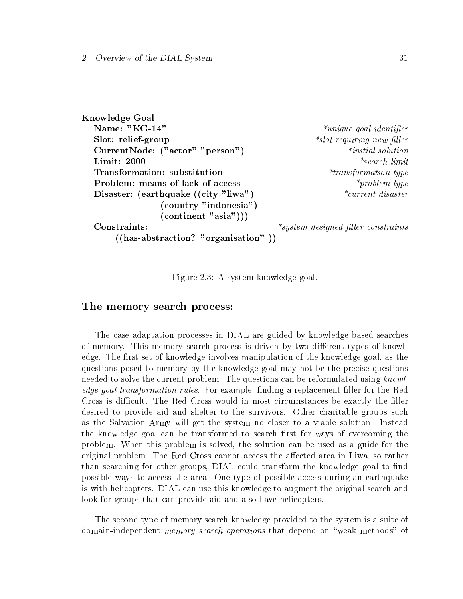Knowledge Goal Name: "KG-14"  $*$ unique goal identifier Slot: relief-group \*slot requiring new l ler CurrentNode: ("actor" "person") \*initial solution  $*transformation type$ Problem: means-of-lack-of-access \*problem-type Disaster: (earthquake ((city "liwa")  $*_{current\; disaster}$ (country "indonesia")  $($ continent "asia" $))))$  $*<sub>system</sub>$  designed filler constraints Constraints: ((has-abstraction? "organisation" ))

Figure 2.3: A system knowledge goal.

#### The memory search process:

The case adaptation processes in DIAL are guided by knowledge based searches of memory. This memory search process is driven by two different types of knowledge. The first set of knowledge involves manipulation of the knowledge goal, as the questions posed to memory by the knowledge goal may not be the precise questions needed to solve the current problem. The questions can be reformulated using knowledge goal transformation rules. For example, finding a replacement filler for the Red Cross is difficult. The Red Cross would in most circumstances be exactly the filler desired to provide aid and shelter to the survivors. Other charitable groups such as the Salvation Army will get the system no closer to a viable solution. Instead the knowledge goal can be transformed to search first for ways of overcoming the problem. When this problem is solved, the solution can be used as a guide for the original problem. The Red Cross cannot access the affected area in Liwa, so rather than searching for other groups, DIAL could transform the knowledge goal to find possible ways to access the area. One type of possible access during an earthquake is with helicopters. DIAL can use this knowledge to augment the original search and look for groups that can provide aid and also have helicopters.

The second type of memory search knowledge provided to the system is a suite of domain-independent *memory search operations* that depend on "weak methods" of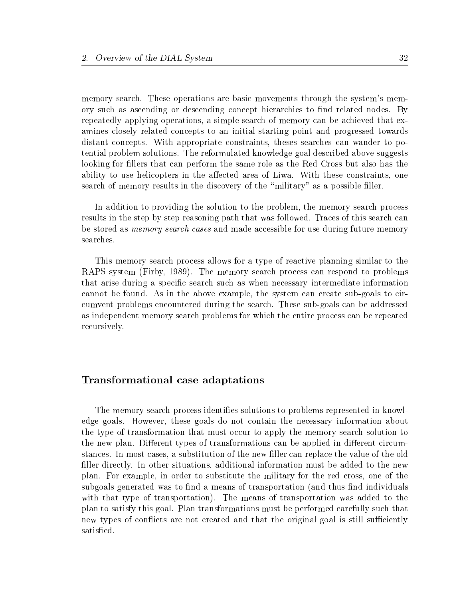memory search. These operations are basic movements through the system's memory such as ascending or descending concept hierarchies to find related nodes. By repeatedly applying operations, a simple search of memory can be achieved that examines closely related concepts to an initial starting point and progressed towards distant concepts. With appropriate constraints, theses searches can wander to potential problem solutions. The reformulated knowledge goal described above suggests looking for fillers that can perform the same role as the Red Cross but also has the ability to use helicopters in the affected area of Liwa. With these constraints, one search of memory results in the discovery of the "military" as a possible filler.

In addition to providing the solution to the problem, the memory search process results in the step by step reasoning path that was followed. Traces of this search can be stored as *memory search cases* and made accessible for use during future memory searches.

This memory search process allows for a type of reactive planning similar to the RAPS system (Firby, 1989). The memory search process can respond to problems that arise during a specic search such as when necessary intermediate information cannot be found. As in the above example, the system can create sub-goals to circumvent problems encountered during the search. These sub-goals can be addressed as independent memory search problems for which the entire process can be repeated recursively.

## Transformational case adaptations

The memory search process identifies solutions to problems represented in knowledge goals. However, these goals do not contain the necessary information about the type of transformation that must occur to apply the memory search solution to the new plan. Different types of transformations can be applied in different circumstances. In most cases, a substitution of the new filler can replace the value of the old filler directly. In other situations, additional information must be added to the new plan. For example, in order to substitute the military for the red cross, one of the subgoals generated was to find a means of transportation (and thus find individuals with that type of transportation). The means of transportation was added to the plan to satisfy this goal. Plan transformations must be performed carefully such that new types of conflicts are not created and that the original goal is still sufficiently satisfied.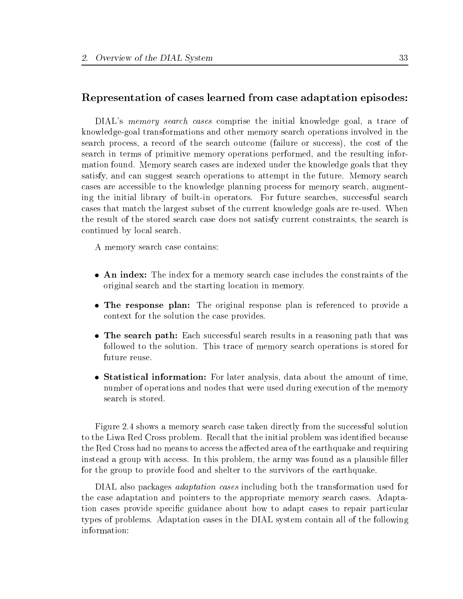#### Representation of cases learned from case adaptation episodes:

DIAL's *memory search cases* comprise the initial knowledge goal, a trace of knowledge-goal transformations and other memory search operations involved in the search process, a record of the search outcome (failure or success), the cost of the search in terms of primitive memory operations performed, and the resulting information found. Memory search cases are indexed under the knowledge goals that they satisfy, and can suggest search operations to attempt in the future. Memory search cases are accessible to the knowledge planning process for memory search, augmenting the initial library of built-in operators. For future searches, successful search cases that match the largest subset of the current knowledge goals are re-used. When the result of the stored search case does not satisfy current constraints, the search is continued by local search.

A memory search case contains:

- An index: The index for a memory search case includes the constraints of the original search and the starting location in memory.
- The response plan: The original response plan is referenced to provide a context for the solution the case provides.
- The search path: Each successful search results in a reasoning path that was followed to the solution. This trace of memory search operations is stored for future reuse.
- Statistical information: For later analysis, data about the amount of time, number of operations and nodes that were used during execution of the memory search is stored.

Figure 2.4 shows a memory search case taken directly from the successful solution to the Liwa Red Cross problem. Recall that the initial problem was identied because the Red Cross had no means to access the affected area of the earthquake and requiring instead a group with access. In this problem, the army was found as a plausible filler for the group to provide food and shelter to the survivors of the earthquake.

DIAL also packages adaptation cases including both the transformation used for the case adaptation and pointers to the appropriate memory search cases. Adaptation cases provide specic guidance about how to adapt cases to repair particular types of problems. Adaptation cases in the DIAL system contain all of the following information: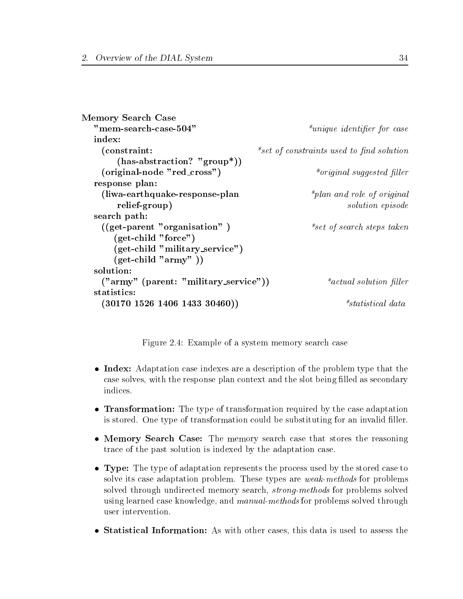```
Memory Search Case
  "mem-search-case-504" " *unique identifier for case
  index:
    (constraint: *set of constraints used to find solution
       (has-abstraction? "group*))
    (original-node "red\_cross") *original suggested filler
  response plan:
    (liwa-earthquake-response-plan *_{plan\ and\ role\ of\ original}relief-group) solution episode
  search path:
    ((get\text{-}parent \text{ "organization" }) *set of search steps taken
      (get-child "force")
      (get-child "military service")
      (get\text{-child "army" })solution:
    ("army" (parent: "military_service")) *_{actual\ solution\ filter}(30170\; 1526\; 1406\; 1433\; 30460))*<sub>statistical</sub> data
```
Figure 2.4: Example of a system memory search case

- Index: Adaptation case indexes are a description of the problem type that the case solves, with the response plan context and the slot being filled as secondary indices.
- **Transformation:** The type of transformation required by the case adaptation is stored. One type of transformation could be substituting for an invalid filler.
- Memory Search Case: The memory search case that stores the reasoning trace of the past solution is indexed by the adaptation case.
- Type: The type of adaptation represents the process used by the stored case to solve its case adaptation problem. These types are *weak-methods* for problems solved through undirected memory search, *strong-methods* for problems solved using learned case knowledge, and *manual-methods* for problems solved through user intervention.
- Statistical Information: As with other cases, this data is used to assess the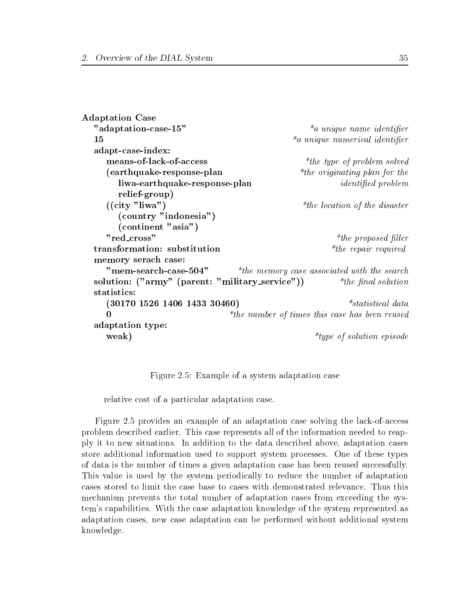```
Adaptation Case
  "a daptation-case-15" *_{a \ unique \ name \ identifier}*_a unique numerical identifier
  15
  the contract of the contract interest in the contract in the contract interest in the contract of the contract of the contract of the contract of the contract of the contract of the contract of the contract of the contract
  adapt-case-index:
     means-of-lack-of-access \ddot{h} are \ddot{h} the type of problem solved
     (earthquake-response-plan *the originating plan for the
        liwa-earthquake-response-plan identified problem
        relief-group)
     ((\text{city "liwa") *_{the location of the disaster}(country "indonesia")
        (continent "asia")
     "red\_cross" *the proposed filler
  transformation: substitution *the repair required
  memory serach case:
     "mem-search-case-504" *the memory case associated with the search
  solution: ("army" (parent: "military_service")) \qquad \quad \  \  *the final solution
     (30170\ 1526\ 1406\ 1433\ 30460)*statistical data
     \Omega*the number of times this case has been reused
  adaptation type:
     weak) *type of solution episode
```
Figure 2.5: Example of a system adaptation case

relative cost of a particular adaptation case.

Figure 2.5 provides an example of an adaptation case solving the lack-of-access problem described earlier. This case represents all of the information needed to reapply it to new situations. In addition to the data described above, adaptation cases store additional information used to support system processes. One of these types of data is the number of times a given adaptation case has been reused successfully. This value is used by the system periodically to reduce the number of adaptation cases stored to limit the case base to cases with demonstrated relevance. Thus this mechanism prevents the total number of adaptation cases from exceeding the system's capabilities. With the case adaptation knowledge of the system represented as adaptation cases, new case adaptation can be performed without additional system knowledge.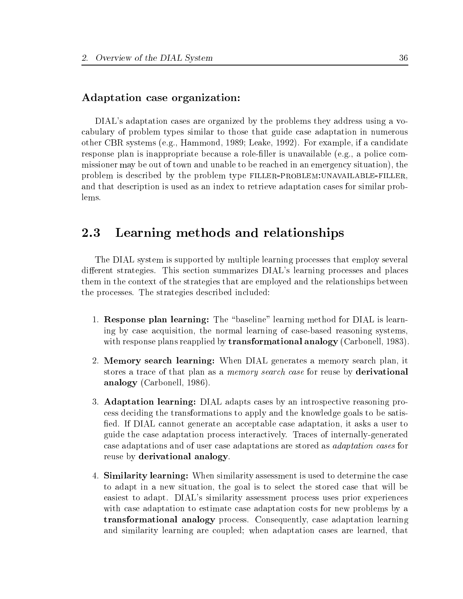#### Adaptation case organization:

DIAL's adaptation cases are organized by the problems they address using a vocabulary of problem types similar to those that guide case adaptation in numerous other CBR systems (e.g., Hammond, 1989; Leake, 1992). For example, if a candidate response plan is inappropriate because a role-filler is unavailable (e.g., a police commissioner may be out of town and unable to be reached in an emergency situation), the problem is described by the problem type filler-problem:unavailable-filler, and that description is used as an index to retrieve adaptation cases for similar problems.

# 2.3 Learning methods and relationships

The DIAL system is supported by multiple learning processes that employ several different strategies. This section summarizes DIAL's learning processes and places them in the context of the strategies that are employed and the relationships between the processes. The strategies described included:

- 1. Response plan learning: The "baseline" learning method for DIAL is learning by case acquisition, the normal learning of case-based reasoning systems, with response plans reapplied by **transformational analogy** (Carbonell, 1983).
- 2. Memory search learning: When DIAL generates a memory search plan, it stores a trace of that plan as a *memory search case* for reuse by **derivational** analogy (Carbonell, 1986).
- 3. Adaptation learning: DIAL adapts cases by an introspective reasoning process deciding the transformations to apply and the knowledge goals to be satis fied. If DIAL cannot generate an acceptable case adaptation, it asks a user to guide the case adaptation process interactively. Traces of internally-generated case adaptations and of user case adaptations are stored as adaptation cases for reuse by derivational analogy.
- 4. Similarity learning: When similarity assessment is used to determine the case to adapt in a new situation, the goal is to select the stored case that will be easiest to adapt. DIAL's similarity assessment process uses prior experiences with case adaptation to estimate case adaptation costs for new problems by a transformational analogy process. Consequently, case adaptation learning and similarity learning are coupled; when adaptation cases are learned, that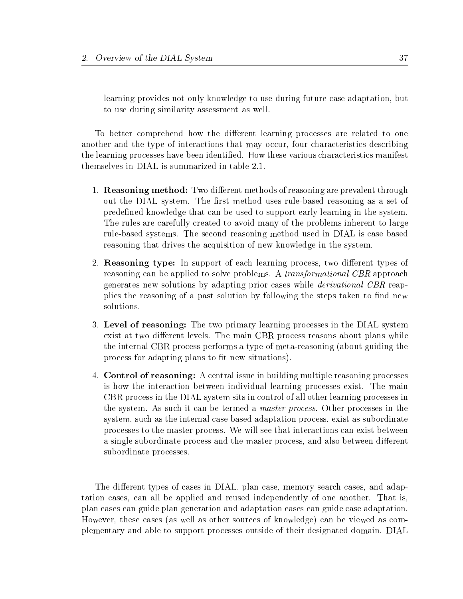learning provides not only knowledge to use during future case adaptation, but to use during similarity assessment as well.

To better comprehend how the different learning processes are related to one another and the type of interactions that may occur, four characteristics describing the learning processes have been identied. How these various characteristics manifest themselves in DIAL is summarized in table 2.1.

- 1. **Reasoning method:** Two different methods of reasoning are prevalent throughout the DIAL system. The first method uses rule-based reasoning as a set of predefined knowledge that can be used to support early learning in the system. The rules are carefully created to avoid many of the problems inherent to large rule-based systems. The second reasoning method used in DIAL is case based reasoning that drives the acquisition of new knowledge in the system.
- 2. **Reasoning type:** In support of each learning process, two different types of reasoning can be applied to solve problems. A *transformational CBR* approach generates new solutions by adapting prior cases while derivational CBR reapplies the reasoning of a past solution by following the steps taken to find new solutions.
- 3. Level of reasoning: The two primary learning processes in the DIAL system exist at two different levels. The main CBR process reasons about plans while the internal CBR process performs a type of meta-reasoning (about guiding the process for adapting plans to fit new situations).
- 4. Control of reasoning: A central issue in building multiple reasoning processes is how the interaction between individual learning processes exist. The main CBR process in the DIAL system sits in control of all other learning processes in the system. As such it can be termed a master process. Other processes in the system, such as the internal case based adaptation process, exist as subordinate processes to the master process. We will see that interactions can exist between a single subordinate process and the master process, and also between different subordinate processes.

The different types of cases in DIAL, plan case, memory search cases, and adaptation cases, can all be applied and reused independently of one another. That is, plan cases can guide plan generation and adaptation cases can guide case adaptation. However, these cases (as well as other sources of knowledge) can be viewed as complementary and able to support processes outside of their designated domain. DIAL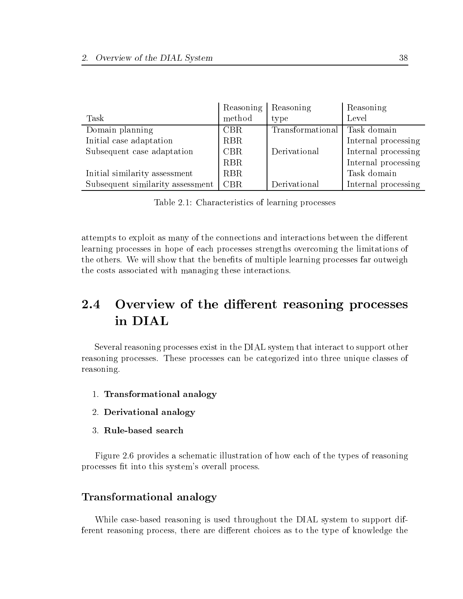|                                  | Reasoning  | Reasoning        | Reasoning           |
|----------------------------------|------------|------------------|---------------------|
| Task                             | method     | type             | Level               |
| Domain planning                  | CBR        | Transformational | Task domain         |
| Initial case adaptation          | <b>RBR</b> |                  | Internal processing |
| Subsequent case adaptation       | <b>CBR</b> | Derivational     | Internal processing |
|                                  | <b>RBR</b> |                  | Internal processing |
| Initial similarity assessment    | <b>RBR</b> |                  | Task domain         |
| Subsequent similarity assessment | <b>CBR</b> | Derivational     | Internal processing |

Table 2.1: Characteristics of learning processes

attempts to exploit as many of the connections and interactions between the different learning processes in hope of each processes strengths overcoming the limitations of the others. We will show that the benefits of multiple learning processes far outweigh the costs associated with managing these interactions.

#### $2.4$ Overview of the different reasoning processes in DIAL

Several reasoning processes exist in the DIAL system that interact to support other reasoning processes. These processes can be categorized into three unique classes of reasoning.

- 1. Transformational analogy
- 2. Derivational analogy
- 3. Rule-based search

Figure 2.6 provides a schematic illustration of how each of the types of reasoning processes fit into this system's overall process.

#### Transformational analogy

While case-based reasoning is used throughout the DIAL system to support different reasoning process, there are different choices as to the type of knowledge the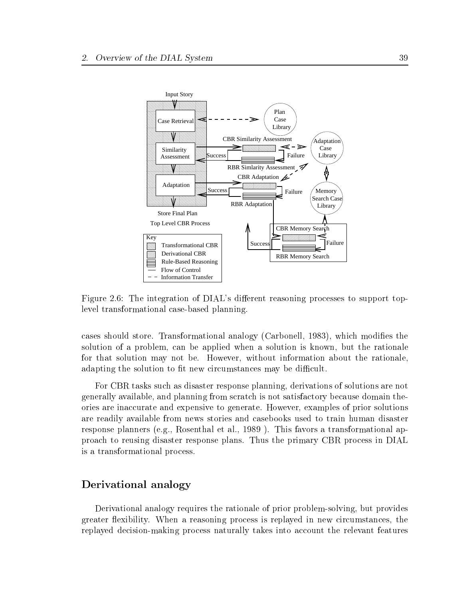

Figure 2.6: The integration of DIAL's different reasoning processes to support toplevel transformational case-based planning.

cases should store. Transformational analogy (Carbonell, 1983), which modies the solution of a problem, can be applied when a solution is known, but the rationale for that solution may not be. However, without information about the rationale, adapting the solution to fit new circumstances may be difficult.

For CBR tasks such as disaster response planning, derivations of solutions are not generally available, and planning from scratch is not satisfactory because domain theories are inaccurate and expensive to generate. However, examples of prior solutions are readily available from news stories and casebooks used to train human disaster response planners (e.g., Rosenthal et al., 1989 ). This favors a transformational approach to reusing disaster response plans. Thus the primary CBR process in DIAL is a transformational process.

## Derivational analogy

Derivational analogy requires the rationale of prior problem-solving, but provides greater flexibility. When a reasoning process is replayed in new circumstances, the replayed decision-making process naturally takes into account the relevant features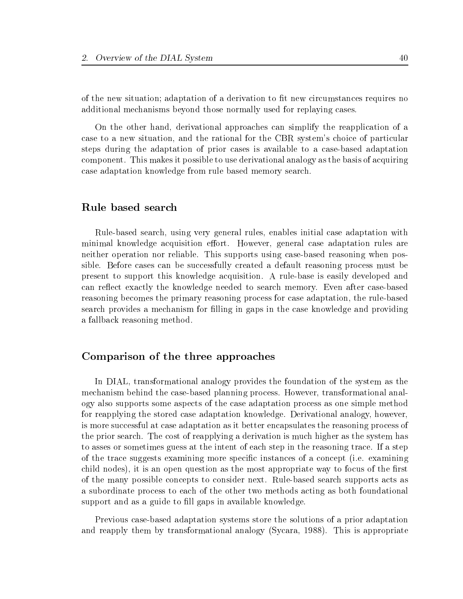of the new situation; adaptation of a derivation to fit new circumstances requires no additional mechanisms beyond those normally used for replaying cases.

On the other hand, derivational approaches can simplify the reapplication of a case to a new situation, and the rational for the CBR system's choice of particular steps during the adaptation of prior cases is available to a case-based adaptation component. This makes it possible to use derivational analogy as the basis of acquiring case adaptation knowledge from rule based memory search.

#### Rule based search

Rule-based search, using very general rules, enables initial case adaptation with minimal knowledge acquisition effort. However, general case adaptation rules are neither operation nor reliable. This supports using case-based reasoning when possible. Before cases can be successfully created a default reasoning process must be present to support this knowledge acquisition. A rule-base is easily developed and can reflect exactly the knowledge needed to search memory. Even after case-based reasoning becomes the primary reasoning process for case adaptation, the rule-based search provides a mechanism for filling in gaps in the case knowledge and providing a fallback reasoning method.

#### Comparison of the three approaches

In DIAL, transformational analogy provides the foundation of the system as the mechanism behind the case-based planning process. However, transformational analogy also supports some aspects of the case adaptation process as one simple method for reapplying the stored case adaptation knowledge. Derivational analogy, however, is more successful at case adaptation as it better encapsulates the reasoning process of the prior search. The cost of reapplying a derivation is much higher as the system has to asses or sometimes guess at the intent of each step in the reasoning trace. If a step of the trace suggests examining more specic instances of a concept (i.e. examining child nodes), it is an open question as the most appropriate way to focus of the first of the many possible concepts to consider next. Rule-based search supports acts as a subordinate process to each of the other two methods acting as both foundational support and as a guide to fill gaps in available knowledge.

Previous case-based adaptation systems store the solutions of a prior adaptation and reapply them by transformational analogy (Sycara, 1988). This is appropriate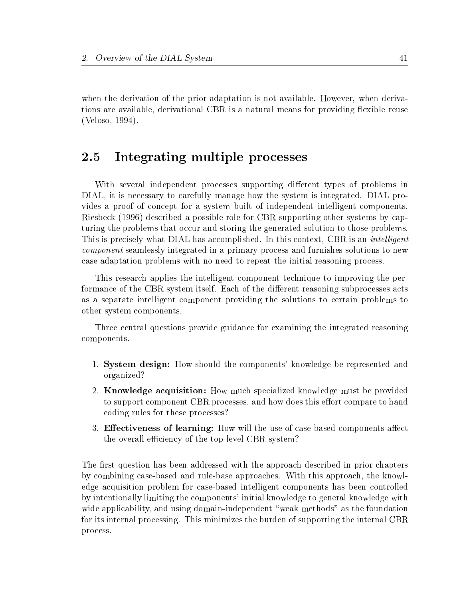when the derivation of the prior adaptation is not available. However, when derivations are available, derivational CBR is a natural means for providing flexible reuse (Veloso, 1994).

# 2.5 Integrating multiple processes

With several independent processes supporting different types of problems in DIAL, it is necessary to carefully manage how the system is integrated. DIAL provides a proof of concept for a system built of independent intelligent components. Riesbeck (1996) described a possible role for CBR supporting other systems by capturing the problems that occur and storing the generated solution to those problems. This is precisely what DIAL has accomplished. In this context, CBR is an *intelligent* component seamlessly integrated in a primary process and furnishes solutions to new case adaptation problems with no need to repeat the initial reasoning process.

This research applies the intelligent component technique to improving the performance of the CBR system itself. Each of the different reasoning subprocesses acts as a separate intelligent component providing the solutions to certain problems to other system components.

Three central questions provide guidance for examining the integrated reasoning components.

- 1. System design: How should the components' knowledge be represented and organized?
- 2. Knowledge acquisition: How much specialized knowledge must be provided to support component CBR processes, and how does this effort compare to hand coding rules for these processes?
- 3. Effectiveness of learning: How will the use of case-based components affect the overall efficiency of the top-level CBR system?

The first question has been addressed with the approach described in prior chapters by combining case-based and rule-base approaches. With this approach, the knowledge acquisition problem for case-based intelligent components has been controlled by intentionally limiting the components' initial knowledge to general knowledge with wide applicability, and using domain-independent "weak methods" as the foundation for its internal processing. This minimizes the burden of supporting the internal CBR process.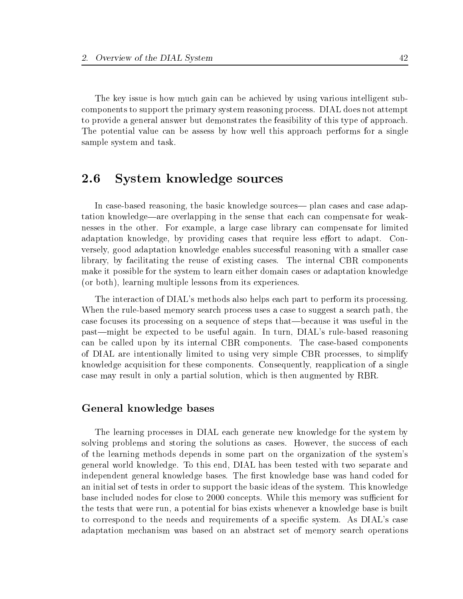The key issue is how much gain can be achieved by using various intelligent subcomponents to support the primary system reasoning process. DIAL does not attempt to provide a general answer but demonstrates the feasibility of this type of approach. The potential value can be assess by how well this approach performs for a single sample system and task.

#### $\bf 2.6$ 2.6 System knowledge sources

In case-based reasoning, the basic knowledge sources— plan cases and case adaptation knowledge—are overlapping in the sense that each can compensate for weaknesses in the other. For example, a large case library can compensate for limited adaptation knowledge, by providing cases that require less effort to adapt. Conversely, good adaptation knowledge enables successful reasoning with a smaller case library, by facilitating the reuse of existing cases. The internal CBR components make it possible for the system to learn either domain cases or adaptation knowledge (or both), learning multiple lessons from its experiences.

The interaction of DIAL's methods also helps each part to perform its processing. When the rule-based memory search process uses a case to suggest a search path, the case focuses its processing on a sequence of steps that—because it was useful in the past—might be expected to be useful again. In turn, DIAL's rule-based reasoning can be called upon by its internal CBR components. The case-based components of DIAL are intentionally limited to using very simple CBR processes, to simplify knowledge acquisition for these components. Consequently, reapplication of a single case may result in only a partial solution, which is then augmented by RBR.

#### General knowledge bases

The learning processes in DIAL each generate new knowledge for the system by solving problems and storing the solutions as cases. However, the success of each of the learning methods depends in some part on the organization of the system's general world knowledge. To this end, DIAL hasbeen tested with two separate and independent general knowledge bases. The first knowledge base was hand coded for an initial set of tests in order to support the basic ideas of the system. This knowledge base included nodes for close to 2000 concepts. While this memory was sufficient for the tests that were run, a potential for bias exists whenever a knowledge base is built to correspond to the needs and requirements of a specic system. As DIAL's case adaptation mechanism was based on an abstract set of memory search operations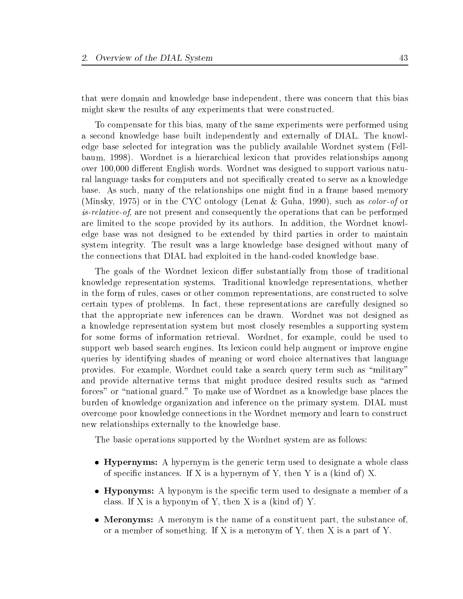that were domain and knowledge base independent, there was concern that this bias might skew the results of any experiments that were constructed.

To compensate for this bias, many of the same experiments were performed using a second knowledge base built independently and externally of DIAL. The knowledge base selected for integration was the publicly available Wordnet system (Fellbaum, 1998). Wordnet is a hierarchical lexicon that provides relationships among over 100,000 different English words. Wordnet was designed to support various natural language tasks for computers and not specically created to serve as a knowledge base. As such, many of the relationships one might find in a frame based memory (Minsky, 1975) or in the CYC ontology (Lenat & Guha, 1990), such as color-of or is-relative-of, are not present and consequently the operations that can be performed are limited to the scope provided by its authors. In addition, the Wordnet knowledge base was not designed to be extended by third parties in order to maintain system integrity. The result was a large knowledge base designed without many of the connections that DIAL had exploited in the hand-coded knowledge base.

The goals of the Wordnet lexicon differ substantially from those of traditional knowledge representation systems. Traditional knowledge representations, whether in the form of rules, cases or other common representations, are constructed to solve certain types of problems. In fact, these representations are carefully designed so that the appropriate new inferences can be drawn. Wordnet was not designed as a knowledge representation system but most closely resembles a supporting system for some forms of information retrieval. Wordnet, for example, could be used to support web based search engines. Its lexicon could help augment or improve engine queries by identifying shades of meaning or word choice alternatives that language provides. For example, Wordnet could take a search query term such as "military" and provide alternative terms that might produce desired results such as "armed forces" or \national guard." To make use of Wordnet as a knowledge base places the burden of knowledge organization and inference on the primary system. DIAL must overcome poor knowledge connections in the Wordnet memory and learn to construct new relationships externally to the knowledge base.

The basic operations supported by the Wordnet system are as follows:

- Hypernyms: A hypernym is the generic term used to designate a whole class of specific instances. If X is a hypernym of Y, then Y is a (kind of) X.
- Hyponyms: A hyponym is the specific term used to designate a member of a class. If X is a hyponym of Y, then X is a (kind of) Y.
- Meronyms: A meronym is the name of a constituent part, the substance of, or a member of something. If X is ameronym of Y, then X is a part of Y.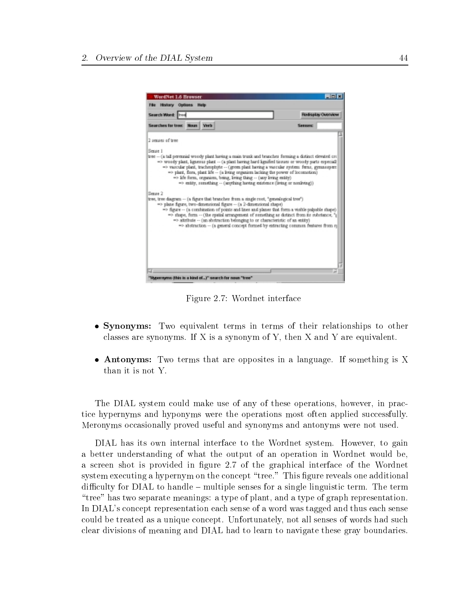

Figure 2.7: Wordnet interface

- Synonyms: Two equivalent terms in terms of their relationships to other classes are synonyms. If X is a synonym of Y, then X and Y are equivalent.
- Antonyms: Two terms that are opposites in a language. If something is X than it is not Y.

The DIAL system could make use of any of these operations, however, in practice hypernyms and hyponyms were the operations most often applied successfully. Meronyms occasionally proved useful and synonyms and antonyms were not used.

DIAL has its own internal interface to the Wordnet system. However, to gain a better understanding of what the output of an operation in Wordnet would be, a screen shot is provided in figure 2.7 of the graphical interface of the Wordnet system executing a hypernym on the concept "tree." This figure reveals one additional difficulty for  $DIAL$  to handle  $-$  multiple senses for a single linguistic term. The term \tree" has two separate meanings: a type of plant, and a type of graph representation. In DIAL's concept representation each sense of a word was tagged and thus each sense could be treated as a unique concept. Unfortunately, not all senses of words had such clear divisions of meaning and DIAL had to learn to navigate these gray boundaries.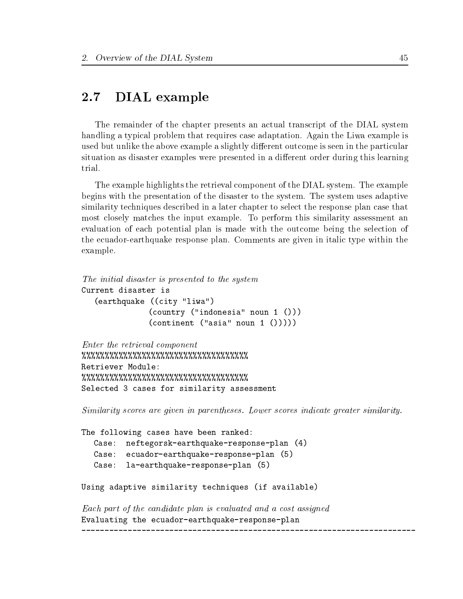#### DIAL example  $2.7$

The remainder of the chapter presents an actual transcript of the DIAL system handling a typical problem that requires case adaptation. Again the Liwa example is used but unlike the above example a slightly different outcome is seen in the particular situation as disaster examples were presented in a different order during this learning trial.

The example highlights the retrieval component of the DIAL system. The example begins with the presentation of the disaster to the system. The system uses adaptive similarity techniques described in a later chapter to select the response plan case that most closely matches the input example. To perform this similarity assessment an evaluation of each potential plan is made with the outcome being the selection of the ecuador-earthquake response plan. Comments are given in italic type within the example.

```
The initial disaster is presented to the system
Current disaster is
   (earthquake ((city "liwa")
               (country ("indonesia" noun 1 ()))
               (continent ("asia" noun 1 < ())))
```

```
Enter the retrieval component
%%%%%%%%%%%%%%%%%%%%%%%%%%%%%%%%%%%%
Retriever Module:
%%%%%%%%%%%%%%%%%%%%%%%%%%%%%%%%%%%%
Selected 3 cases for similarity assessment
```
Similarity scores are given in parentheses. Lower scores indicate greater similarity.

```
The following cases have been ranked:
          neftegorsk-earthquake-response-plan (4)
   \mathtt{Case:}Case: ecuador-earthquake-response-plan (5)
   Case: la-earthquake-response-plan (5)
Using adaptive similarity techniques (if available)
```
Each part of the candidate plan is evaluated and a cost assigned Evaluating the ecuador-earthquake-response-plan \_\_\_\_\_\_\_\_\_\_\_\_\_\_\_\_\_\_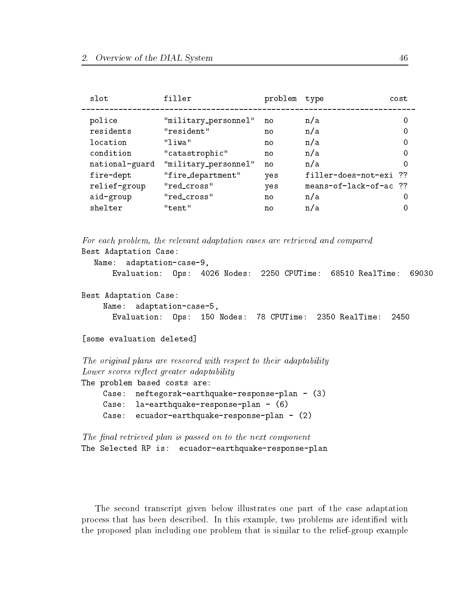| slot           | filler               | problem | type                   | cost |
|----------------|----------------------|---------|------------------------|------|
| police         | "military_personnel" | no      | n/a                    | 0    |
| residents      | "resident"           | no      | n/a                    | 0    |
| location       | "liwa"               | no      | n/a                    | 0    |
| condition      | "catastrophic"       | no      | n/a                    | 0    |
| national-guard | "military_personnel" | no      | n/a                    | 0    |
| fire-dept      | "fire_department"    | yes     | filler-does-not-exi ?? |      |
| relief-group   | "red_cross"          | yes     | means-of-lack-of-ac ?? |      |
| aid-group      | "red_cross"          | no      | n/a                    | 0    |
| shelter        | "tent"               | no      | n/a                    | 0    |
|                |                      |         |                        |      |

For each problem, the relevant adaptation cases are retrieved and compared Best Adaptation Case: Name: adaptation-case-9, Evaluation: Ops: 4026 Nodes: 2250 CPUTime: 68510 RealTime: 69030 Best Adaptation Case: Name: adaptation-case-5,

Evaluation: Ops: 150 Nodes: 78 CPUTime: 2350 RealTime: 2450

```
[some evaluation deleted]
[some evaluation deleted]
```
The original plans are rescored with respect to their adaptability Lower scores reflect greater adaptability

The problem based costs are:

Case: neftegorsk-earthquake-response-plan - (3) Case: la-earthquake-response-plan - (6) Case:  $ecuador-earthquake-response-plan - (2)$ 

```
The final retrieved plan is passed on to the next component
The Selected RP is: ecuador-earthquake-response-plan
```
The second transcript given below illustrates one part of the case adaptation process that has been described. In this example, two problems are identified with the proposed plan including one problem that is similar to the relief-group example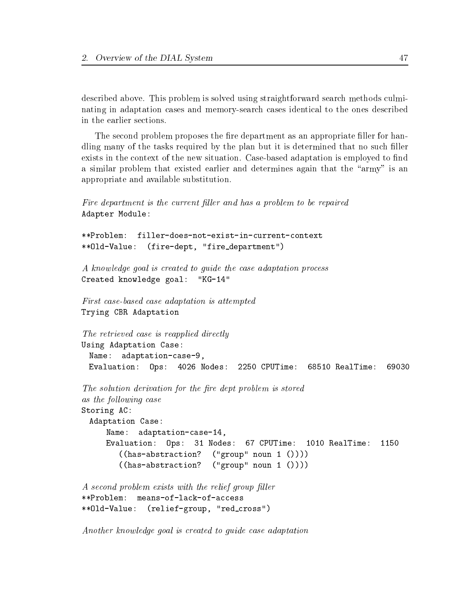described above. This problem is solved using straightforward search methods culminating in adaptation cases and memory-search cases identical to the ones described in the earlier sections.

The second problem proposes the fire department as an appropriate filler for handling many of the tasks required by the plan but it is determined that no such filler exists in the context of the new situation. Case-based adaptation is employed to find a similar problem that existed earlier and determines again that the "army" is an appropriate and available substitution.

```
Fire department is the current filler and has a problem to be repaired
Adapter Module:
```

```
**Problem:
           filler-does-not-exist-in-current-context
**Old-Value: (fire-dept, "fire department")
```
A know ledge goal is created to guide the case adaptation process Created knowledge goal: "KG-14"

```
First case-based case adaptation is attempted
Trying CBR Adaptation
```

```
The retrieved case is reapplied directly
Using Adaptation Case:
 Name: adaptation-case-9,
                                                                 69030
 Evaluation: Ops: 4026 Nodes: 2250 CPUTime: 68510 RealTime: 69030
```

```
The solution derivation for the fire dept problem is stored
as the following case
Storing AC:
 Adaptation Case:
     Name: adaptation-case-14,
     Evaluation: Ops: 31 Nodes: 67 CPUTime: 1010 RealTime:
                                                                    1150
        ((has-abstraction? ("group" noun 1 ())))
        ((has-abstraction? ("group" noun 1 ())))
```

```
A second problem exists with the relief group filler
**Problem:
            means-of-lack-of-access
**Old-Value: (relief-group, "red cross")
```
Another know ledge goal is created to guide case adaptation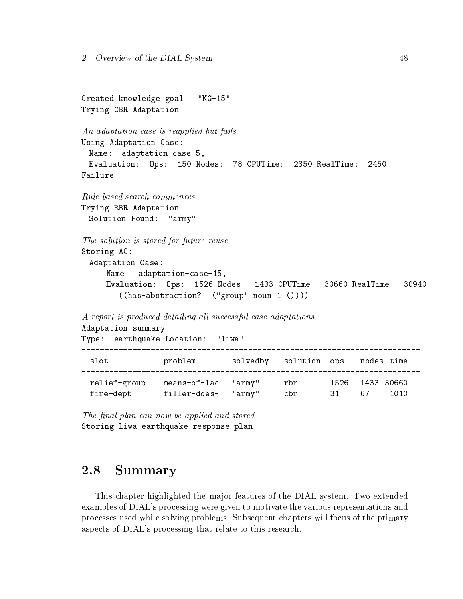```
Created knowledge goal: "KG-15"
Trying CBR Adaptation
An adaptation case is reapplied but fails
Using Adaptation Case:
 Name: adaptation-case-5,
 Evaluation: Ops: 150 Nodes: 78 CPUTime:
                                       2350 RealTime:
                                                     2450
Failure
Trying RBR Adaptation
 Solution Found: "army"
The solution is stored for future reuse
Storing AC:
 Adaptation Case:
    Name: adaptation-case-15,
    Evaluation: Ops: 1526 Nodes: 1433 CPUTime: 30660 RealTime: 30940
       ((has-abstraction? ("group" noun 1 ())))
A report is produced detailing all successful case adaptations
Adaptation summary
Type: earthquake Location: "liwa"
______________________
 slot problem solvedby solution ops nodes time
relief-group means-of-lac "army" rbr 1526 1433 30660
 fire-dept filler-does- "army" cbr 31 67 1010
                                              3167
```
#### 2.8 **Summary**

This chapter highlighted the major features of the DIAL system. Two extended examples of DIAL's processing were given to motivate the various representations and processes used while solving problems. Subsequent chapters will focus of the primary aspects of DIAL's processing that relate to this research.

The final plan can now be applied and stored Storing liwa-earthquake-response-plan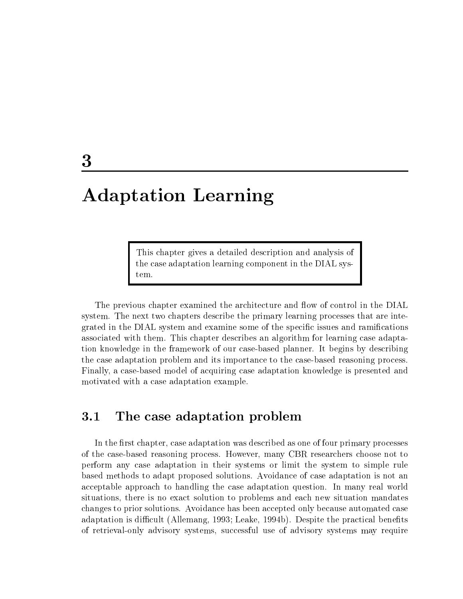# Adaptation Learning

This chapter gives a detailed description and analysis of the case adaptation learning component in the DIAL system.

The previous chapter examined the architecture and flow of control in the DIAL system. The next two chapters describe the primary learning processes that are integrated in the DIAL system and examine some of the specific issues and ramifications associated with them. This chapter describes an algorithm for learning case adaptation knowledge in the framework of our case-based planner. It begins by describing the case adaptation problem and its importance to the case-based reasoning process. Finally, a case-based model of acquiring case adaptation knowledge is presented and motivated with a case adaptation example.

#### $3.1$ The case adaptation problem

In the first chapter, case adaptation was described as one of four primary processes of the case-based reasoning process. However, many CBR researchers choose not to perform any case adaptation in their systems or limit the system to simple rule based methods to adapt proposed solutions. Avoidance of case adaptation is not an acceptable approach to handling the case adaptation question. In many real world situations, there is no exact solution to problems and each new situation mandates changes to prior solutions. Avoidance has been accepted only because automated case adaptation is difficult (Allemang, 1993; Leake, 1994b). Despite the practical benefits of retrieval-only advisory systems, successful use of advisory systems may require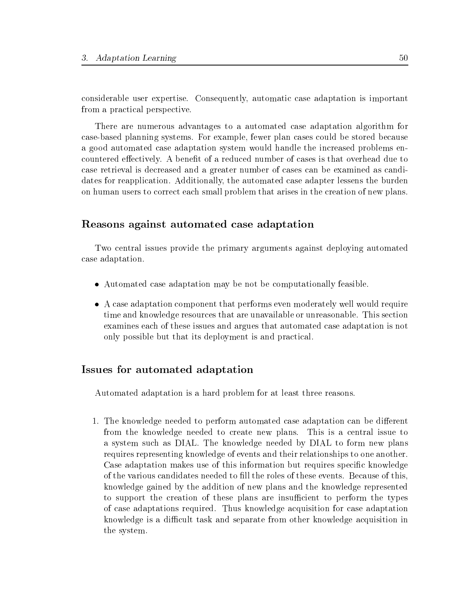considerable user expertise. Consequently, automatic case adaptation is important from a practical perspective.

There are numerous advantages to a automated case adaptation algorithm for case-based planning systems. For example, fewer plan cases could be stored because a good automated case adaptation system would handle the increased problems encountered effectively. A benefit of a reduced number of cases is that overhead due to case retrieval is decreased and a greater number of cases can be examined as candidates for reapplication. Additionally, the automated case adapter lessens the burden on human users to correct each small problem that arises in the creation of new plans.

## Reasons against automated case adaptation

Two central issues provide the primary arguments against deploying automated case adaptation.

- Automated case adaptation may be not be computationally feasible.
- A case adaptation component that performs even moderately well would require time and knowledge resources that are unavailable or unreasonable. This section examines each of these issues and argues that automated case adaptation is not only possible but that its deployment is and practical.

## Issues for automated adaptation

Automated adaptation is a hard problem for at least three reasons.

1. The knowledge needed to perform automated case adaptation can be different from the knowledge needed to create new plans. This is a central issue to a system such as DIAL. The knowledge needed by DIAL to form new plans requires representing knowledge of events and their relationships to one another. Case adaptation makes use of this information but requires specic knowledge of the various candidates needed to fill the roles of these events. Because of this, knowledge gained by the addition of new plans and the knowledge represented to support the creation of these plans are insufficient to perform the types of case adaptations required. Thus knowledge acquisition for case adaptation knowledge is a difficult task and separate from other knowledge acquisition in the system.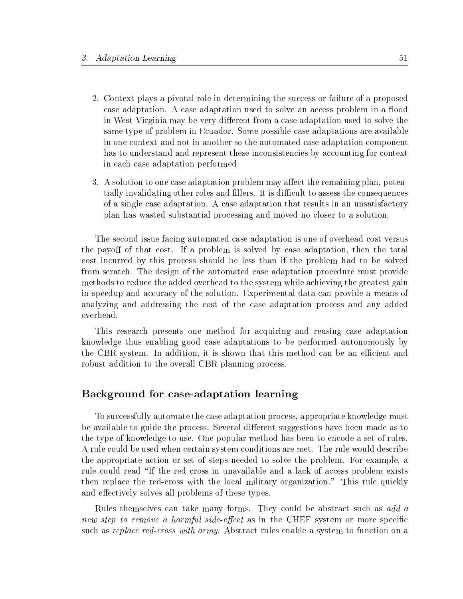- 2. Context plays a pivotal role in determining the success or failure of a proposed case adaptation. A case adaptation used to solve an access problem in a flood in West Virginia may be very different from a case adaptation used to solve the same type of problem in Ecuador. Some possible case adaptations are available in one context and not in another so the automated case adaptation component has to understand and represent these inconsistencies by accounting for context in each case adaptation performed.
- 3. A solution to one case adaptation problem may affect the remaining plan, potentially invalidating other roles and fillers. It is difficult to assess the consequences of a single case adaptation. A case adaptation that results in an unsatisfactory plan has wasted substantial processing and moved no closer to a solution.

The second issue facing automated case adaptation is one of overhead cost versus the payoff of that cost. If a problem is solved by case adaptation, then the total cost incurred by this process should be less than if the problem had to be solved from scratch. The design of the automated case adaptation procedure must provide methods to reduce the added overhead to the system while achieving the greatest gain in speedup and accuracy of the solution. Experimental data can provide a means of analyzing and addressing the cost of the case adaptation process and any added

This research presents one method for acquiring and reusing case adaptation knowledge thus enabling good case adaptations to be performed autonomously by the CBR system. In addition, it is shown that this method can be an efficient and robust addition to the overall CBR planning process.

## Background for case-adaptation learning

To successfully automate the case adaptation process, appropriate knowledge must be available to guide the process. Several different suggestions have been made as to the type of knowledge to use. One popular method has been to encode a set of rules. A rule could be used when certain system conditions are met. The rule would describe the appropriate action or set of steps needed to solve the problem. For example, a rule could read \If the red cross in unavailable and a lack of access problem exists then replace the red-cross with the local military organization." This rule quickly and effectively solves all problems of these types.

Rules themselves can take many forms. They could be abstract such as add a new step to remove a harmful side-effect as in the CHEF system or more specific such as replace red-cross with army. Abstract rules enable a system to function on a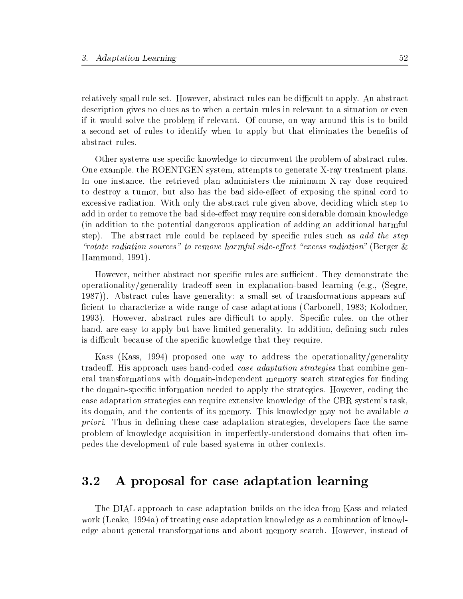relatively small rule set. However, abstract rules can be difficult to apply. An abstract description gives no clues as to when a certain rules in relevant to a situation or even if it would solve the problem if relevant. Of course, on way around this is to build a second set of rules to identify when to apply but that eliminates the benefits of abstract rules.

Other systems use specific knowledge to circumvent the problem of abstract rules. One example, the ROENTGEN system, attempts to generate X-ray treatment plans. In one instance, the retrieved plan administers the minimum X-ray dose required to destroy a tumor, but also has the bad side-effect of exposing the spinal cord to excessive radiation. With only the abstract rule given above, deciding which step to add in order to remove the bad side-effect may require considerable domain knowledge (in addition to the potential dangerous application of adding an additional harmful step). The abstract rule could be replaced by specific rules such as add the step "rotate radiation sources" to remove harmful side-effect "excess radiation" (Berger  $\&$ Hammond, 1991).

However, neither abstract nor specific rules are sufficient. They demonstrate the operationality/generality tradeoff seen in explanation-based learning (e.g., (Segre, 1987)). Abstract rules have generality: a small set of transformations appears suf ficient to characterize a wide range of case adaptations (Carbonell, 1983; Kolodner, 1993). However, abstract rules are difficult to apply. Specific rules, on the other hand, are easy to apply but have limited generality. In addition, defining such rules is difficult because of the specific knowledge that they require.

Kass (Kass, 1994) proposed one way to address the operationality/generality tradeoff. His approach uses hand-coded *case adaptation strategies* that combine general transformations with domain-independent memory search strategies for finding the domain-specic information needed to apply the strategies. However, coding the case adaptation strategies can require extensive knowledge of the CBR system's task, its domain, and the contents of its memory. This knowledge may not be available a priori. Thus in defining these case adaptation strategies, developers face the same problem of knowledge acquisition in imperfectly-understood domains that often impedes the development of rule-based systems in other contexts.

#### $3.2$ A proposal for case adaptation learning

The DIAL approach to case adaptation builds on the idea from Kass and related work (Leake, 1994a) of treating case adaptation knowledge as a combination of knowledge about general transformations and about memory search. However, instead of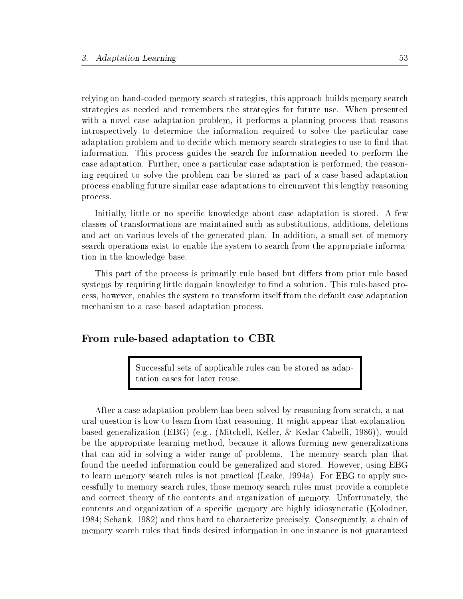relying on hand-coded memory search strategies, this approach builds memory search strategies as needed and remembers the strategies for future use. When presented with a novel case adaptation problem, it performs a planning process that reasons introspectively to determine the information required to solve the particular case adaptation problem and to decide which memory search strategies to use to find that information. This process guides the search for information needed to perform the case adaptation. Further, once a particular case adaptation is performed, the reasoning required to solve the problem can be stored as part of a case-based adaptation process enabling future similar case adaptations to circumvent this lengthy reasoning process.

Initially, little or no specific knowledge about case adaptation is stored. A few classes of transformations are maintained such as substitutions, additions, deletions and act on various levels of the generated plan. In addition, a small set of memory search operations exist to enable the system to search from the appropriate information in the knowledge base.

This part of the process is primarily rule based but differs from prior rule based systems by requiring little domain knowledge to find a solution. This rule-based process, however, enables the system to transform itself from the default case adaptation mechanism to a case based adaptation process.

#### From rule-based adaptation to CBR

Successful sets of applicable rules can be stored as adaptation cases for later reuse.

After a case adaptation problem has been solved by reasoning from scratch, a natural question is how to learn from that reasoning. It might appear that explanationbased generalization (EBG) (e.g., (Mitchell, Keller, & Kedar-Cabelli, 1986)), would be the appropriate learning method, because it allows forming new generalizations that can aid in solving a wider range of problems. The memory search plan that found the needed information could be generalized and stored. However, using EBG to learn memory search rules is not practical (Leake, 1994a). For EBG to apply successfully to memory search rules, those memory search rules must provide a complete and correct theory of the contents and organization of memory. Unfortunately, the contents and organization of a specic memory are highly idiosyncratic (Kolodner, 1984; Schank, 1982) and thus hard to characterize precisely. Consequently, a chain of memory search rules that finds desired information in one instance is not guaranteed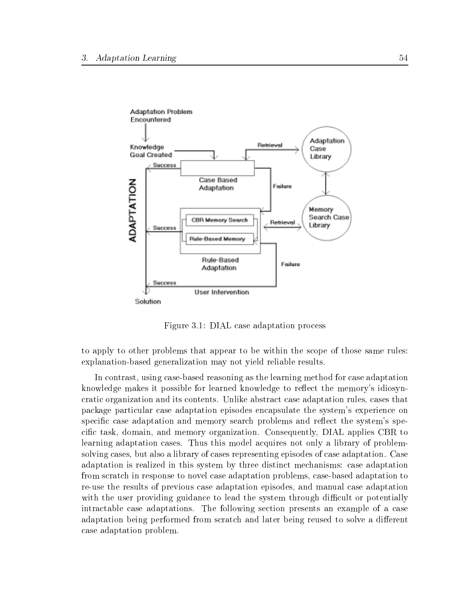

Figure 3.1: DIAL case adaptation process

to apply to other problems that appear to be within the scope of those same rules: explanation-based generalization may not yield reliable results.

In contrast, using case-based reasoning as the learning method for case adaptation knowledge makes it possible for learned knowledge to reflect the memory's idiosyncratic organization and its contents. Unlike abstract case adaptation rules, cases that package particular case adaptation episodes encapsulate the system's experience on specific case adaptation and memory search problems and reflect the system's specific task, domain, and memory organization. Consequently, DIAL applies CBR to learning adaptation cases. Thus this model acquires not only a library of problemsolving cases, but also a library of cases representing episodes of case adaptation. Case adaptation is realized in this system by three distinct mechanisms: case adaptation from scratch in response to novel case adaptation problems, case-based adaptation to re-use the results of previous case adaptation episodes, and manual case adaptation with the user providing guidance to lead the system through difficult or potentially intractable case adaptations. The following section presents an example of a case adaptation being performed from scratch and later being reused to solve a different case adaptation problem.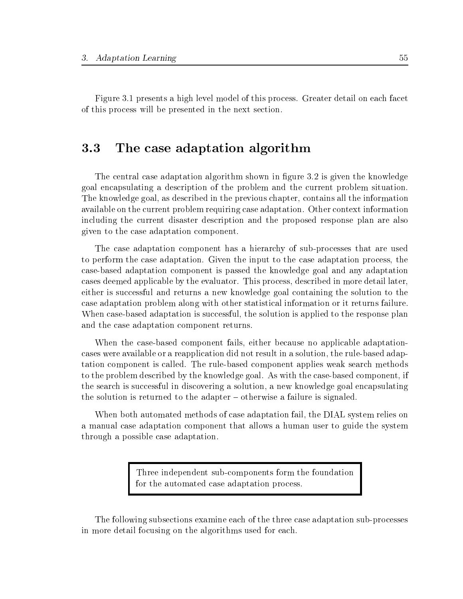Figure 3.1 presents a high level model of this process. Greater detail on each facet of this process will be presented in the next section.

# 3.3 The case adaptation algorithm

The central case adaptation algorithm shown in figure 3.2 is given the knowledge goal encapsulating a description of the problem and the current problem situation. The knowledge goal, as described in the previous chapter, contains all the information available on the current problem requiring case adaptation. Other context information including the current disaster description and the proposed response plan are also given to the case adaptation component.

The case adaptation component has a hierarchy of sub-processes that are used to perform the case adaptation. Given the input to the case adaptation process, the case-based adaptation component is passed the knowledge goal and any adaptation cases deemed applicable by the evaluator. This process, described in more detail later, either is successful and returns a new knowledge goal containing the solution to the case adaptation problem along with other statistical information or it returns failure. When case-based adaptation is successful, the solution is applied to the response plan and the case adaptation component returns.

When the case-based component fails, either because no applicable adaptationcases were available or a reapplication did not result in a solution, the rule-based adaptation component is called. The rule-based component applies weak search methods to the problem described by the knowledge goal. As with the case-based component, if the search is successful in discovering a solution, a new knowledge goal encapsulating the solution is returned to the adapter  ${\bf -}$  otherwise a failure is signaled.

When both automated methods of case adaptation fail, the DIAL system relies on a manual case adaptation component that allows a human user to guide the system through a possible case adaptation.

> Three independent sub-components form the foundation for the automated case adaptation process.

The following subsections examine each of the three case adaptation sub-processes in more detail focusing on the algorithms used for each.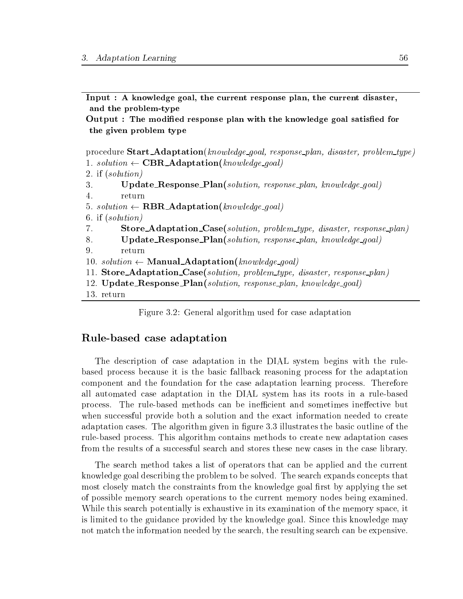Input : A knowledge goal, the current response plan, the current disaster, and the problem-type

Output : The modied response plan with the knowledge goal satised for the given problem type

procedure **Start\_Adaptation**(knowledge\_goal, response\_plan, disaster, problem\_type) 1. solution  $\leftarrow$  CBR\_Adaptation(knowledge\_goal)

```
2. if (solution)
```
- 3. Update\_Response\_Plan(solution, response\_plan, knowledge\_goal)
- $\overline{4}$ . return
- 5. solution  $\leftarrow$  **RBR\_Adaptation**(knowledge\_goal)
- 6. if (solution)
- 7. Store\_Adaptation\_Case(solution, problem\_type, disaster, response\_plan)
- 8. Update\_Response\_Plan(solution, response\_plan, knowledge\_goal)
- 

10. solution  $\leftarrow$  **Manual Adaptation**(knowledge goal)

- 11. Store Adaptation Case(solution, problem type, disaster, response plan)
- 12. Update\_Response\_Plan(solution, response\_plan, knowledge\_goal)
- 13. return

Figure 3.2: General algorithm used for case adaptation

#### Rule-based case adaptation

The description of case adaptation in the DIAL system begins with the rulebased process because it is the basic fallback reasoning process for the adaptation component and the foundation for the case adaptation learning process. Therefore all automated case adaptation in the DIAL system has its roots in a rule-based process. The rule-based methods can be inefficient and sometimes ineffective but when successful provide both a solution and the exact information needed to create adaptation cases. The algorithm given in figure 3.3 illustrates the basic outline of the rule-based process. This algorithm contains methods to create new adaptation cases from the results of a successful search and stores these new cases in the case library.

The search method takes a list of operators that can be applied and the current knowledge goal describing the problem to be solved. The search expands concepts that most closely match the constraints from the knowledge goal first by applying the set of possible memory search operations to the current memory nodes being examined. While this search potentially is exhaustive in its examination of the memory space, it is limited to the guidance provided by the knowledge goal. Since this knowledge may not match the information needed by the search, the resulting search can be expensive.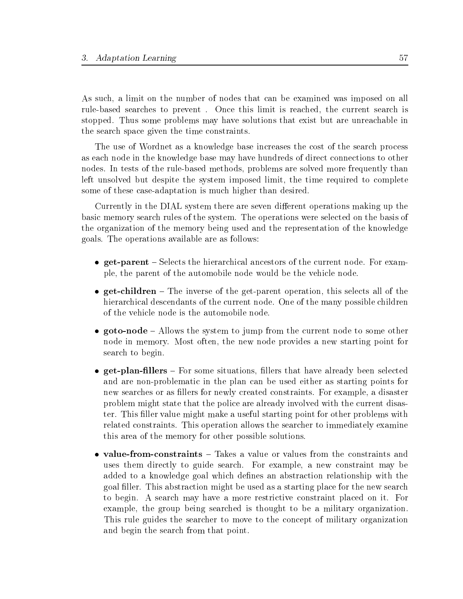As such, a limit on the number of nodes that can be examined was imposed on all rule-based searches to prevent. Once this limit is reached, the current search is stopped. Thus some problems may have solutions that exist but are unreachable in the search space given the time constraints.

The use of Wordnet as a knowledge base increases the cost of the search process as each node in the knowledge base may have hundreds of direct connections to other nodes. In tests of the rule-based methods, problems are solved more frequently than left unsolved but despite the system imposed limit, the time required to complete some of these case-adaptation is much higher than desired.

Currently in the DIAL system there are seven different operations making up the basic memory search rules of the system. The operations were selected on the basis of the organization of the memory being used and the representation of the knowledge goals. The operations available are as follows:

- get-parent Selects the hierarchical ancestors of the current node. For example, the parent of the automobile node would be the vehicle node.
- $\bullet$  get-children  $-$  The inverse of the get-parent operation, this selects all of the hierarchical descendants of the current node. One of the many possible children of the vehicle node is the automobile node.
- $\bullet$  goto-node  $-$  Allows the system to jump from the current node to some other node in memory. Most often, the new node provides a new starting point for search to begin.
- $\bullet$  get-plan-fillers For some situations, fillers that have already been selected and are non-problematic in the plan can be used either as starting points for new searches or as llers for newly created constraints. For example, a disaster problem might state that the police are already involved with the current disaster. This filler value might make a useful starting point for other problems with related constraints. This operation allows the searcher to immediately examine this area of the memory for other possible solutions.
- value-from-constraints Takes a value or values from the constraints and uses them directly to guide search. For example, a new constraint may be added to a knowledge goal which defines an abstraction relationship with the goal filler. This abstraction might be used as a starting place for the new search to begin. A search may have a more restrictive constraint placed on it. For example, the group being searched is thought to be a military organization. This rule guides the searcher to move to the concept of military organization and begin the search from that point.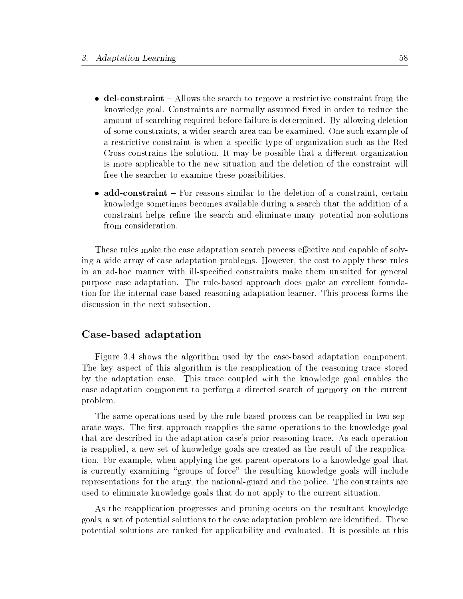- $\bullet$  del-constraint  $-$  Allows the search to remove a restrictive constraint from the knowledge goal. Constraints are normally assumed fixed in order to reduce the amount of searching required before failure is determined. By allowing deletion of some constraints, a wider search area can be examined. One such example of a restrictive constraint is when a specic type of organization such as the Red Cross constrains the solution. It may be possible that a different organization is more applicable to the new situation and the deletion of the constraint will free the searcher to examine these possibilities.
- add-constraint For reasons similar to the deletion of a constraint, certain knowledge sometimes becomes available during a search that the addition of a constraint helps refine the search and eliminate many potential non-solutions from consideration.

These rules make the case adaptation search process effective and capable of solving a wide array of case adaptation problems. However, the cost to apply these rules in an ad-hoc manner with ill-specified constraints make them unsuited for general purpose case adaptation. The rule-based approach does make an excellent foundation for the internal case-based reasoning adaptation learner. This process forms the discussion in the next subsection.

#### Case-based adaptation

Figure 3.4 shows the algorithm used by the case-based adaptation component. The key aspect of this algorithm is the reapplication of the reasoning trace stored by the adaptation case. This trace coupled with the knowledge goal enables the case adaptation component to perform a directed search of memory on the current problem.

The same operations used by the rule-based process can be reapplied in two separate ways. The first approach reapplies the same operations to the knowledge goal that are described in the adaptation case's prior reasoning trace. As each operation is reapplied, a new set of knowledge goals are created as the result of the reapplication. For example, when applying the get-parent operators to a knowledge goal that is currently examining "groups of force" the resulting knowledge goals will include representations for the army, the national-guard and the police. The constraints are used to eliminate knowledge goals that do not apply to the current situation.

As the reapplication progresses and pruning occurs on the resultant knowledge goals, a set of potential solutions to the case adaptation problem are identified. These potential solutions are ranked for applicability and evaluated. It is possible at this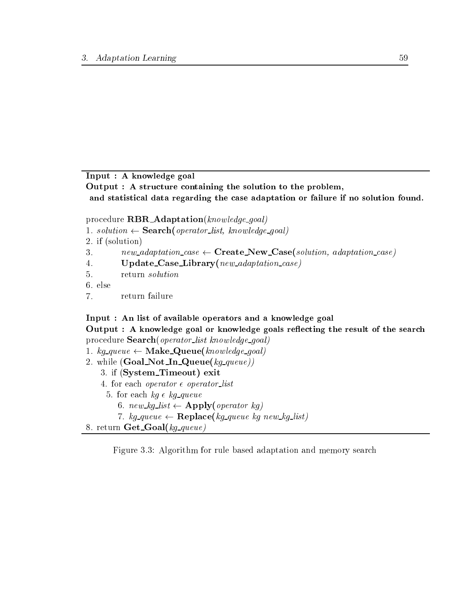Input : A knowledge goal

Output : A structure containing the solution to the problem, and statistical data regarding the case adaptation or failure if no solution found.

procedure  $\text{RBR\_Adaptation}(knowledge\_goal)$ 

- 1. solution  $\leftarrow$  **Search**(operator\_list, knowledge\_goal)
- 2. if (solution)
- 3.  $new\_adaptation\_case \leftarrow Create\_New\_Case(solution, adaptation\_case)$
- $\overline{4}$ .  $\text{Update\_Case\_Library}(new\_adaptation\_case)$
- 5. return solution
- 6. else
- $\overline{7}$ . return failure

## Input : An list of available operators and a knowledge goal

Output : A knowledge goal or knowledge goals reflecting the result of the search procedure **Search**(*operator\_list knowledge\_goal*)

- 1.  $kg\text{-}queue \leftarrow \text{Make\_Queue}(knowledge\text{-}goal)$
- 2. while  $(GoalNotInQueue(kg\_\textit{queue}))$ 
	- 3. if (System Timeout) exit
	- 4. for each *operator*  $\epsilon$  *operator\_list* 
		- 5. for each  $kg \epsilon$  kg queue
			- 6. new kg list  $\leftarrow$  Apply(operator kg)
			- 7. kg queue  $\leftarrow \textbf{Replace}(kg\_\textit{queue kg new\_\textit{kg} \_\textit{list})$

```
8. return \mathbf{Get\_Goal}(kg\text{-}queue)
```
Figure 3.3: Algorithm for rule based adaptation and memory search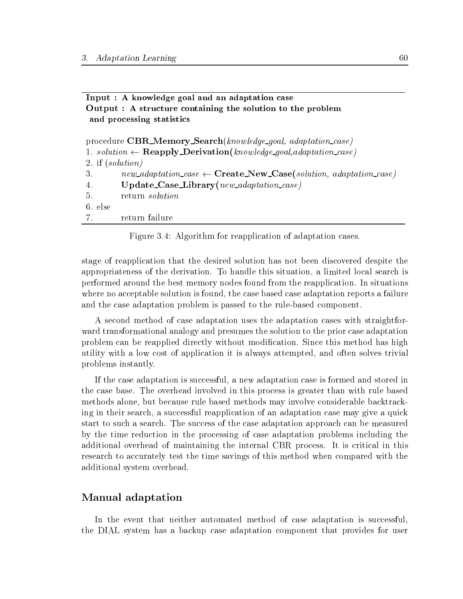| Input : A knowledge goal and an adaptation case                                                 |
|-------------------------------------------------------------------------------------------------|
| Output : A structure containing the solution to the problem                                     |
| and processing statistics                                                                       |
|                                                                                                 |
| procedure CBR_Memory_Search(knowledge_goal, adaptation_case)                                    |
| 1. solution $\leftarrow$ <b>Reapply Derivation</b> (knowledge_goal,adaptation_case)             |
| 2. if $(solution)$                                                                              |
| $new\_adaptation\_case \leftarrow \textbf{Create\_New\_Case}(solution, adaptation\_case)$<br>3. |
| $Update\_Case\_Library(new\_adaptation\_case)$<br>4.                                            |
| return solution<br>5.                                                                           |
| 6. else                                                                                         |
| return failure<br>7.                                                                            |

Figure 3.4: Algorithm for reapplication of adaptation cases.

stage of reapplication that the desired solution has not been discovered despite the appropriateness of the derivation. To handle this situation, a limited local search is performed around the best memory nodes found from the reapplication. In situations where no acceptable solution is found, the case based case adaptation reports a failure and the case adaptation problem is passed to the rule-based component.

A second method of case adaptation uses the adaptation cases with straightforward transformational analogy and presumes the solution to the prior case adaptation problem can be reapplied directly without modication. Since this method has high utility with a low cost of application it is always attempted, and often solves trivial problems instantly.

If the case adaptation is successful, a new adaptation case is formed and stored in the case base. The overhead involved in this process is greater than with rule based methods alone, but because rule based methods may involve considerable backtracking in their search, a successful reapplication of an adaptation case may give a quick start to such a search. The success of the case adaptation approach can be measured by the time reduction in the processing of case adaptation problems including the additional overhead of maintaining the internal CBR process. It is critical in this research to accurately test the time savings of this method when compared with the additional system overhead.

## Manual adaptation

In the event that neither automated method of case adaptation is successful, the DIAL system has a backup case adaptation component that provides for user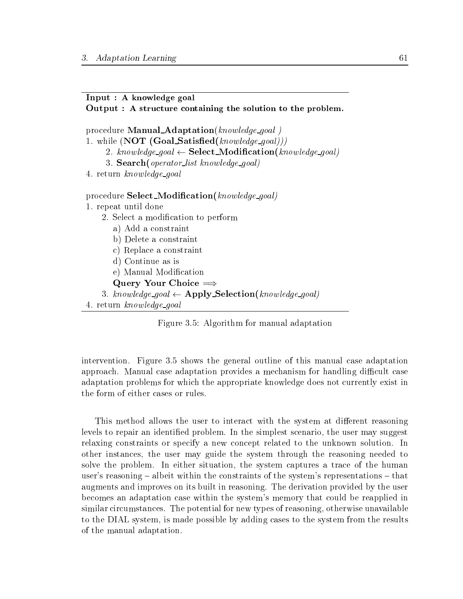### Input : A knowledge goal

Output : A structure containing the solution to the problem.

procedure **Manual\_Adaptation**(knowledge\_goal) 1. while  $(NOT (Goal\_Satisfied(knowledge\_goal)))$ 2. knowledge\_goal  $\leftarrow$  Select\_Modification(knowledge\_goal) 3. **Search**(*operator\_list knowledge\_goal*) 4. return know ledge goal procedure **Select\_Modification**(knowledge\_goal) 1. repeat until done 2. Select a modication to perform a) Add a constraint b) Delete a constraint c) Replace a constraint d) Continue as is e) Manual Modication Query Your Choice  $\Longrightarrow$ 3. knowledge\_goal  $\leftarrow$  Apply\_Selection(knowledge\_goal) 4. return know ledge goal

Figure 3.5: Algorithm for manual adaptation

intervention. Figure 3.5 shows the general outline of this manual case adaptation approach. Manual case adaptation provides a mechanism for handling difficult case adaptation problems for which the appropriate knowledge does not currently exist in the form of either cases or rules.

This method allows the user to interact with the system at different reasoning levels to repair an identied problem. In the simplest scenario, the user may suggest relaxing constraints or specify a new concept related to the unknown solution. In other instances, the user may guide the system through the reasoning needed to solve the problem. In either situation, the system captures a trace of the human user's reasoning  $-$  albeit within the constraints of the system's representations  $-$  that augments and improves on its built in reasoning. The derivation provided by the user becomes an adaptation case within the system's memory that could be reapplied in similar circumstances. The potential for new types of reasoning, otherwise unavailable to the DIAL system, is made possible by adding cases to the system from the results of the manual adaptation.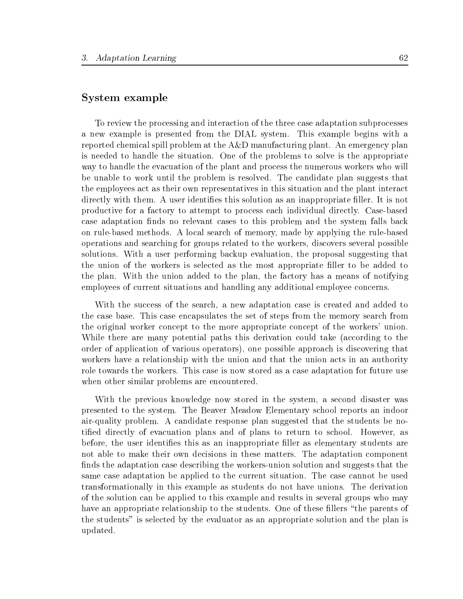## System example

To review the processing and interaction of the three case adaptation subprocesses a new example is presented from the DIAL system. This example begins with a reported chemical spill problem at the A&D manufacturing plant. An emergency plan is needed to handle the situation. One of the problems to solve is the appropriate way to handle the evacuation of the plant and process the numerous workers who will be unable to work until the problem is resolved. The candidate plan suggests that the employees act as their own representatives in this situation and the plant interact directly with them. A user identifies this solution as an inappropriate filler. It is not productive for a factory to attempt to process each individual directly. Case-based case adaptation finds no relevant cases to this problem and the system falls back on rule-based methods. A local search of memory, made by applying the rule-based operations and searching for groups related to the workers, discovers several possible solutions. With a user performing backup evaluation, the proposal suggesting that the union of the workers is selected as the most appropriate filler to be added to the plan. With the union added to the plan, the factory has a means of notifying employees of current situations and handling any additional employee concerns.

With the success of the search, a new adaptation case is created and added to the case base. This case encapsulates the set of steps from the memory search from the original worker concept to the more appropriate concept of the workers' union. While there are many potential paths this derivation could take (according to the order of application of various operators), one possible approach is discovering that workers have a relationship with the union and that the union acts in an authority role towards the workers. This case is now stored as a case adaptation for future use when other similar problems are encountered.

With the previous knowledge now stored in the system, a second disaster was presented to the system. The Beaver Meadow Elementary school reports an indoor air-quality problem. A candidate response plan suggested that the students be notied directly of evacuation plans and of plans to return to school. However, as before, the user identies this as an inappropriate ller as elementary students are not able to make their own decisions in these matters. The adaptation component finds the adaptation case describing the workers-union solution and suggests that the same case adaptation be applied to the current situation. The case cannot be used transformationally in this example as students do not have unions. The derivation of the solution can be applied to this example and results in several groups who may have an appropriate relationship to the students. One of these fillers "the parents of the students" is selected by the evaluator as an appropriate solution and the plan is updated.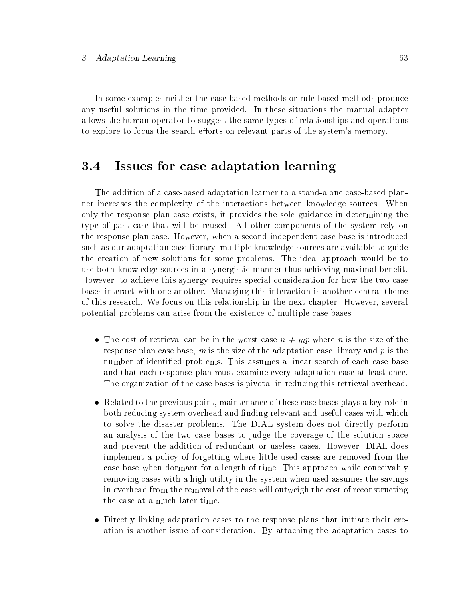In some examples neither the case-based methods or rule-based methods produce any useful solutions in the time provided. In these situations the manual adapter allows the human operator to suggest the same types of relationships and operations to explore to focus the search efforts on relevant parts of the system's memory.

#### Issues for case adaptation learning  $3.4\,$

The addition of a case-based adaptation learner to a stand-alone case-based planner increases the complexity of the interactions between knowledge sources. When only the response plan case exists, it provides the sole guidance in determining the type of past case that will be reused. All other components of the system rely on the response plan case. However, when a second independent case base is introduced such as our adaptation case library, multiple knowledge sources are available to guide the creation of new solutions for some problems. The ideal approach would be to use both knowledge sources in a synergistic manner thus achieving maximal benet. However, to achieve this synergy requires special consideration for how the two case bases interact with one another. Managing this interaction is another central theme of this research. We focus on this relationship in the next chapter. However, several potential problems can arise from the existence of multiple case bases.

- The cost of retrieval can be in the worst case  $n + mp$  where n is the size of the response plan case base,  $m$  is the size of the adaptation case library and  $p$  is the number of identified problems. This assumes a linear search of each case base and that each response plan must examine every adaptation case at least once. The organization of the case bases is pivotal in reducing this retrieval overhead.
- Related to the previous point, maintenance of these case bases plays a key role in both reducing system overhead and finding relevant and useful cases with which to solve the disaster problems. The DIAL system does not directly perform an analysis of the two case bases to judge the coverage of the solution space and prevent the addition of redundant or useless cases. However, DIAL does implement a policy of forgetting where little used cases are removed from the case base when dormant for a length of time. This approach while conceivably removing cases with a high utility in the system when used assumes the savings in overhead from the removal of the case will outweigh the cost of reconstructing the case at a much later time.
- Directly linking adaptation cases to the response plans that initiate their creation is another issue of consideration. By attaching the adaptation cases to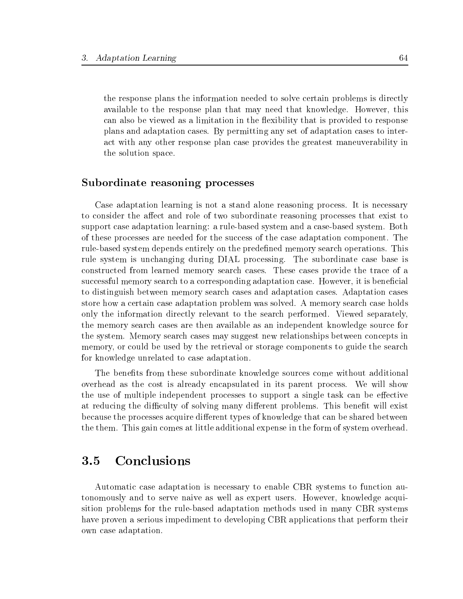the response plans the information needed to solve certain problems is directly available to the response plan that may need that knowledge. However, this can also be viewed as a limitation in the flexibility that is provided to response plans and adaptation cases. By permitting any set of adaptation cases to interact with any other response plan case provides the greatest maneuverability in the solution space.

## Subordinate reasoning processes

Case adaptation learning is not a stand alone reasoning process. It is necessary to consider the affect and role of two subordinate reasoning processes that exist to support case adaptation learning: a rule-based system and a case-based system. Both of these processes are needed for the success of the case adaptation component. The rule-based system depends entirely on the predened memory search operations. This rule system is unchanging during DIAL processing. The subordinate case base is constructed from learned memory search cases. These cases provide the trace of a successful memory search to a corresponding adaptation case. However, it is beneficial to distinguish between memory search cases and adaptation cases. Adaptation cases store how a certain case adaptation problem was solved. A memory search case holds only the information directly relevant to the search performed. Viewed separately, the memory search cases are then available as an independent knowledge source for the system. Memory search cases may suggest new relationships between concepts in memory, or could be used by the retrieval or storage components to guide the search for knowledge unrelated to case adaptation.

The benefits from these subordinate knowledge sources come without additional overhead as the cost is already encapsulated in its parent process. We will show the use of multiple independent processes to support a single task can be effective at reducing the difficulty of solving many different problems. This benefit will exist because the processes acquire different types of knowledge that can be shared between the them. This gain comes at little additional expense in the form of system overhead.

#### **Conclusions**  $3.5$

Automatic case adaptation is necessary to enable CBR systems to function autonomously and to serve naive as well as expert users. However, knowledge acquisition problems for the rule-based adaptation methods used in many CBR systems have proven a serious impediment to developing CBR applications that perform their own case adaptation.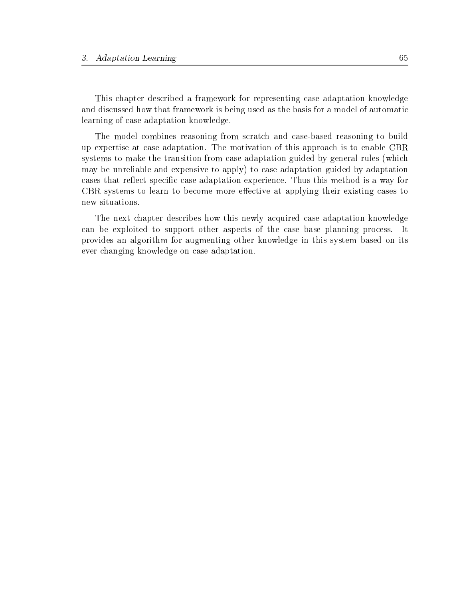This chapter described a framework for representing case adaptation knowledge and discussed how that framework is being used as the basis for a model of automatic learning of case adaptation knowledge.

The model combines reasoning from scratch and case-based reasoning to build up expertise at case adaptation. The motivation of this approach is to enable CBR systems to make the transition from case adaptation guided by general rules (which may be unreliable and expensive to apply) to case adaptation guided by adaptation cases that reflect specific case adaptation experience. Thus this method is a way for CBR systems to learn to become more effective at applying their existing cases to new situations.

The next chapter describes how this newly acquired case adaptation knowledge can be exploited to support other aspects of the case base planning process. It provides an algorithm for augmenting other knowledge in this system based on its ever changing knowledge on case adaptation.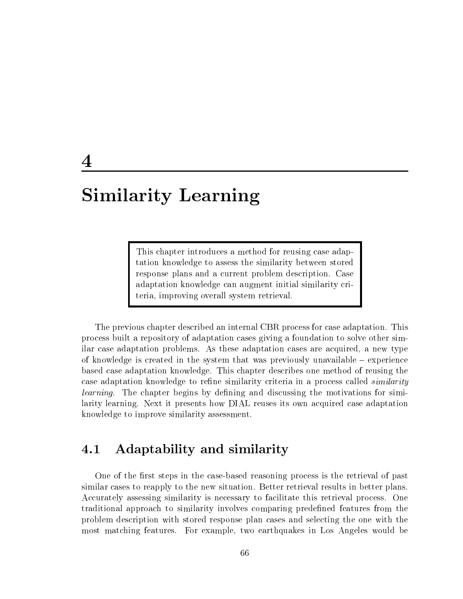# Similarity Learning

This chapter introduces a method for reusing case adaptation knowledge to assess the similarity between stored response plans and a current problem description. Case adaptation knowledge can augment initial similarity criteria, improving overall system retrieval.

The previous chapter described an internal CBR process for case adaptation. This process built a repository of adaptation cases giving a foundation to solve other similar case adaptation problems. As these adaptation cases are acquired, a new type of knowledge is created in the system that was previously unavailable  $-$  experience based case adaptation knowledge. This chapter describes one method of reusing the case adaptation knowledge to refine similarity criteria in a process called *similarity*  $learning.$  The chapter begins by defining and discussing the motivations for similarity learning. Next it presents how DIAL reuses its own acquired case adaptation knowledge to improve similarity assessment.

#### $4.1$ Adaptability and similarity

One of the first steps in the case-based reasoning process is the retrieval of past similar cases to reapply to the new situation. Better retrieval results in better plans. Accurately assessing similarity is necessary to facilitate this retrieval process. One traditional approach to similarity involves comparing predened features from the problem description with stored response plan cases and selecting the one with the most matching features. For example, two earthquakes in Los Angeles would be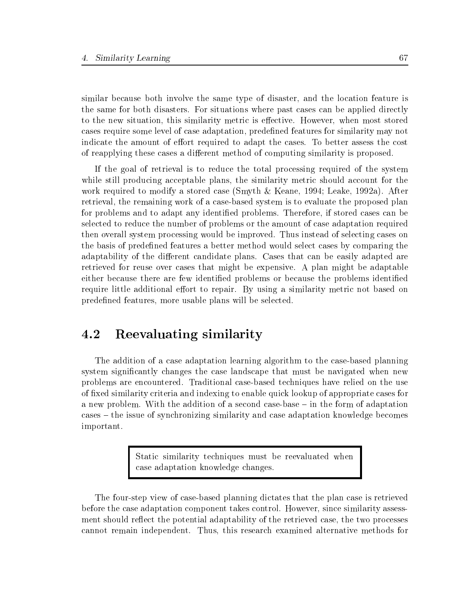similar because both involve the same type of disaster, and the location feature is the same for both disasters. For situations where past cases can be applied directly to the new situation, this similarity metric is effective. However, when most stored cases require some level of case adaptation, predened features for similarity may not indicate the amount of effort required to adapt the cases. To better assess the cost of reapplying these cases a different method of computing similarity is proposed.

If the goal of retrieval is to reduce the total processing required of the system while still producing acceptable plans, the similarity metric should account for the work required to modify a stored case (Smyth & Keane, 1994; Leake, 1992a). After retrieval, the remaining work of a case-based system is to evaluate the proposed plan for problems and to adapt any identied problems. Therefore, if stored cases can be selected to reduce the number of problems or the amount of case adaptation required then overall system processing would be improved. Thus instead of selecting cases on the basis of predefined features a better method would select cases by comparing the adaptability of the different candidate plans. Cases that can be easily adapted are retrieved for reuse over cases that might be expensive. A plan might be adaptable either because there are few identified problems or because the problems identified require little additional effort to repair. By using a similarity metric not based on predefined features, more usable plans will be selected.

# 4.2 Reevaluating similarity

The addition of a case adaptation learning algorithm to the case-based planning system signicantly changes the case landscape that must be navigated when new problems are encountered. Traditional case-based techniques have relied on the use of fixed similarity criteria and indexing to enable quick lookup of appropriate cases for a new problem. With the addition of a second case-base  $-$  in the form of adaptation cases { the issue of synchronizing similarity and case adaptation knowledge becomes important.

> Static similarity techniques must be reevaluated when case adaptation knowledge changes.

The four-step view of case-based planning dictates that the plan case is retrieved before the case adaptation component takes control. However, since similarity assessment should reflect the potential adaptability of the retrieved case, the two processes cannot remain independent. Thus, this research examined alternative methods for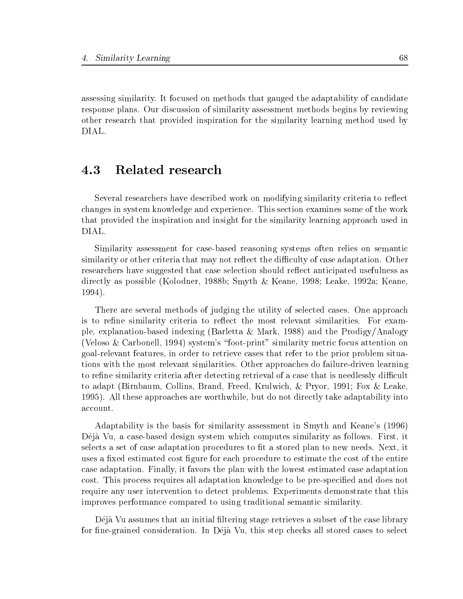assessing similarity. It focused on methods that gauged the adaptability of candidate response plans. Our discussion of similarity assessment methods begins by reviewing other research that provided inspiration for the similarity learning method used by DIAL.

# 4.3 Related research

Several researchers have described work on modifying similarity criteria to reflect changes in system knowledge and experience. This section examines some of the work that provided the inspiration and insight for the similarity learning approach used in DIAL.

Similarity assessment for case-based reasoning systems often relies on semantic similarity or other criteria that may not reflect the difficulty of case adaptation. Other researchers have suggested that case selection should reflect anticipated usefulness as directly as possible (Kolodner, 1988b; Smyth & Keane, 1998; Leake, 1992a; Keane, 1994).

There are several methods of judging the utility of selected cases. One approach is to refine similarity criteria to reflect the most relevant similarities. For example, explanation-based indexing (Barletta & Mark, 1988) and the Prodigy/Analogy (Veloso & Carbonell, 1994) system's "foot-print" similarity metric focus attention on goal-relevant features, in order to retrieve cases that refer to the prior problem situations with the most relevant similarities. Other approaches do failure-driven learning to refine similarity criteria after detecting retrieval of a case that is needlessly difficult to adapt (Birnbaum, Collins, Brand, Freed, Krulwich, & Pryor, 1991; Fox & Leake, 1995). All these approaches are worthwhile, but do not directly take adaptability into account.

Adaptability is the basis for similarity assessment in Smyth and Keane's (1996) Déjà Vu, a case-based design system which computes similarity as follows. First, it selects a set of case adaptation procedures to fit a stored plan to new needs. Next, it uses a fixed estimated cost figure for each procedure to estimate the cost of the entire case adaptation. Finally, it favors the plan with the lowest estimated case adaptation cost. This process requires all adaptation knowledge to be pre-specified and does not require any user intervention to detect problems. Experiments demonstrate that this improves performance compared to using traditional semantic similarity.

Déjà Vu assumes that an initial filtering stage retrieves a subset of the case library for fine-grained consideration. In Déjà Vu, this step checks all stored cases to select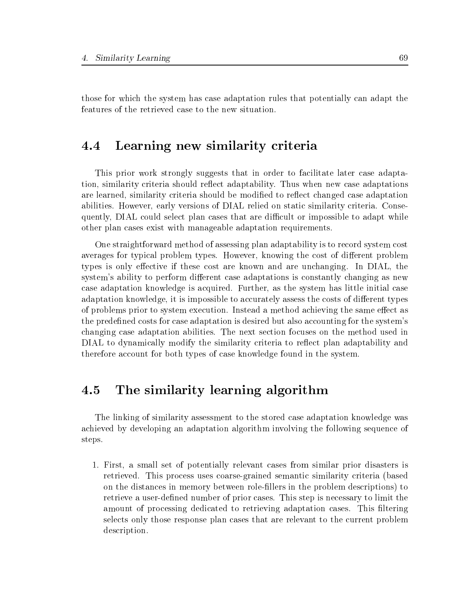those for which the system has case adaptation rules that potentially can adapt the features of the retrieved case to the new situation.

#### Learning new similarity criteria  $4.4\,$

This prior work strongly suggests that in order to facilitate later case adaptation, similarity criteria should reflect adaptability. Thus when new case adaptations are learned, similarity criteria should be modified to reflect changed case adaptation abilities. However, early versions of DIAL relied on static similarity criteria. Consequently, DIAL could select plan cases that are difficult or impossible to adapt while other plan cases exist with manageable adaptation requirements.

One straightforward method of assessing plan adaptability is to record system cost averages for typical problem types. However, knowing the cost of different problem types is only effective if these cost are known and are unchanging. In DIAL, the system's ability to perform different case adaptations is constantly changing as new case adaptation knowledge is acquired. Further, as the system has little initial case adaptation knowledge, it is impossible to accurately assess the costs of different types of problems prior to system execution. Instead a method achieving the same effect as the predened costs for case adaptation is desired but also accounting for the system's changing case adaptation abilities. The next section focuses on the method used in DIAL to dynamically modify the similarity criteria to reflect plan adaptability and therefore account for both types of case knowledge found in the system.

# 4.5 The similarity learning algorithm

The linking of similarity assessment to the stored case adaptation knowledge was achieved by developing an adaptation algorithm involving the following sequence of steps.

1. First, a small set of potentially relevant cases from similar prior disasters is retrieved. This process uses coarse-grained semantic similarity criteria (based on the distances in memory between role-fillers in the problem descriptions) to retrieve a user-defined number of prior cases. This step is necessary to limit the amount of processing dedicated to retrieving adaptation cases. This filtering selects only those response plan cases that are relevant to the current problem description.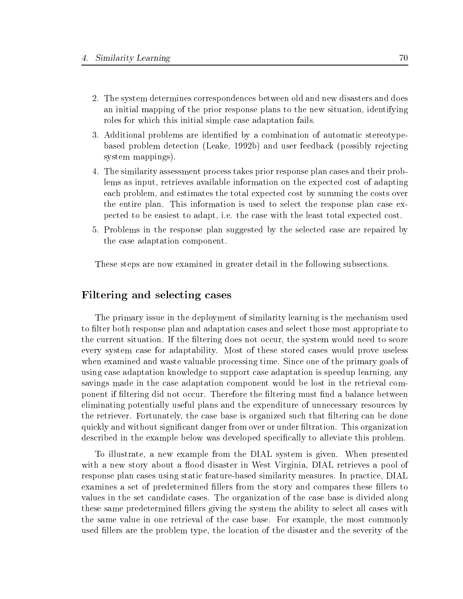- 2. The system determines correspondences between old and new disasters and does an initial mapping of the prior response plans to the new situation, identifying roles for which this initial simple case adaptation fails.
- 3. Additional problems are identified by a combination of automatic stereotypebased problem detection (Leake, 1992b) and user feedback (possibly rejecting system mappings).
- 4. The similarity assessment process takes prior response plan cases and their problems as input, retrieves available information on the expected cost of adapting each problem, and estimates the total expected cost by summing the costs over the entire plan. This information is used to select the response plan case expected to be easiest to adapt, i.e. the case with the least total expected cost.
- 5. Problems in the response plan suggested by the selected case are repaired by the case adaptation component.

These steps are now examined in greater detail in the following subsections.

## Filtering and selecting cases

The primary issue in the deployment of similarity learning is the mechanism used to filter both response plan and adaptation cases and select those most appropriate to the current situation. If the filtering does not occur, the system would need to score every system case for adaptability. Most of these stored cases would prove useless when examined and waste valuable processing time. Since one of the primary goals of using case adaptation knowledge to support case adaptation is speedup learning, any savings made in the case adaptation component would be lost in the retrieval component if filtering did not occur. Therefore the filtering must find a balance between eliminating potentially useful plans and the expenditure of unnecessary resources by the retriever. Fortunately, the case base is organized such that ltering can be done quickly and without signicant danger from over or under ltration. This organization described in the example below was developed specically to alleviate this problem.

To illustrate, a new example from the DIAL system is given. When presented with a new story about a flood disaster in West Virginia, DIAL retrieves a pool of response plan cases using static feature-based similarity measures. In practice, DIAL examines a set of predetermined fillers from the story and compares these fillers to values in the set candidate cases. The organization of the case base is divided along these same predetermined fillers giving the system the ability to select all cases with the same value in one retrieval of the case base. For example, the most commonly used fillers are the problem type, the location of the disaster and the severity of the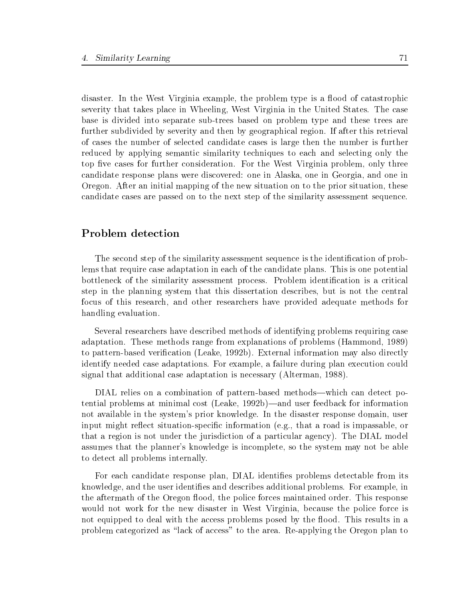disaster. In the West Virginia example, the problem type is a flood of catastrophic severity that takes place in Wheeling, West Virginia in the United States. The case base is divided into separate sub-trees based on problem type and these trees are further subdivided by severity and then by geographical region. If after this retrieval of cases the number of selected candidate cases is large then the number is further reduced by applying semantic similarity techniques to each and selecting only the top five cases for further consideration. For the West Virginia problem, only three candidate response plans were discovered: one in Alaska, one in Georgia, and one in Oregon. After an initial mapping of the new situation on to the prior situation, these candidate cases are passed on to the next step of the similarity assessment sequence.

# Problem detection

The second step of the similarity assessment sequence is the identification of problems that require case adaptation in each of the candidate plans. This is one potential bottleneck of the similarity assessment process. Problem identification is a critical step in the planning system that this dissertation describes, but is not the central focus of this research, and other researchers have provided adequate methods for handling evaluation.

Several researchers have described methods of identifying problems requiring case adaptation. These methods range from explanations of problems (Hammond, 1989) to pattern-based verication (Leake, 1992b). External information may also directly identify needed case adaptations. For example, a failure during plan execution could signal that additional case adaptation is necessary (Alterman, 1988).

DIAL relies on a combination of pattern-based methods—which can detect potential problems at minimal cost (Leake, 1992b)—and user feedback for information not available in the system's prior knowledge. In the disaster response domain, user input might reflect situation-specific information (e.g., that a road is impassable, or that a region is not under the jurisdiction of a particular agency). The DIAL model assumes that the planner's knowledge is incomplete, so the system may not be able to detect all problems internally.

For each candidate response plan, DIAL identifies problems detectable from its knowledge, and the user identies and describes additional problems. For example, in the aftermath of the Oregon flood, the police forces maintained order. This response would not work for the new disaster in West Virginia, because the police force is not equipped to deal with the access problems posed by the flood. This results in a problem categorized as "lack of access" to the area. Re-applying the Oregon plan to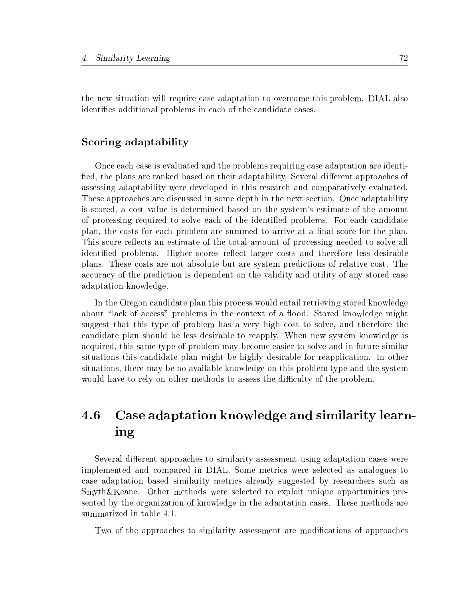the new situation will require case adaptation to overcome this problem. DIAL also identifies additional problems in each of the candidate cases.

# Scoring adaptability

Once each case is evaluated and the problems requiring case adaptation are identi fied, the plans are ranked based on their adaptability. Several different approaches of assessing adaptability were developed in this research and comparatively evaluated. These approaches are discussed in some depth in the next section. Once adaptability is scored, a cost value is determined based on the system's estimate of the amount of processing required to solve each of the identied problems. For each candidate plan, the costs for each problem are summed to arrive at a final score for the plan. This score reflects an estimate of the total amount of processing needed to solve all identified problems. Higher scores reflect larger costs and therefore less desirable plans. These costs are not absolute but are system predictions of relative cost. The accuracy of the prediction is dependent on the validity and utility of any stored case adaptation knowledge.

In the Oregon candidate plan this process would entail retrieving stored knowledge about "lack of access" problems in the context of a flood. Stored knowledge might suggest that this type of problem has a very high cost to solve, and therefore the candidate plan should be less desirable to reapply. When new system knowledge is acquired, this same type of problem may become easier to solve and in future similar situations this candidate plan might be highly desirable for reapplication. In other situations, there may be no available knowledge on this problem type and the system would have to rely on other methods to assess the difficulty of the problem.

# Case adaptation knowledge and similarity learn-4.6 ing

Several different approaches to similarity assessment using adaptation cases were implemented and compared in DIAL. Some metrics were selected as analogues to case adaptation based similarity metrics already suggested by researchers such as Smyth&Keane. Other methods were selected to exploit unique opportunities presented by the organization of knowledge in the adaptation cases. These methods are summarized in table 4.1.

Two of the approaches to similarity assessment are modifications of approaches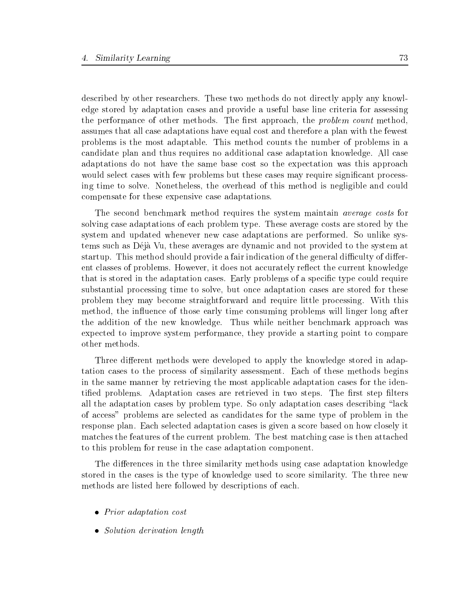described by other researchers. These two methods do not directly apply any knowledge stored by adaptation cases and provide a useful base line criteria for assessing the performance of other methods. The first approach, the *problem count* method, assumes that all case adaptations have equal cost and therefore a plan with the fewest problems is the most adaptable. This method counts the number of problems in a candidate plan and thus requires no additional case adaptation knowledge. All case adaptations do not have the same base cost so the expectation was this approach would select cases with few problems but these cases may require significant processing time to solve. Nonetheless, the overhead of this method is negligible and could compensate for these expensive case adaptations.

The second benchmark method requires the system maintain average costs for solving case adaptations of each problem type. These average costs are stored by the system and updated whenever new case adaptations are performed. So unlike systems such as Deja Vu, these averages are dynamic and not provided to the system at startup. This method should provide a fair indication of the general difficulty of different classes of problems. However, it does not accurately reflect the current knowledge that is stored in the adaptation cases. Early problems of a specific type could require substantial processing time to solve, but once adaptation cases are stored for these problem theymay become straightforward and require little processing. With this method, the influence of those early time consuming problems will linger long after the addition of the new knowledge. Thus while neither benchmark approach was expected to improve system performance, they provide a starting point to compare other methods.

Three different methods were developed to apply the knowledge stored in adaptation cases to the process of similarity assessment. Each of these methods begins in the same manner by retrieving the most applicable adaptation cases for the identified problems. Adaptation cases are retrieved in two steps. The first step filters all the adaptation cases by problem type. So only adaptation cases describing "lack of access" problems are selected as candidates for the same type of problem in the response plan. Each selected adaptation cases is given a score based on how closely it matches the features of the current problem. The best matching case is then attached to this problem for reuse in the case adaptation component.

The differences in the three similarity methods using case adaptation knowledge stored in the cases is the type of knowledge used to score similarity. The three new methods are listed here followed by descriptions of each.

- Prior adaptation cost
- Solution derivation length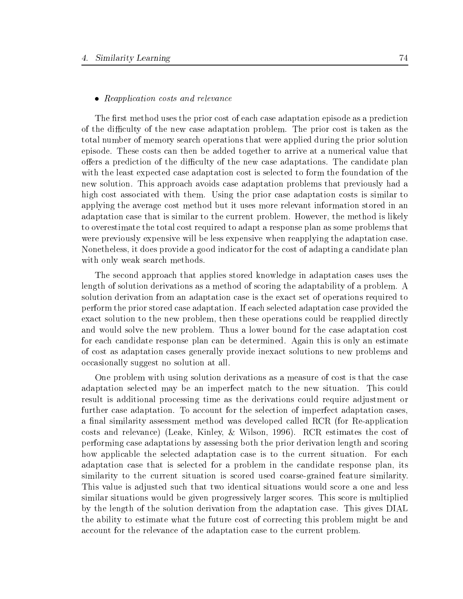### • Reapplication costs and relevance

The first method uses the prior cost of each case adaptation episode as a prediction of the difficulty of the new case adaptation problem. The prior cost is taken as the total number of memory search operations that were applied during the prior solution episode. These costs can then be added together to arrive at a numerical value that offers a prediction of the difficulty of the new case adaptations. The candidate plan with the least expected case adaptation cost is selected to form the foundation of the new solution. This approach avoids case adaptation problems that previously had a high cost associated with them. Using the prior case adaptation costs is similar to applying the average cost method but it uses more relevant information stored in an adaptation case that is similar to the current problem. However, the method is likely to overestimate the total cost required to adapt a response plan as some problems that were previously expensive will be less expensive when reapplying the adaptation case. Nonetheless, it does provide a good indicator for the cost of adapting a candidate plan with only weak search methods.

The second approach that applies stored knowledge in adaptation cases uses the length of solution derivations as a method of scoring the adaptability of a problem. A solution derivation from an adaptation case is the exact set of operations required to perform the prior stored case adaptation. If each selected adaptation case provided the exact solution to the new problem, then these operations could be reapplied directly and would solve the new problem. Thus a lower bound for the case adaptation cost for each candidate response plan can be determined. Again this is only an estimate of cost as adaptation cases generally provide inexact solutions to new problems and occasionally suggest no solution at all.

One problem with using solution derivations as a measure of cost is that the case adaptation selected may be an imperfect match to the new situation. This could result is additional processing time as the derivations could require adjustment or further case adaptation. To account for the selection of imperfect adaptation cases, a final similarity assessment method was developed called RCR (for Re-application costs and relevance) (Leake, Kinley, & Wilson, 1996). RCR estimates the cost of performing case adaptations by assessing both the prior derivation length and scoring how applicable the selected adaptation case is to the current situation. For each adaptation case that is selected for a problem in the candidate response plan, its similarity to the current situation is scored used coarse-grained feature similarity. This value is adjusted such that two identical situations would score a one and less similar situations would be given progressively larger scores. This score is multiplied by the length of the solution derivation from the adaptation case. This gives DIAL the ability to estimate what the future cost of correcting this problem might be and account for the relevance of the adaptation case to the current problem.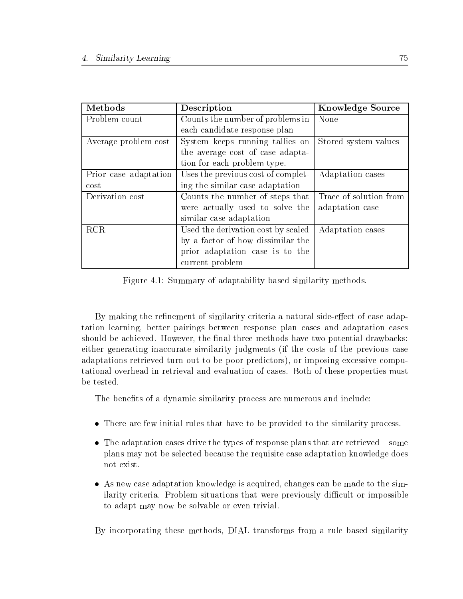| Methods               | Description                        | <b>Knowledge Source</b> |
|-----------------------|------------------------------------|-------------------------|
| Problem count         | Counts the number of problems in   | None                    |
|                       | each candidate response plan       |                         |
| Average problem cost  | System keeps running tallies on    | Stored system values    |
|                       | the average cost of case adapta-   |                         |
|                       | tion for each problem type.        |                         |
| Prior case adaptation | Uses the previous cost of complet- | Adaptation cases        |
| $\cot$                | ing the similar case adaptation    |                         |
| Derivation cost       | Counts the number of steps that    | Trace of solution from  |
|                       | were actually used to solve the    | adaptation case         |
|                       | similar case adaptation            |                         |
| <b>RCR</b>            | Used the derivation cost by scaled | Adaptation cases        |
|                       | by a factor of how dissimilar the  |                         |
|                       | prior adaptation case is to the    |                         |
|                       | current problem                    |                         |

Figure 4.1: Summary of adaptability based similarity methods.

By making the refinement of similarity criteria a natural side-effect of case adaptation learning, better pairings between response plan cases and adaptation cases should be achieved. However, the final three methods have two potential drawbacks: either generating inaccurate similarity judgments (if the costs of the previous case adaptations retrieved turn out to be poor predictors), or imposing excessive computational overhead in retrieval and evaluation of cases. Both of these properties must be tested.

The benefits of a dynamic similarity process are numerous and include:

- There are few initial rules that have to be provided to the similarity process.
- $\bullet$  The adaptation cases drive the types of response plans that are retrieved  ${\bf -}$  some plans may not be selected because the requisite case adaptation knowledge does not exist.
- As new case adaptation knowledge is acquired, changes can be made to the similarity criteria. Problem situations that were previously difficult or impossible to adapt may now be solvable or even trivial.

By incorporating these methods, DIAL transforms from a rulebased similarity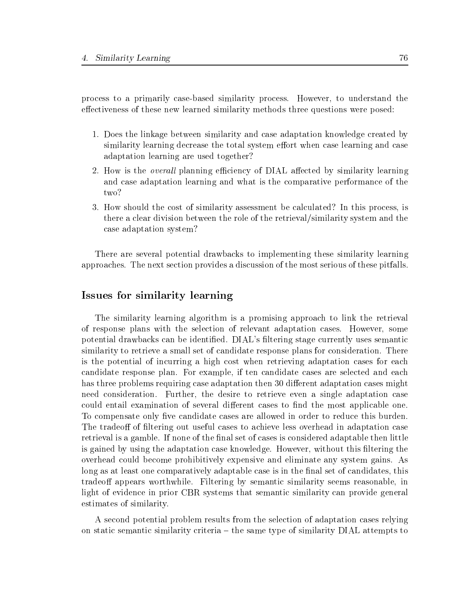process to a primarily case-based similarity process. However, to understand the effectiveness of these new learned similarity methods three questions were posed:

- 1. Does the linkage between similarity and case adaptation knowledge created by similarity learning decrease the total system effort when case learning and case adaptation learning are used together?
- 2. How is the *overall* planning efficiency of DIAL affected by similarity learning and case adaptation learning and what is the comparative performance of the two?
- 3. How should the cost of similarity assessment be calculated? In this process, is there a clear division between the role of the retrieval/similarity system and the case adaptation system?

There are several potential drawbacks to implementing these similarity learning approaches. The next section provides a discussion of the most serious of these pitfalls.

# Issues for similarity learning

The similarity learning algorithm is a promising approach to link the retrieval of response plans with the selection of relevant adaptation cases. However, some potential drawbacks can be identified. DIAL's filtering stage currently uses semantic similarity to retrieve a small set of candidate response plans for consideration. There is the potential of incurring a high cost when retrieving adaptation cases for each candidate response plan. For example, if ten candidate cases are selected and each has three problems requiring case adaptation then 30 different adaptation cases might need consideration. Further, the desire to retrieve even a single adaptation case could entail examination of several different cases to find the most applicable one. To compensate only five candidate cases are allowed in order to reduce this burden. The tradeoff of filtering out useful cases to achieve less overhead in adaptation case retrieval is a gamble. If none of the final set of cases is considered adaptable then little is gained by using the adaptation case knowledge. However, without this filtering the overhead could become prohibitively expensive and eliminate any system gains. As long as at least one comparatively adaptable case is in the final set of candidates, this tradeoff appears worthwhile. Filtering by semantic similarity seems reasonable, in light of evidence in prior CBR systems that semantic similarity can provide general estimates of similarity.

A second potential problem results from the selection of adaptation cases relying on static semantic similarity criteria  $-$  the same type of similarity  $DIAL$  attempts to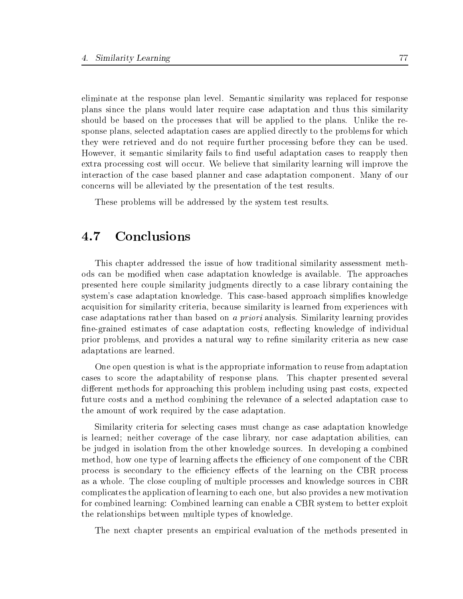eliminate at the response plan level. Semantic similarity was replaced for response plans since the plans would later require case adaptation and thus this similarity should be based on the processes that will be applied to the plans. Unlike the response plans, selected adaptation cases are applied directly to the problems for which they were retrieved and do not require further processing before they can be used. However, it semantic similarity fails to find useful adaptation cases to reapply then extra processing cost will occur. We believe that similarity learning will improve the interaction of the case based planner and case adaptation component. Many of our concerns will be alleviated by the presentation of the test results.

These problems will be addressed by the system test results.

#### **Conclusions**  $4.7$

This chapter addressed the issue of how traditional similarity assessment methods can be modied when case adaptation knowledge is available. The approaches presented here couple similarity judgments directly to a case library containing the system's case adaptation knowledge. This case-based approach simplies knowledge acquisition for similarity criteria, because similarity is learned from experiences with case adaptations rather than based on a priori analysis. Similarity learning provides fine-grained estimates of case adaptation costs, reflecting knowledge of individual prior problems, and provides a natural way to refine similarity criteria as new case adaptations are learned.

One open question is what is the appropriate information to reuse from adaptation cases to score the adaptability of response plans. This chapter presented several different methods for approaching this problem including using past costs, expected future costs and a method combining the relevance of a selected adaptation case to the amount of work required by the case adaptation.

Similarity criteria for selecting cases must change as case adaptation knowledge is learned; neither coverage of the case library, nor case adaptation abilities, can be judged in isolation from the other knowledge sources. In developing a combined method, how one type of learning affects the efficiency of one component of the CBR process is secondary to the efficiency effects of the learning on the CBR process as a whole. The close coupling of multiple processes and knowledge sources in CBR complicates the application of learning to each one, but also provides a new motivation for combined learning: Combined learning can enable a CBR system to better exploit the relationships between multiple types of knowledge.

The next chapter presents an empirical evaluation of the methods presented in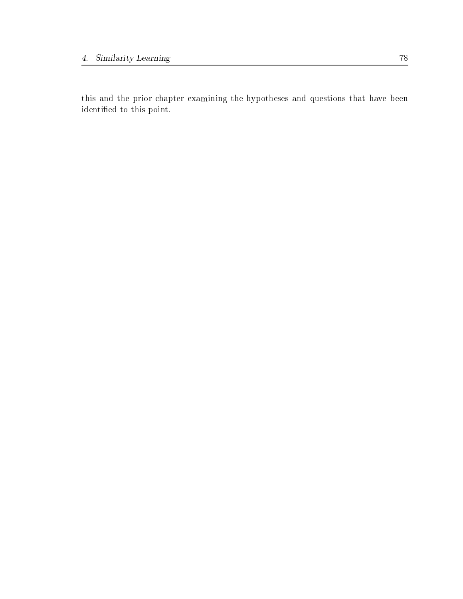this and the prior chapter examining the hypotheses and questions that have been identified to this point.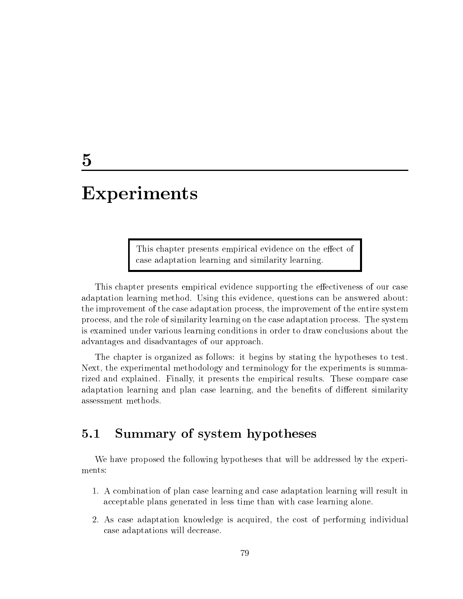# Experiments

This chapter presents empirical evidence on the effect of case adaptation learning and similarity learning.

This chapter presents empirical evidence supporting the effectiveness of our case adaptation learning method. Using this evidence, questions can be answered about: the improvement of the case adaptation process, the improvement of the entire system process, and the role of similarity learning on the case adaptation process. The system is examined under various learning conditions in order to draw conclusions about the advantages and disadvantages of our approach.

The chapter is organized as follows: it begins by stating the hypotheses to test. Next, the experimental methodology and terminology for the experiments is summarized and explained. Finally, it presents the empirical results. These compare case adaptation learning and plan case learning, and the benefits of different similarity assessment methods.

# 5.1 Summary of system hypotheses

We have proposed the following hypotheses that will be addressed by the experiments:

- 1. A combination of plan case learning and case adaptation learning will result in acceptable plans generated in less time than with case learning alone.
- 2. As case adaptation knowledge is acquired, the cost of performing individual case adaptations will decrease.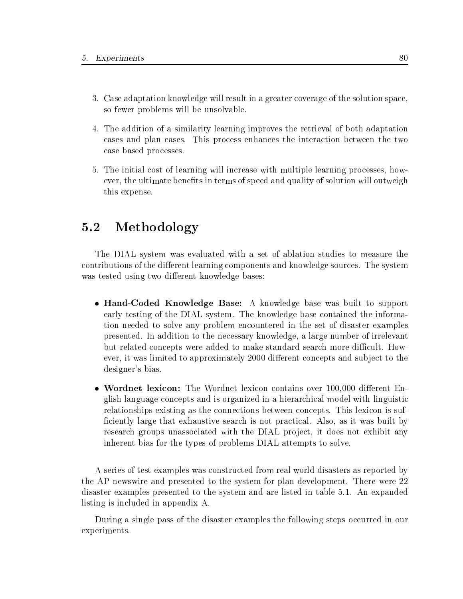- 3. Case adaptation knowledge will result in a greater coverage of the solution space, so fewer problems will be unsolvable.
- 4. The addition of a similarity learning improves the retrieval of both adaptation cases and plan cases. This process enhances the interaction between the two case based processes.
- 5. The initial cost of learning will increase with multiple learning processes, however, the ultimate benefits in terms of speed and quality of solution will outweigh this expense.

# 5.2 Methodology

The DIAL system was evaluated with a set of ablation studies to measure the contributions of the different learning components and knowledge sources. The system was tested using two different knowledge bases:

- Hand-Coded Knowledge Base: A knowledge base was built to support early testing of the DIAL system. The knowledge base contained the information needed to solve any problem encountered in the set of disaster examples presented. In addition to the necessary knowledge, a large number of irrelevant but related concepts were added to make standard search more difficult. However, it was limited to approximately 2000 different concepts and subject to the designer's bias.
- Wordnet lexicon: The Wordnet lexicon contains over 100,000 different English language concepts and is organized in a hierarchical model with linguistic relationships existing as the connections between concepts. This lexicon is suf ficiently large that exhaustive search is not practical. Also, as it was built by research groups unassociated with the DIAL project, it does not exhibit any inherent bias for the types of problems DIAL attempts to solve.

A series of test examples was constructed from real world disasters as reported by the AP newswire and presented to the system for plan development. There were 22 disaster examples presented to the system and are listed in table 5.1. An expanded listing is included in appendix A.

During a single pass of the disaster examples the following steps occurred in our experiments.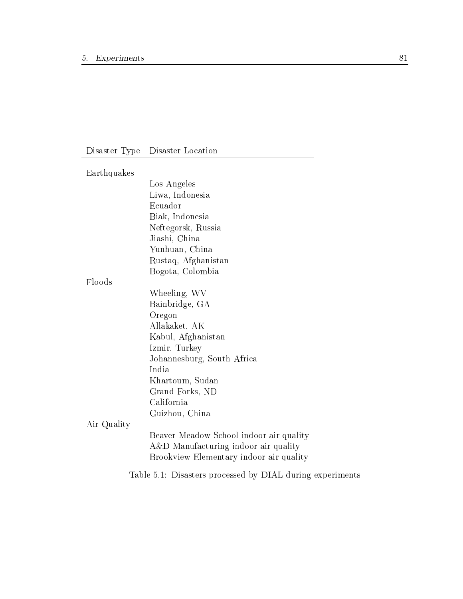# Disaster Type Disaster Location

| Earthquakes |                                                           |
|-------------|-----------------------------------------------------------|
|             | Los Angeles                                               |
|             | Liwa, Indonesia                                           |
|             | Ecuador                                                   |
|             | Biak, Indonesia                                           |
|             | Neftegorsk, Russia                                        |
|             | Jiashi, China                                             |
|             | Yunhuan, China                                            |
|             | Rustaq, Afghanistan                                       |
|             | Bogota, Colombia                                          |
| Floods      |                                                           |
|             | Wheeling, WV                                              |
|             | Bainbridge, GA                                            |
|             | Oregon                                                    |
|             | Allakaket, AK                                             |
|             | Kabul, Afghanistan                                        |
|             | Izmir, Turkey                                             |
|             | Johannesburg, South Africa                                |
|             | India                                                     |
|             | Khartoum, Sudan                                           |
|             | Grand Forks, ND                                           |
|             | California                                                |
|             | Guizhou, China                                            |
| Air Quality |                                                           |
|             | Beaver Meadow School indoor air quality                   |
|             | A&D Manufacturing indoor air quality                      |
|             | Brookview Elementary indoor air quality                   |
|             | Table 5.1: Disasters processed by DIAL during experiments |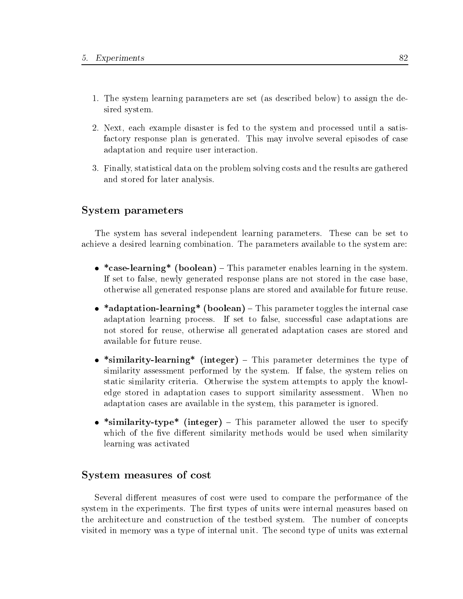- 1. The system learning parameters are set (as described below) to assign the desired system.
- 2. Next, each example disaster is fed to the system and processed until a satisfactory response plan is generated. This may involve several episodes of case adaptation and require user interaction.
- 3. Finally, statistical data on the problem solving costs and the results are gathered and stored for later analysis.

# System parameters

The system has several independent learning parameters. These can be set to achieve a desired learning combination. The parameters available to the system are:

- \*case-learning\* (boolean) This parameter enables learning in the system. If set to false, newly generated response plans are not stored in the case base, otherwise all generated response plans are stored and available for future reuse.
- \*adaptation-learning\* (boolean)  $-$  This parameter toggles the internal case adaptation learning process. If set to false, successful case adaptations are not stored for reuse, otherwise all generated adaptation cases are stored and available for future reuse.
- \*similarity-learning\* (integer)  $-$  This parameter determines the type of similarity assessment performed by the system. If false, the system relies on static similarity criteria. Otherwise the system attempts to apply the knowledge stored in adaptation cases to support similarity assessment. When no adaptation cases are available in the system, this parameter is ignored.
- \*similarity-type\* (integer) This parameter allowed the user to specify which of the five different similarity methods would be used when similarity learning was activated

# System measures of cost

Several different measures of cost were used to compare the performance of the system in the experiments. The first types of units were internal measures based on the architecture and construction of the testbed system. The number of concepts visited in memory was a type of internal unit. The second type of units was external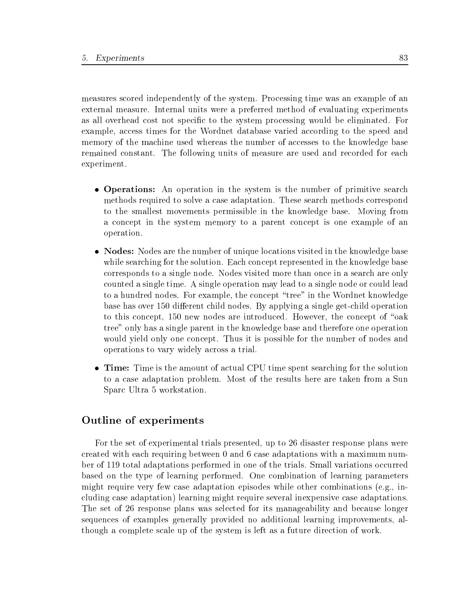measures scored independently of the system. Processing time was an example of an external measure. Internal units were a preferred method of evaluating experiments as all overhead cost not specific to the system processing would be eliminated. For example, access times for the Wordnet database varied according to the speed and memory of the machine used whereas the number of accesses to the knowledge base remained constant. The following units of measure are used and recorded for each experiment.

- Operations: An operation in the system is the number of primitive search methods required to solve a case adaptation. These search methods correspond to the smallest movements permissible in the knowledge base. Moving from a concept in the system memory to a parent concept is one example of an operation.
- Nodes: Nodes are the number of unique locations visited in the knowledge base while searching for the solution. Each concept represented in the knowledge base corresponds to a single node. Nodes visited more than once in a search are only counted a single time. A single operation may lead to a single node or could lead to a hundred nodes. For example, the concept "tree" in the Wordnet knowledge base has over 150 different child nodes. By applying a single get-child operation to this concept,  $150$  new nodes are introduced. However, the concept of "oak" tree" only has a single parent in the knowledge base and therefore one operation would yield only one concept. Thus it is possible for the number of nodes and operations to vary widely across a trial.
- Time: Time is the amount of actual CPU time spent searching for the solution to a case adaptation problem. Most of the results here are taken from a Sun Sparc Ultra 5 workstation.

# Outline of experiments

For the set of experimental trials presented, up to 26 disaster response plans were created with each requiring between 0 and 6 case adaptations with a maximum number of 119 total adaptations performed in one of the trials. Small variations occurred based on the type of learning performed. One combination of learning parameters might require very few case adaptation episodes while other combinations (e.g., including case adaptation) learning might require several inexpensive case adaptations. The set of 26 response plans was selected for its manageability and because longer sequences of examples generally provided no additional learning improvements, although a complete scale up of the system is left as a future direction of work.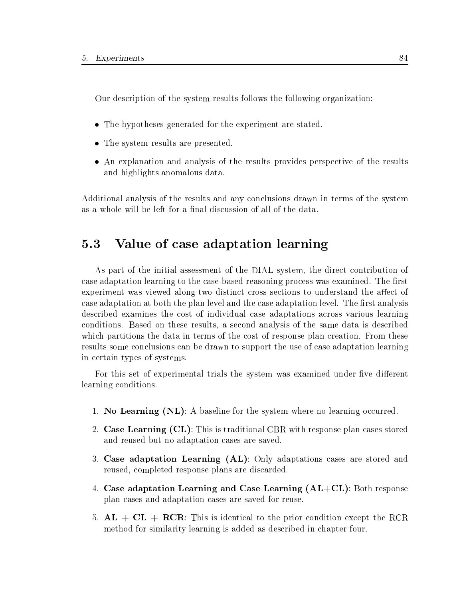Our description of the system results follows the following organization:

- The hypotheses generated for the experiment are stated.
- The system results are presented.
- An explanation and analysis of the results provides perspective of the results and highlights anomalous data.

Additional analysis of the results and any conclusions drawn in terms of the system as a whole will be left for a final discussion of all of the data.

#### $5.3$ Value of case adaptation learning

As part of the initial assessment of the DIAL system, the direct contribution of case adaptation learning to the case-based reasoning process was examined. The first experiment was viewed along two distinct cross sections to understand the affect of case adaptation at both the plan level and the case adaptation level. The first analysis described examines the cost of individual case adaptations across various learning conditions. Based on these results, a second analysis of the same data is described which partitions the data in terms of the cost of response plan creation. From these results some conclusions can be drawn to support the use of case adaptation learning in certain types of systems.

For this set of experimental trials the system was examined under five different learning conditions.

- 1. No Learning  $(NL)$ : A baseline for the system where no learning occurred.
- 2. Case Learning (CL): This is traditional CBR with response plan cases stored and reused but no adaptation cases are saved.
- 3. Case adaptation Learning (AL): Only adaptations cases are stored and reused, completed response plans are discarded.
- 4. Case adaptation Learning and Case Learning  $(AL+CL)$ : Both response plan cases and adaptation cases are saved for reuse.
- 5.  $AL + CL + RCR$ : This is identical to the prior condition except the RCR method for similarity learning is added as described in chapter four.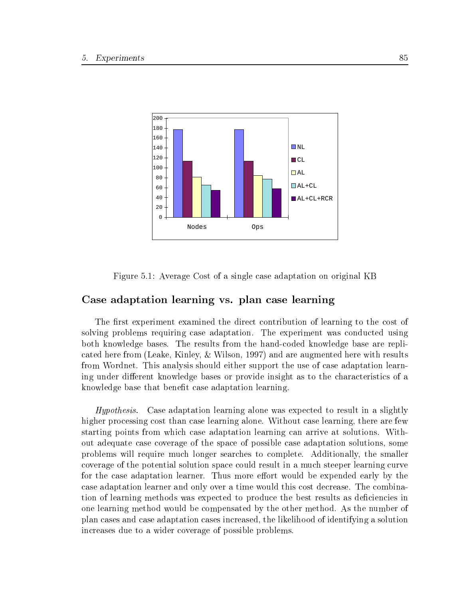



# Case adaptation learning vs. plan case learning

The first experiment examined the direct contribution of learning to the cost of solving problems requiring case adaptation. The experiment was conducted using both knowledge bases. The results from the hand-coded knowledge base are replicated here from (Leake, Kinley, & Wilson, 1997) and are augmented here with results from Wordnet. This analysis should either support the use of case adaptation learning under different knowledge bases or provide insight as to the characteristics of a knowledge base that benefit case adaptation learning.

Hypothesis. Case adaptation learning alone was expected to result in a slightly higher processing cost than case learning alone. Without case learning, there are few starting points from which case adaptation learning can arrive at solutions. Without adequate case coverage of the space of possible case adaptation solutions, some problems will require much longer searches to complete. Additionally, the smaller coverage of the potential solution space could result in a much steeper learning curve for the case adaptation learner. Thus more effort would be expended early by the case adaptation learner and only over a time would this cost decrease. The combination of learning methods was expected to produce the best results as deficiencies in one learning method would be compensated by the other method. As the number of plan cases and case adaptation cases increased, the likelihood of identifying a solution increases due to a wider coverage of possible problems.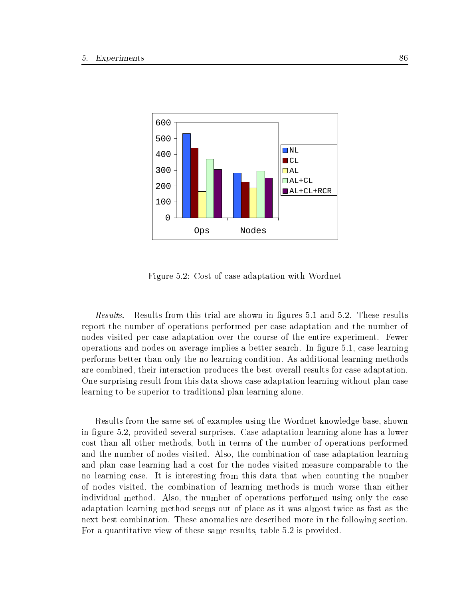

Figure 5.2: Cost of case adaptation with Wordnet

Results. Results from this trial are shown in figures 5.1 and 5.2. These results report the number of operations performed per case adaptation and the number of nodes visited per case adaptation over the course of the entire experiment. Fewer operations and nodes on average implies a better search. In figure 5.1, case learning performs better than only the no learning condition. As additional learning methods are combined, their interaction produces the best overall results for case adaptation. One surprising result from this data shows case adaptation learning without plan case learning to be superior to traditional plan learning alone.

Results from the same set of examples using the Wordnet knowledge base, shown in figure 5.2, provided several surprises. Case adaptation learning alone has a lower cost than all other methods, both in terms of the number of operations performed and the number of nodes visited. Also, the combination of case adaptation learning and plan case learning had a cost for the nodes visited measure comparable to the no learning case. It is interesting from this data that when counting the number of nodes visited, the combination of learning methods is much worse than either individual method. Also, the number of operations performed using only the case adaptation learning method seems out of place as it was almost twice as fast as the next best combination. These anomalies are described more in the following section. For a quantitative view of these same results, table 5.2 is provided.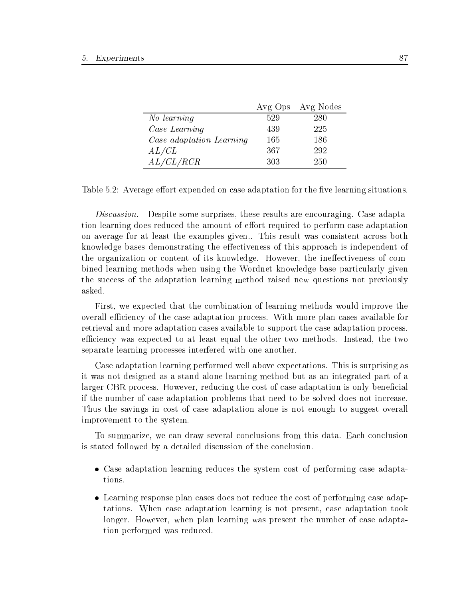|                          |     | Avg Ops Avg Nodes |  |
|--------------------------|-----|-------------------|--|
| No learning              | 529 | 280               |  |
| Case Learning            | 439 | 225               |  |
| Case adaptation Learning | 165 | 186               |  |
| AL/CL                    | 367 | 292               |  |
| AL/CL/RCR                | 303 | 250               |  |

Table 5.2: Average effort expended on case adaptation for the five learning situations.

Discussion. Despite some surprises, these results are encouraging. Case adaptation learning does reduced the amount of effort required to perform case adaptation on average for at least the examples given.. This result was consistent across both knowledge bases demonstrating the effectiveness of this approach is independent of the organization or content of its knowledge. However, the ineffectiveness of combined learning methods when using the Wordnet knowledge base particularly given the success of the adaptation learning method raised new questions not previously asked.

First, we expected that the combination of learning methods would improve the overall efficiency of the case adaptation process. With more plan cases available for retrieval and more adaptation cases available to support the case adaptation process, efficiency was expected to at least equal the other two methods. Instead, the two separate learning processes interfered with one another.

Case adaptation learning performed well above expectations. This is surprising as it was not designed asa stand alone learning method but as an integrated part of a larger CBR process. However, reducing the cost of case adaptation is only beneficial if the number of case adaptation problems that need to be solved does not increase. Thus the savings in cost of case adaptation alone is not enough to suggest overall improvement to the system.

To summarize, we can draw several conclusions from this data. Each conclusion is stated followed by a detailed discussion of the conclusion.

- Case adaptation learning reduces the system cost of performing case adaptations.
- Learning response plan cases does not reduce the cost of performing case adaptations. When case adaptation learning is not present, case adaptation took longer. However, when plan learning was present the number of case adaptation performed was reduced.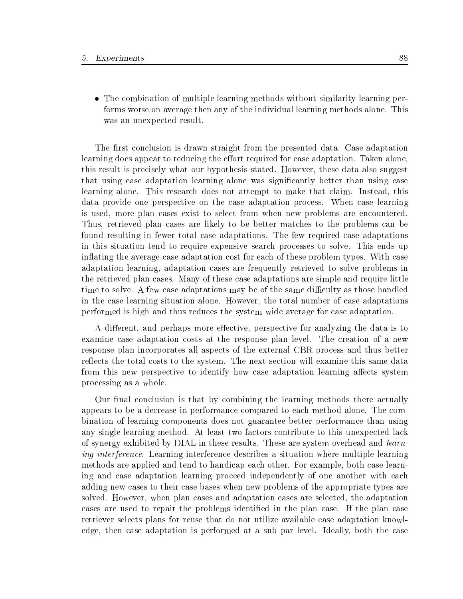The combination of multiple learning methods without similarity learning performs worse on average then any of the individual learning methods alone. This was an unexpected result.

The first conclusion is drawn straight from the presented data. Case adaptation learning does appear to reducing the effort required for case adaptation. Taken alone, this result is precisely what our hypothesis stated. However, these data also suggest that using case adaptation learning alone was signicantly better than using case learning alone. This research does not attempt to make that claim. Instead, this data provide one perspective on the case adaptation process. When case learning is used, more plan cases exist to select from when new problems are encountered. Thus, retrieved plan cases are likely to be better matches to the problems can be found resulting in fewer total case adaptations. The few required case adaptations in this situation tend to require expensive search processes to solve. This ends up in
ating the average case adaptation cost for each of these problem types. With case adaptation learning, adaptation cases are frequently retrieved to solve problems in the retrieved plan cases. Many of these case adaptations are simple and require little time to solve. A few case adaptations may be of the same difficulty as those handled in the case learning situation alone. However, the total number of case adaptations performed is high and thus reduces the system wide average for case adaptation.

A different, and perhaps more effective, perspective for analyzing the data is to examine case adaptation costs at the response plan level. The creation of a new response plan incorporates all aspects of the external CBR process and thus better reflects the total costs to the system. The next section will examine this same data from this new perspective to identify how case adaptation learning affects system processing as a whole.

Our final conclusion is that by combining the learning methods there actually appears to be a decrease in performance compared to each method alone. The combination of learning components does not guarantee better performance than using any single learning method. At least two factors contribute to this unexpected lack of synergy exhibited by DIAL in these results. These are system overhead and *learn*ing interference. Learning interference describes a situation where multiple learning methods are applied and tend to handicap each other. For example, both case learning and case adaptation learning proceed independently of one another with each adding new cases to their case bases when new problems of the appropriate types are solved. However, when plan cases and adaptation cases are selected, the adaptation cases are used to repair the problems identied in the plan case. If the plan case retriever selects plans for reuse that do not utilize available case adaptation knowledge, then case adaptation is performed at a sub par level. Ideally, both the case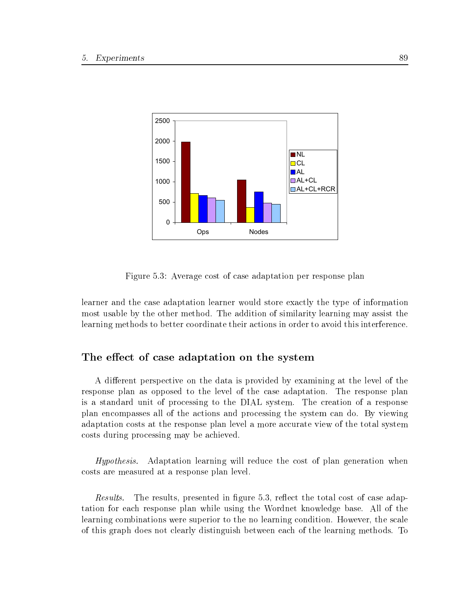

Figure 5.3: Average cost of case adaptation per response plan

learner and the case adaptation learner would store exactly the type of information most usable by the other method. The addition of similarity learning may assist the learning methods to better coordinate their actions in order to avoid this interference.

# The effect of case adaptation on the system

A different perspective on the data is provided by examining at the level of the response plan as opposed to the level of the case adaptation. The response plan is a standard unit of processing to the DIAL system. The creation of a response plan encompasses all of the actions and processing the system can do. By viewing adaptation costs at the response plan level a more accurate view of the total system costs during processing may be achieved.

Hypothesis. Adaptation learning will reduce the cost of plan generation when costs are measured ata response plan level.

Results. The results, presented in figure 5.3, reflect the total cost of case adaptation for each response plan while using the Wordnet knowledge base. All of the learning combinations were superior to the no learning condition. However, the scale of this graph does not clearly distinguish between each of the learning methods. To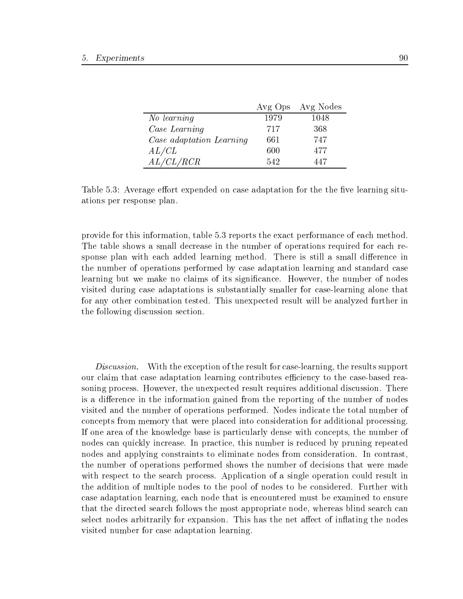|                          |      | Avg Ops Avg Nodes |
|--------------------------|------|-------------------|
| No learning              | 1979 | 1048              |
| Case Learning            | 717  | 368               |
| Case adaptation Learning | 661  | 747               |
| AL/CL                    | 600  | 477               |
| AL/CL/RCR                | 542  | 447               |

Table 5.3: Average effort expended on case adaptation for the the five learning situations per response plan.

provide for this information, table 5.3 reports the exact performance of each method. The table shows a small decrease in the number of operations required for each response plan with each added learning method. There is still a small difference in the number of operations performed by case adaptation learning and standard case learning but we make no claims of its signicance. However, the number of nodes visited during case adaptations is substantially smaller for case-learning alone that for any other combination tested. This unexpected result will be analyzed further in the following discussion section.

Discussion. With the exception of the result for case-learning, the results support our claim that case adaptation learning contributes efficiency to the case-based reasoning process. However, the unexpected result requires additional discussion. There is a difference in the information gained from the reporting of the number of nodes visited and the number of operations performed. Nodes indicate the total number of concepts from memory that were placed into consideration for additional processing. If one area of the knowledge base is particularly dense with concepts, the number of nodes can quickly increase. In practice, this number is reduced by pruning repeated nodes and applying constraints to eliminate nodes from consideration. In contrast, the number of operations performed shows the number of decisions that were made with respect to the search process. Application of a single operation could result in the addition of multiple nodes to the pool of nodes to be considered. Further with case adaptation learning, each node that is encountered must be examined to ensure that the directed search follows the most appropriate node, whereas blind search can select nodes arbitrarily for expansion. This has the net affect of inflating the nodes visited number for case adaptation learning.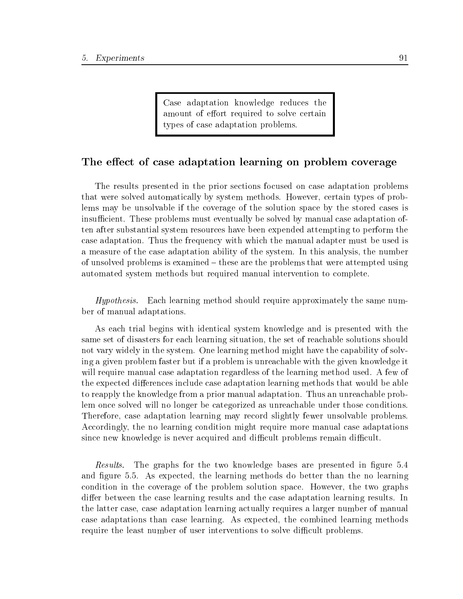Case adaptation knowledge reduces the amount of effort required to solve certain types of case adaptation problems.

# The effect of case adaptation learning on problem coverage

The results presented in the prior sections focused on case adaptation problems that were solved automatically by system methods. However, certain types of problems may be unsolvable if the coverage of the solution space by the stored cases is insufficient. These problems must eventually be solved by manual case adaptation often after substantial system resources have been expended attempting to perform the case adaptation. Thus the frequency with which the manual adapter must be used is a measure of the case adaptation ability of the system. In this analysis, the number of unsolved problems is examined  ${\bf -}$  these are the problems that were attempted using automated system methods but required manual intervention to complete.

Hypothesis. Each learning method should require approximately the same number of manual adaptations.

As each trial begins with identical system knowledge and is presented with the same set of disasters for each learning situation, the set of reachable solutions should not vary widely in the system. One learning method might have the capability of solving a given problem faster but if a problem is unreachable with the given knowledge it will require manual case adaptation regardless of the learning method used. A few of the expected differences include case adaptation learning methods that would be able to reapply the knowledge from a prior manual adaptation. Thus an unreachable problem once solved will no longer be categorized as unreachable under those conditions. Therefore, case adaptation learning may record slightly fewer unsolvable problems. Accordingly, the no learning condition might require more manual case adaptations since new knowledge is never acquired and difficult problems remain difficult.

Results. The graphs for the two knowledge bases are presented in figure 5.4 and figure 5.5. As expected, the learning methods do better than the no learning condition in the coverage of the problem solution space. However, the two graphs differ between the case learning results and the case adaptation learning results. In the latter case, case adaptation learning actually requires a larger number of manual case adaptations than case learning. As expected, the combined learning methods require the least number of user interventions to solve difficult problems.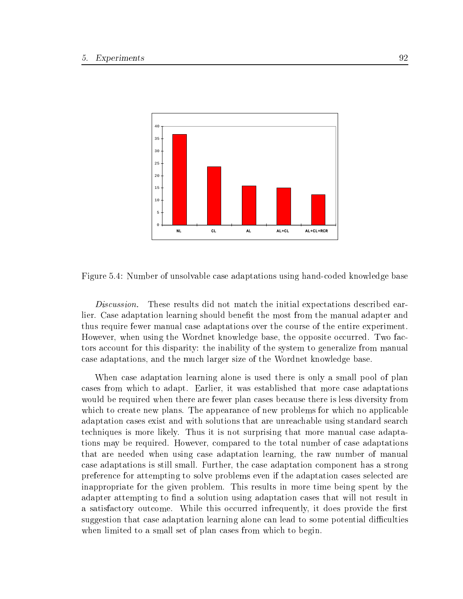

Figure 5.4: Number of unsolvable case adaptations using hand-coded knowledge base

Discussion. These results did not match the initial expectations described earlier. Case adaptation learning should benefit the most from the manual adapter and thus require fewer manual case adaptations over the course of the entire experiment. However, when using the Wordnet knowledge base, the opposite occurred. Two factors account for this disparity: the inability of the system to generalize from manual case adaptations, and the much larger size of the Wordnet knowledge base.

When case adaptation learning alone is used there is only a small pool of plan cases from which to adapt. Earlier, it was established that more case adaptations would be required when there are fewer plan cases because there is less diversity from which to create new plans. The appearance of new problems for which no applicable adaptation cases exist and with solutions that are unreachable using standard search techniques is more likely. Thus it is not surprising that more manual case adaptations may be required. However, compared to the total number of case adaptations that are needed when using case adaptation learning, the raw number of manual case adaptations is still small. Further, the case adaptation component has a strong preference for attempting to solve problems even if the adaptation cases selected are inappropriate for the given problem. This results in more time being spent by the adapter attempting to find a solution using adaptation cases that will not result in a satisfactory outcome. While this occurred infrequently, it does provide the first suggestion that case adaptation learning alone can lead to some potential difficulties when limited to a small set of plan cases from which to begin.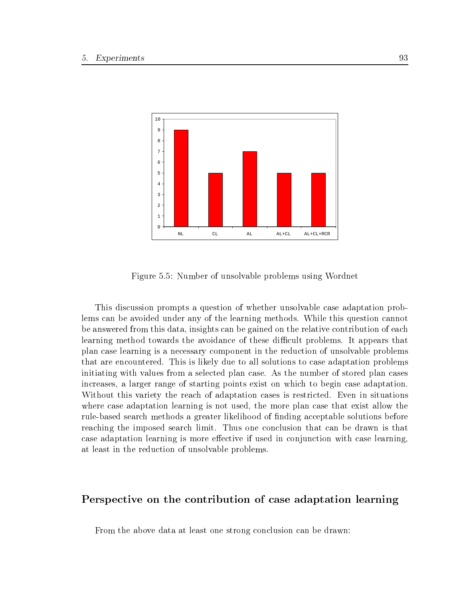

Figure 5.5: Number of unsolvable problems using Wordnet

This discussion prompts a question of whether unsolvable case adaptation problems can be avoided under any of the learning methods. While this question cannot be answered from this data, insights can be gained on the relative contribution of each learning method towards the avoidance of these difficult problems. It appears that plan case learning is a necessary component in the reduction of unsolvable problems that are encountered. This is likely due to all solutions to case adaptation problems initiating with values from a selected plan case. As the number of stored plan cases increases, a larger range of starting points exist on which to begin case adaptation. Without this variety the reach of adaptation cases is restricted. Even in situations where case adaptation learning is not used, the more plan case that exist allow the rule-based search methods a greater likelihood of nding acceptable solutions before reaching the imposed search limit. Thus one conclusion that can be drawn is that case adaptation learning is more effective if used in conjunction with case learning, at least in the reduction of unsolvable problems.

# Perspective on the contribution of case adaptation learning

From the above data at least one strong conclusion can be drawn: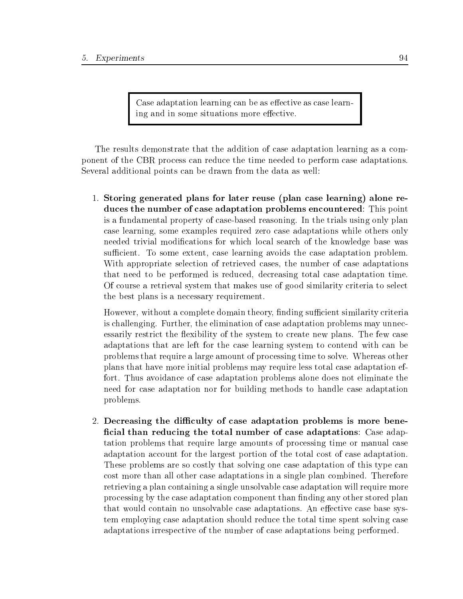Case adaptation learning can be as effective as case learning and in some situations more effective.

The results demonstrate that the addition of case adaptation learning as a component of the CBR process can reduce the time needed to perform case adaptations. Several additional points can be drawn from the data as well:

1. Storing generated plans for later reuse (plan case learning) alone reduces the number of case adaptation problems encountered: This point is a fundamental property of case-based reasoning. In the trials using only plan case learning, some examples required zero case adaptations while others only needed trivial modications for which local search of the knowledge base was sufficient. To some extent, case learning avoids the case adaptation problem. With appropriate selection of retrieved cases, the number of case adaptations that need to be performed is reduced, decreasing total case adaptation time. Of course a retrieval system that makes use of good similarity criteria to select the best plans is a necessary requirement.

However, without a complete domain theory, finding sufficient similarity criteria is challenging. Further, the elimination of case adaptation problems may unnecessarily restrict the flexibility of the system to create new plans. The few case adaptations that are left for the case learning system to contend with can be problems that require a large amount of processing time to solve. Whereas other plans that have more initial problems may require less total case adaptation effort. Thus avoidance of case adaptation problems alone does not eliminate the need for case adaptation nor for building methods to handle case adaptation problems.

2. Decreasing the difficulty of case adaptation problems is more beneficial than reducing the total number of case adaptations: Case adaptation problems that require large amounts of processing time or manual case adaptation account for the largest portion of the total cost of case adaptation. These problems are so costly that solving one case adaptation of this type can cost more than all other case adaptations in a single plan combined. Therefore retrieving a plan containing a single unsolvable case adaptation will require more processing by the case adaptation component than finding any other stored plan that would contain no unsolvable case adaptations. An effective case base system employing case adaptation should reduce the total time spent solving case adaptations irrespective of the number of case adaptations being performed.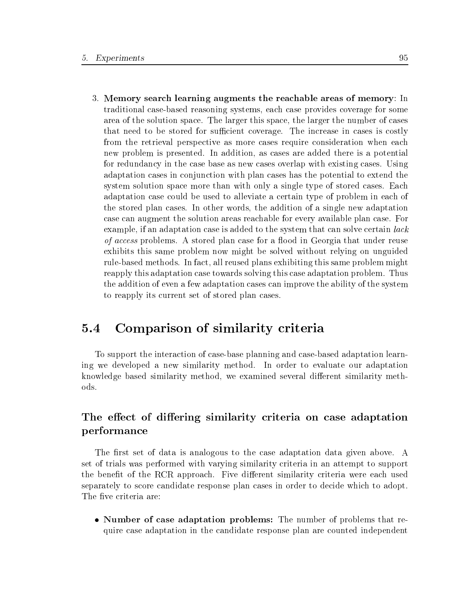3. Memory search learning augments the reachable areas of memory: In traditional case-based reasoning systems, each case provides coverage for some area of the solution space. The larger this space, the larger the number of cases that need to be stored for sufficient coverage. The increase in cases is costly from the retrieval perspective as more cases require consideration when each new problem is presented. In addition, as cases are added there is a potential for redundancy in the case base as new cases overlap with existing cases. Using adaptation cases in conjunction with plan cases has the potential to extend the system solution space more than with only a single type of stored cases. Each adaptation case could be used to alleviate a certain type of problem in each of the stored plan cases. In other words, the addition of a single new adaptation case can augment the solution areas reachable for every available plan case. For example, if an adaptation case is added to the system that can solve certain *lack* of access problems. A stored plan case for a flood in Georgia that under reuse exhibits this same problem now might be solved without relying on unguided rule-based methods. In fact, all reused plans exhibiting this same problem might reapply this adaptation case towards solving this case adaptation problem. Thus the addition of even a few adaptation cases can improve the ability of the system to reapply its current set of stored plan cases.

#### 5.4 Comparison of similarity criteria  $5.4$

To support the interaction of case-base planning and case-based adaptation learning we developed a new similarity method. In order to evaluate our adaptation knowledge based similarity method, we examined several different similarity methods.

### The effect of differing similarity criteria on case adaptation performance

The first set of data is analogous to the case adaptation data given above. A set of trials was performed with varying similarity criteria in an attempt to support the benefit of the RCR approach. Five different similarity criteria were each used separately to score candidate response plan cases in order to decide which to adopt. The five criteria are:

• Number of case adaptation problems: The number of problems that require case adaptation in the candidate response plan are counted independent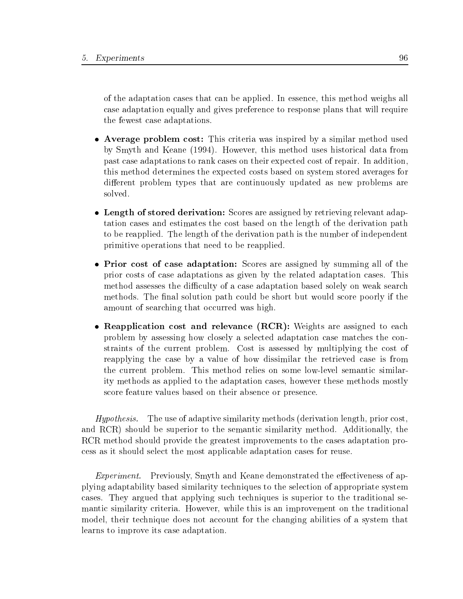of the adaptation cases that can be applied. In essence, this method weighs all case adaptation equally and gives preference to response plans that will require the fewest case adaptations.

- Average problem cost: This criteria was inspired by a similar method used by Smyth and Keane (1994). However, this method uses historical data from past case adaptations to rank cases on their expected cost of repair. In addition, this method determines the expected costs based on system stored averages for different problem types that are continuously updated as new problems are solved.
- Length of stored derivation: Scores are assigned by retrieving relevant adaptation cases and estimates the cost based on the length of the derivation path to be reapplied. The length of the derivation path is the number of independent primitive operations that need to be reapplied.
- Prior cost of case adaptation: Scores are assigned by summing all of the prior costs of case adaptations as given by the related adaptation cases. This method assesses the difficulty of a case adaptation based solely on weak search methods. The final solution path could be short but would score poorly if the amount of searching that occurred was high.
- Reapplication cost and relevance (RCR): Weights are assigned to each problem by assessing how closely a selected adaptation case matches the constraints of the current problem. Cost is assessed by multiplying the cost of reapplying the case by a value of how dissimilar the retrieved case is from the current problem. This method relies on some low-level semantic similarity methods as applied to the adaptation cases, however these methods mostly score feature values based on their absence or presence.

Hypothesis. The use of adaptive similarity methods (derivation length, prior cost, and RCR) should be superior to the semantic similarity method. Additionally, the RCR method should provide the greatest improvements to the cases adaptation process as it should select the most applicable adaptation cases for reuse.

Experiment. Previously, Smyth and Keane demonstrated the effectiveness of applying adaptability based similarity techniques to the selection of appropriate system cases. They argued that applying such techniques is superior to the traditional semantic similarity criteria. However, while this is an improvement on the traditional model, their technique does not account for the changing abilities of a system that learns to improve its case adaptation.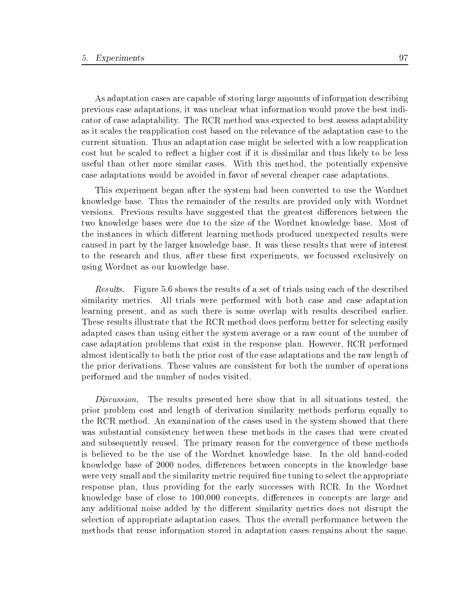As adaptation cases are capable of storing large amounts of information describing previous case adaptations, it was unclear what information would prove the best indicator of case adaptability. The RCR method was expected to best assess adaptability as it scales the reapplication cost based on the relevance of the adaptation case to the current situation. Thus an adaptation case might be selected with a low reapplication cost but be scaled to reflect a higher cost if it is dissimilar and thus likely to be less useful than other more similar cases. With this method, the potentially expensive case adaptations would be avoided in favor of several cheaper case adaptations.

This experiment began after the system had been converted to use the Wordnet knowledge base. Thus the remainder of the results are provided only with Wordnet versions. Previous results have suggested that the greatest differences between the two knowledge bases were due to the size of the Wordnet knowledge base. Most of the instances in which different learning methods produced unexpected results were caused in part by the larger knowledge base. It was these results that were of interest to the research and thus, after these first experiments, we focussed exclusively on using Wordnet as our knowledge base.

Results. Figure 5.6 shows the results of a set of trials using each of the described similarity metrics. All trials were performed with both case and case adaptation learning present, and as such there is some overlap with results described earlier. These results illustrate that the RCR method does perform better for selecting easily adapted cases than using either the system average or a raw count of the number of case adaptation problems that exist in the response plan. However, RCR performed almost identically to both the prior cost of the case adaptations and the raw length of the prior derivations. These values are consistent for both the number of operations performed and the number of nodes visited.

Discussion. The results presented here show that in all situations tested, the prior problem cost and length of derivation similarity methods perform equally to the RCR method. An examination of the cases used in the system showed that there was substantial consistency between these methods in the cases that were created and subsequently reused. The primary reason for the convergence of these methods is believed to be the use of the Wordnet knowledge base. In the old hand-coded knowledge base of 2000 nodes, differences between concepts in the knowledge base were very small and the similarity metric required fine tuning to select the appropriate response plan, thus providing for the early successes with RCR. In the Wordnet knowledge base of close to 100,000 concepts, differences in concepts are large and any additional noise added by the different similarity metrics does not disrupt the selection of appropriate adaptation cases. Thus the overall performance between the methods that reuse information stored in adaptation cases remains about the same.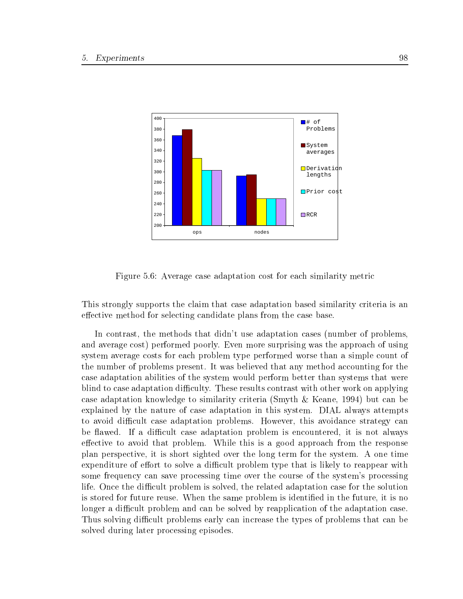

Figure 5.6: Average case adaptation cost for each similarity metric

This strongly supports the claim that case adaptation based similarity criteria is an effective method for selecting candidate plans from the case base.

In contrast, the methods that didn't use adaptation cases (number of problems, and average cost) performed poorly. Even more surprising was the approach of using system average costs for each problem type performed worse than a simple count of the number of problems present. It was believed that any method accounting for the case adaptation abilities of the system would perform better than systems that were blind to case adaptation difficulty. These results contrast with other work on applying case adaptation knowledge to similarity criteria (Smyth & Keane, 1994) but can be explained by the nature of case adaptation in this system. DIAL always attempts to avoid difficult case adaptation problems. However, this avoidance strategy can be flawed. If a difficult case adaptation problem is encountered, it is not always effective to avoid that problem. While this is a good approach from the response plan perspective, it is short sighted over the long term for the system. A one time expenditure of effort to solve a difficult problem type that is likely to reappear with some frequency can save processing time over the course of the system's processing life. Once the difficult problem is solved, the related adaptation case for the solution is stored for future reuse. When the same problem is identified in the future, it is no longer a difficult problem and can be solved by reapplication of the adaptation case. Thus solving difficult problems early can increase the types of problems that can be solved during later processing episodes.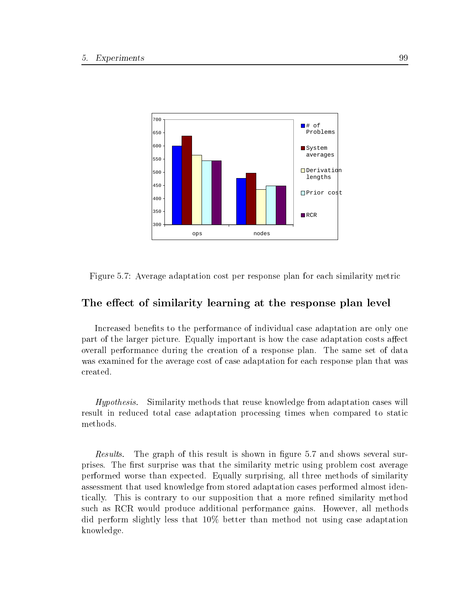

Figure 5.7: Average adaptation cost per response plan for each similarity metric

### The effect of similarity learning at the response plan level

Increased benefits to the performance of individual case adaptation are only one part of the larger picture. Equally important is how the case adaptation costs affect overall performance during the creation of a response plan. The same set of data was examined for the average cost of case adaptation for each response plan that was created.

Hypothesis. Similarity methods that reuse knowledge from adaptation cases will result in reduced total case adaptation processing times when compared to static methods.

Results. The graph of this result is shown in figure 5.7 and shows several surprises. The first surprise was that the similarity metric using problem cost average performed worse than expected. Equally surprising, all three methods of similarity assessment that used knowledge from stored adaptation cases performed almost identically. This is contrary to our supposition that a more rened similarity method such as RCR would produce additional performance gains. However, all methods did perform slightly less that 10% better than method not using case adaptation knowledge.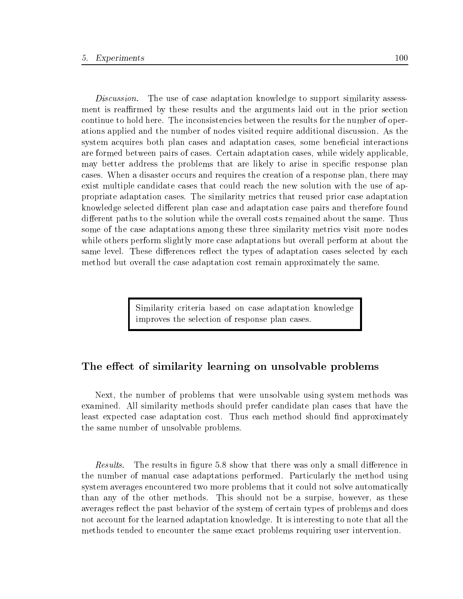Discussion. The use of case adaptation knowledge to support similarity assessment is reaffirmed by these results and the arguments laid out in the prior section continue to hold here. The inconsistencies between the results for the number of operations applied and the number of nodes visited require additional discussion. As the system acquires both plan cases and adaptation cases, some beneficial interactions are formed between pairs of cases. Certain adaptation cases, while widely applicable, may better address the problems that are likely to arise in specific response plan cases. When a disaster occurs and requires the creation of a response plan, there may exist multiple candidate cases that could reach the new solution with the use of appropriate adaptation cases. The similarity metrics that reused prior case adaptation knowledge selected different plan case and adaptation case pairs and therefore found different paths to the solution while the overall costs remained about the same. Thus some of the case adaptations among these three similarity metrics visit more nodes while others perform slightly more case adaptations but overall perform at about the same level. These differences reflect the types of adaptation cases selected by each method but overall the case adaptation cost remain approximately the same.

> Similarity criteria based on case adaptation knowledge improves the selection of response plan cases.

### The effect of similarity learning on unsolvable problems

Next, the number of problems that were unsolvable using system methods was examined. All similarity methods should prefer candidate plan cases that have the least expected case adaptation cost. Thus each method should find approximately the same number of unsolvable problems.

*Results.* The results in figure 5.8 show that there was only a small difference in the number of manual case adaptations performed. Particularly the method using system averages encountered two more problems that it could not solve automatically than any of the other methods. This should not be a surpise, however, as these averages reflect the past behavior of the system of certain types of problems and does not account for the learned adaptation knowledge. It is interesting to note that all the methods tended to encounter the same exact problems requiring user intervention.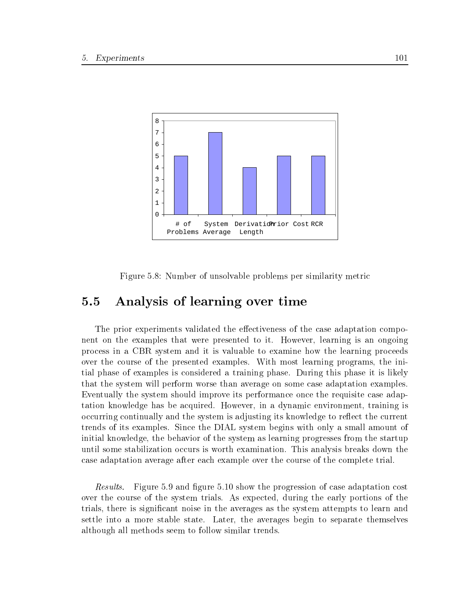

Figure 5.8: Number of unsolvable problems per similarity metric

## 5.5 Analysis of learning over time

The prior experiments validated the effectiveness of the case adaptation component on the examples that were presented to it. However, learning is an ongoing process in a CBR system andit is valuable to examine how the learning proceeds over the course of the presented examples. With most learning programs, the initial phase of examples is considered a training phase. During this phase it is likely that the system will perform worse than average on some case adaptation examples. Eventually the system should improve its performance once the requisite case adaptation knowledge has be acquired. However, in a dynamic environment, training is occurring continually and the system is adjusting its knowledge to reflect the current trends of its examples. Since the DIAL system begins with only a small amount of initial knowledge, the behavior of the system as learning progresses from the startup until some stabilization occurs is worth examination. This analysis breaks down the case adaptation average after each example over the course of the complete trial.

Results. Figure 5.9 and figure 5.10 show the progression of case adaptation cost over the course of the system trials. As expected, during the early portions of the trials, there is signicant noise in the averages as the system attempts to learn and settle into a more stable state. Later, the averages begin to separate themselves although all methods seem to follow similar trends.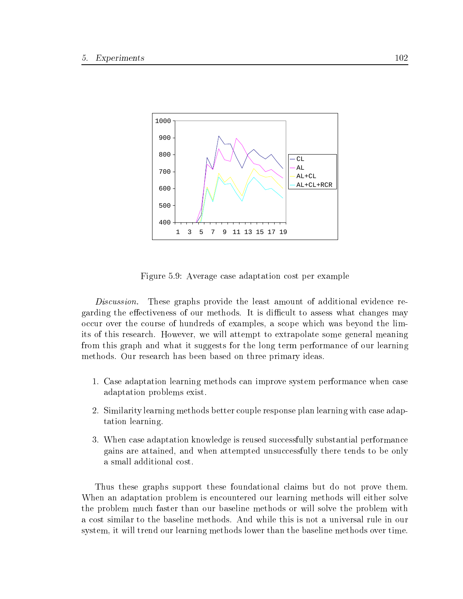

Figure 5.9: Average case adaptation cost per example

Discussion. These graphs provide the least amount of additional evidence regarding the effectiveness of our methods. It is difficult to assess what changes may occur over the course of hundreds of examples, a scope which was beyond the limits of this research. However, we will attempt to extrapolate some general meaning from this graph and what it suggests for the long term performance of our learning methods. Our research has been based on three primary ideas.

- 1. Case adaptation learning methods can improve system performance when case adaptation problems exist.
- 2. Similarity learning methods better couple response plan learning with case adaptation learning.
- 3. When case adaptation knowledge is reused successfully substantial performance gains are attained, and when attempted unsuccessfully there tends to be only a small additional cost.

Thus these graphs support these foundational claims but do not prove them. When an adaptation problem is encountered our learning methods will either solve the problem much faster than our baseline methods or will solve the problem with a cost similar to the baseline methods. And while this is not a universal rule in our system, it will trend our learning methods lower than the baseline methods over time.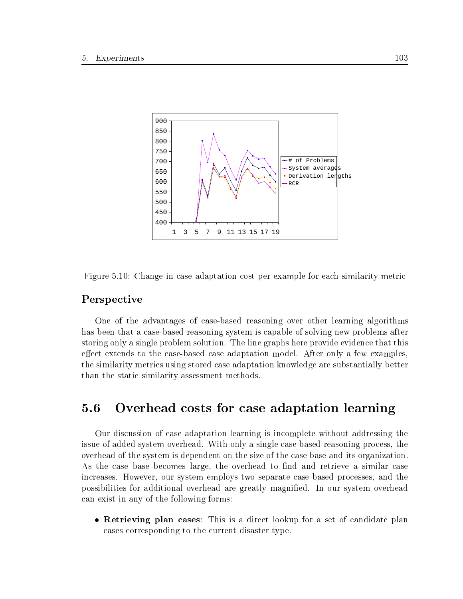

Figure 5.10: Change in case adaptation cost per example for each similarity metric

### Perspective

One of the advantages of case-based reasoning over other learning algorithms has been that a case-based reasoning system is capable of solving new problems after storing only a single problem solution. The line graphs here provide evidence that this effect extends to the case-based case adaptation model. After only a few examples, the similarity metrics using stored case adaptation knowledge are substantially better than the static similarity assessment methods.

#### Overhead costs for case adaptation learning 5.6

Our discussion of case adaptation learning is incomplete without addressing the issue of added system overhead. With only a single case based reasoning process, the overhead of the system is dependent on the size of the case base and its organization. As the case base becomes large, the overhead to find and retrieve a similar case increases. However, our system employs two separate case based processes, and the possibilities for additional overhead are greatly magnied. In our system overhead can exist in any of the following forms:

 Retrieving plan cases: This is a direct lookup for a set of candidate plan cases corresponding to the current disaster type.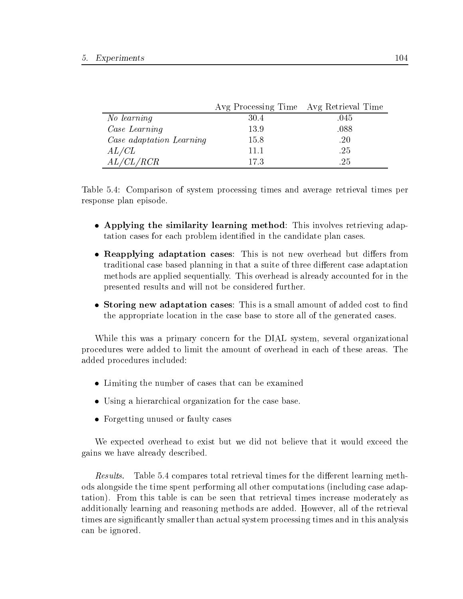|                          | Avg Processing Time Avg Retrieval Time |      |
|--------------------------|----------------------------------------|------|
| No learning              | 30.4                                   | .045 |
| Case Learning            | 13.9                                   | .088 |
| Case adaptation Learning | 15.8                                   | .20  |
| AL/CL                    | 11.1                                   | .25  |
| AL/CL/RCR                | 173                                    | .25  |

Table 5.4: Comparison of system processing times and average retrieval times per response plan episode.

- Applying the similarity learning method: This involves retrieving adaptation cases for each problem identified in the candidate plan cases.
- Reapplying adaptation cases: This is not new overhead but differs from traditional case based planning in that a suite of three different case adaptation methods are applied sequentially. This overhead is already accounted for in the presented results and will not be considered further.
- Storing new adaptation cases: This is a small amount of added cost to find the appropriate location in the case base to store all of the generated cases.

While this was a primary concern for the DIAL system, several organizational procedures were added to limit the amount of overhead in each of these areas. The added procedures included:

- Limiting the number of cases that can be examined
- Using a hierarchical organization for the case base.
- Forgetting unused or faulty cases

We expected overhead to exist but we did not believe that it would exceed the gains we have already described.

Results. Table 5.4 compares total retrieval times for the different learning methods alongside the time spent performing all other computations (including case adaptation). From this table is can be seen that retrieval times increase moderately as additionally learning and reasoning methods are added. However, all of the retrieval times are signicantly smaller than actual system processing times and in this analysis can be ignored.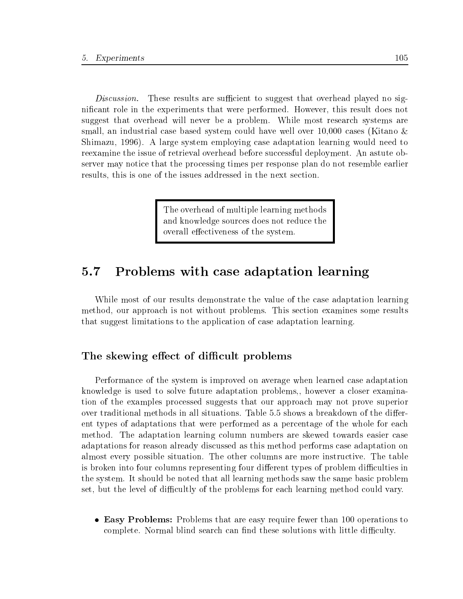Discussion. These results are sufficient to suggest that overhead played no signicant role in the experiments that were performed. However, this result does not suggest that overhead will never be a problem. While most research systems are small, an industrial case based system could have well over 10,000 cases (Kitano & Shimazu, 1996). A large system employing case adaptation learning would need to reexamine the issue of retrieval overhead before successful deployment. An astute observer may notice that the processing times per response plan do not resemble earlier results, this is one of the issues addressed in the next section.

> The overhead of multiple learning methods and knowledge sources does not reduce the overall effectiveness of the system.

#### $5.7$ 5.7 Problems with case adaptation learning

While most of our results demonstrate the value of the case adaptation learning method, our approach is not without problems. This section examines some results that suggest limitations to the application of case adaptation learning.

### The skewing effect of difficult problems

Performance of the system is improved on average when learned case adaptation knowledge is used to solve future adaptation problems,, however a closer examination of the examples processed suggests that our approach may not prove superior over traditional methods in all situations. Table 5.5 shows a breakdown of the different types of adaptations that were performed as a percentage of the whole for each method. The adaptation learning column numbers are skewed towards easier case adaptations for reason already discussed as this method performs case adaptation on almost every possible situation. The other columns are more instructive. The table is broken into four columns representing four different types of problem difficulties in the system. It should be noted that all learning methods saw the same basic problem set, but the level of difficultly of the problems for each learning method could vary.

 Easy Problems: Problems that are easy require fewer than 100 operations to complete. Normal blind search can find these solutions with little difficulty.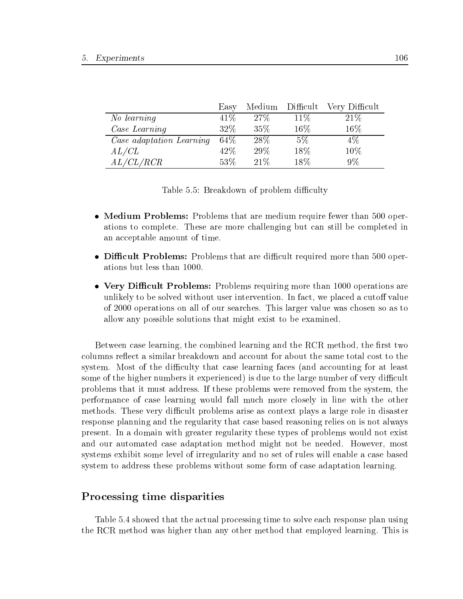|                          | Easy   |        |        | Medium Difficult Very Difficult |
|--------------------------|--------|--------|--------|---------------------------------|
| No learning              | 41\%   | 27\%   | $11\%$ | 21\%                            |
| Case Learning            | 32%    | 35%    | $16\%$ | 16%                             |
| Case adaptation Learning | $64\%$ | $28\%$ | $5\%$  | $4\%$                           |
| AL/CL                    | 42\%   | 29\%   | 18\%   | 10%                             |
| AL/CL/RCR                | 53%    | 21%    | 18\%   | $9\%$                           |

Table 5.5: Breakdown of problem difficulty

- Medium Problems: Problems that are medium require fewer than 500 operations to complete. These are more challenging but can stillbe completed in an acceptable amount of time.
- Difficult Problems: Problems that are difficult required more than 500 operations but less than 1000.
- Very Difficult Problems: Problems requiring more than 1000 operations are unlikely to be solved without user intervention. In fact, we placed a cutoff value of 2000 operations on all of our searches. This larger value was chosen so as to allow any possible solutions that might exist to be examined.

Between case learning, the combined learning and the RCR method, the first two columns reflect a similar breakdown and account for about the same total cost to the system. Most of the difficulty that case learning faces (and accounting for at least some of the higher numbers it experienced) is due to the large number of very difficult problems that it must address. If these problems were removed from the system, the performance of case learning would fall much more closely in line with the other methods. These very difficult problems arise as context plays a large role in disaster response planning and the regularity that case based reasoning relies on is not always present. In a domain with greater regularity these types of problems would not exist and our automated case adaptation method might not be needed. However, most systems exhibit some level of irregularity and no set of rules will enable a case based system to address these problems without some form of case adaptation learning.

### Processing time disparities

Table 5.4 showed that the actual processing time to solve each response plan using the RCR method was higher than any other method that employed learning. This is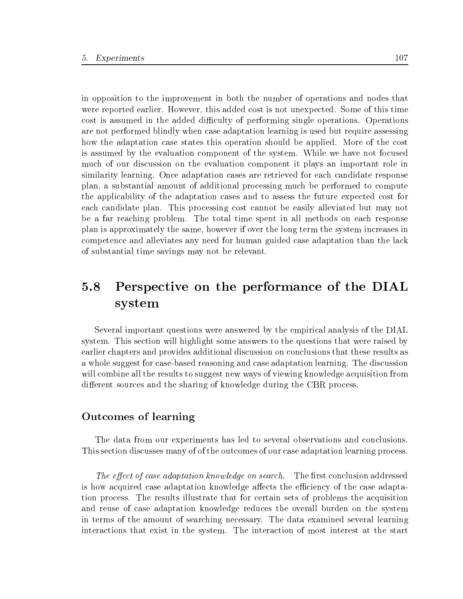in opposition to the improvement in both the number of operations and nodes that were reported earlier. However, this added cost is not unexpected. Some of this time cost is assumed in the added difficulty of performing single operations. Operations are not performed blindly when case adaptation learning is used but require assessing how the adaptation case states this operation should be applied. More of the cost is assumed by the evaluation component of the system. While we have not focused much of our discussion on the evaluation component it plays an important role in similarity learning. Once adaptation cases are retrieved for each candidate response plan, a substantial amount of additional processing much be performed to compute the applicability of the adaptation cases and to assess the future expected cost for each candidate plan. This processing cost cannot be easily alleviated but may not be a far reaching problem. The total time spent in all methods on each response plan is approximately the same, however if over the long term the system increases in competence and alleviates any need for human guided case adaptation than the lack of substantial time savings may not be relevant.

## 5.8 Perspective on the performance of the DIAL system

Several important questions were answered by the empirical analysis of the DIAL system. This section will highlight some answers to the questions that were raised by earlier chapters and provides additional discussion on conclusions that these results as a whole suggest for case-based reasoning and case adaptation learning. The discussion will combine all the results to suggest new ways of viewing knowledge acquisition from different sources and the sharing of knowledge during the CBR process.

### Outcomes of learning

The data from our experiments has led to several observations and conclusions. This section discusses many of of the outcomes of our case adaptation learning process.

The effect of case adaptation knowledge on search. The first conclusion addressed is how acquired case adaptation knowledge affects the efficiency of the case adaptation process. The results illustrate that for certain sets of problems the acquisition and reuse of case adaptation knowledge reduces the overall burden on the system in terms of the amount of searching necessary. The data examined several learning interactions that exist in the system. The interaction of most interest at the start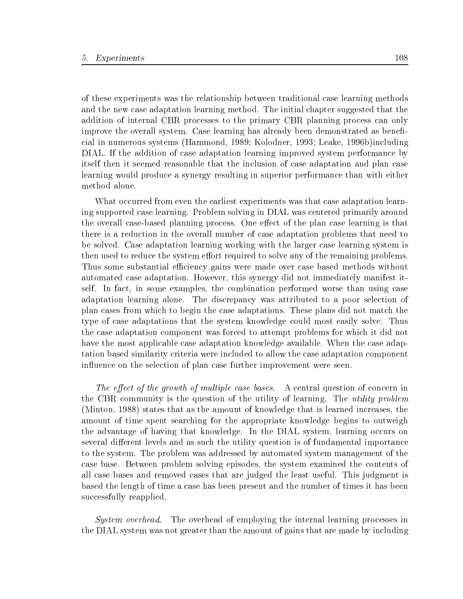of these experiments was the relationship between traditional case learning methods and the new case adaptation learning method. The initial chapter suggested that the addition of internal CBR processes to the primary CBR planning process can only improve the overall system. Case learning has already been demonstrated as beneficial in numerous systems (Hammond, 1989; Kolodner, 1993; Leake, 1996b)including DIAL. If the addition of case adaptation learning improved system performance by itself then it seemed reasonable that the inclusion of case adaptation and plan case learning would produce a synergy resulting in superior performance than with either method alone.

What occurred from even the earliest experiments was that case adaptation learning supported case learning. Problem solving in DIAL was centered primarily around the overall case-based planning process. One effect of the plan case learning is that there is a reduction in the overall number of case adaptation problems that need to be solved. Case adaptation learning working with the larger case learning system is then used to reduce the system effort required to solve any of the remaining problems. Thus some substantial efficiency gains were made over case based methods without automated case adaptation. However, this synergy did not immediately manifest itself. In fact, in some examples, the combination performed worse than using case adaptation learning alone. The discrepancy was attributed to a poor selection of plan cases from which to begin the case adaptations. These plans did not match the type of case adaptations that the system knowledge could most easily solve. Thus the case adaptation component was forced to attempt problems for which it did not have the most applicable case adaptation knowledge available. When the case adaptation based similarity criteria were included to allow the case adaptation component influence on the selection of plan case further improvement were seen.

The effect of the growth of multiple case bases. A central question of concern in the CBR community is the question of the utility of learning. The utility problem (Minton, 1988) states that as the amount of knowledge that is learned increases, the amount of time spent searching for the appropriate knowledge begins to outweigh the advantage of having that knowledge. In the DIAL system, learning occurs on several different levels and as such the utility question is of fundamental importance to the system. The problem was addressed by automated system management of the case base. Between problem solving episodes, the system examined the contents of all case bases and removed cases that are judged the least useful. This judgment is based the length of time a case has been present and the number of times it has been successfully reapplied.

System overhead. The overhead of employing the internal learning processes in the DIAL system was not greater than the amount of gains that are made by including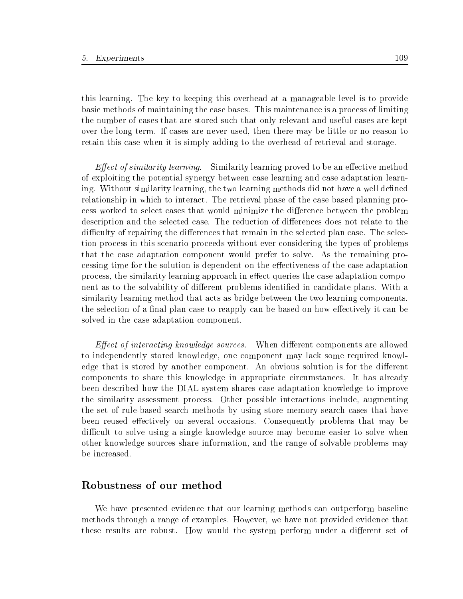this learning. The key to keeping this overhead at a manageable level is to provide basic methods of maintaining the case bases. This maintenance is a process of limiting the number of cases that are stored such that only relevant and useful cases are kept over the long term. If cases are never used, then there may be little or no reason to retain this case when it is simply adding to the overhead of retrieval and storage.

*Effect of similarity learning.* Similarity learning proved to be an effective method of exploiting the potential synergy between case learning and case adaptation learning. Without similarity learning, the two learning methods did not have a well defined relationship in which to interact. The retrieval phase of the case based planning process worked to select cases that would minimize the difference between the problem description and the selected case. The reduction of differences does not relate to the difficulty of repairing the differences that remain in the selected plan case. The selection process in this scenario proceeds without ever considering the types of problems that the case adaptation component would prefer to solve. As the remaining processing time for the solution is dependent on the effectiveness of the case adaptation process, the similarity learning approach in effect queries the case adaptation component as to the solvability of different problems identified in candidate plans. With a similarity learning method that acts as bridge between the two learning components, the selection of a final plan case to reapply can be based on how effectively it can be solved in the case adaptation component.

Effect of interacting knowledge sources. When different components are allowed to independently stored knowledge, one component may lack some required knowledge that is stored by another component. An obvious solution is for the different components to share this knowledge in appropriate circumstances. It has already been described how the DIAL system shares case adaptation knowledge to improve the similarity assessment process. Other possible interactions include, augmenting the set of rule-based search methods by using store memory search cases that have been reused effectively on several occasions. Consequently problems that may be difficult to solve using a single knowledge source may become easier to solve when other knowledge sources share information, and the range of solvable problems may be increased.

### Robustness of our method

We have presented evidence that our learning methods can outperform baseline methods through a range of examples. However, we have not provided evidence that these results are robust. How would the system perform under a different set of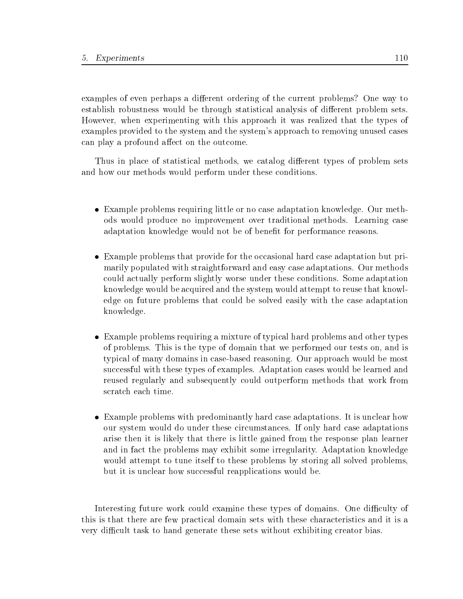examples of even perhaps a different ordering of the current problems? One way to establish robustness would be through statistical analysis of different problem sets. However, when experimenting with this approach it was realized that the types of examples provided to the system and the system's approach to removing unused cases can play a profound affect on the outcome.

Thus in place of statistical methods, we catalog different types of problem sets and how our methods would perform under these conditions.

- Example problems requiring little or no case adaptation knowledge. Our methods would produce no improvement over traditional methods. Learning case adaptation knowledge would not be of benefit for performance reasons.
- Example problems that provide for the occasional hard case adaptation but primarily populated with straightforward and easy case adaptations. Our methods could actually perform slightly worse under these conditions. Some adaptation knowledge would be acquired and the system would attempt to reuse that knowledge on future problems that could be solved easily with the case adaptation knowledge.
- Example problems requiring a mixture of typical hard problems and other types of problems. This is the type of domain that we performed our tests on, and is typical of many domains in case-based reasoning. Our approach would be most successful with these types of examples. Adaptation cases would be learned and reused regularly and subsequently could outperform methods that work from
- Example problems with predominantly hard case adaptations. It is unclear how our system would do under these circumstances. If only hard case adaptations arise then it is likely that there is little gained from the response plan learner and in fact the problems may exhibit some irregularity. Adaptation knowledge would attempt to tune itself to these problems by storing all solved problems, but it is unclear how successful reapplications would be.

Interesting future work could examine these types of domains. One difficulty of this is that there are few practical domain sets with these characteristics and it is a very difficult task to hand generate these sets without exhibiting creator bias.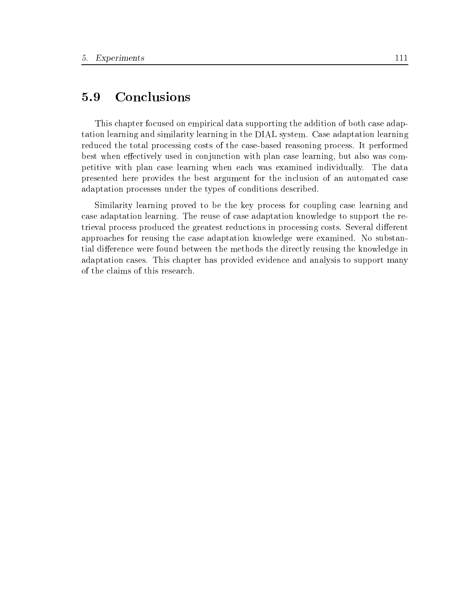## 5.9 Conclusions

This chapter focused on empirical data supporting the addition of both case adaptation learning and similarity learning in the DIAL system. Case adaptation learning reduced the total processing costs of the case-based reasoning process. It performed best when effectively used in conjunction with plan case learning, but also was competitive with plan case learning when each was examined individually. The data presented here provides the best argument for the inclusion of an automated case adaptation processes under the types of conditions described.

Similarity learning proved to be the key process for coupling case learning and case adaptation learning. The reuse of case adaptation knowledge to support the retrieval process produced the greatest reductions in processing costs. Several different approaches for reusing the case adaptation knowledge were examined. No substantial difference were found between the methods the directly reusing the knowledge in adaptation cases. This chapter has provided evidence and analysis to support many of the claims of this research.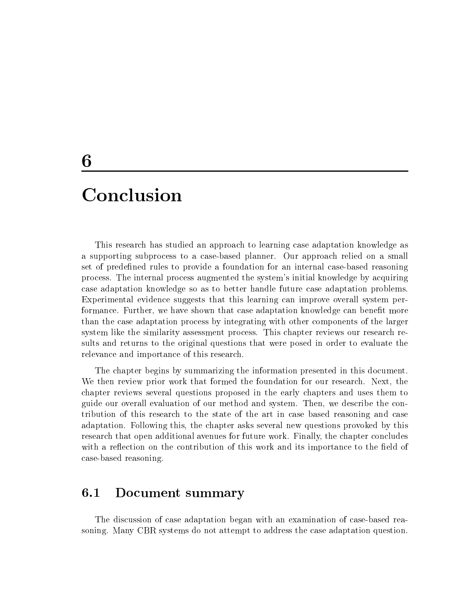## 6

This research has studied an approach to learning case adaptation knowledge as a supporting subprocess to a case-based planner. Our approach relied on a small set of predefined rules to provide a foundation for an internal case-based reasoning process. The internal process augmented the system's initial knowledge by acquiring case adaptation knowledge so as to better handle future case adaptation problems. Experimental evidence suggests that this learning can improve overall system performance. Further, we have shown that case adaptation knowledge can benet more than the case adaptation process by integrating with other components of the larger system like the similarity assessment process. This chapter reviews our research results and returns to the original questions that were posed in order to evaluate the relevance and importance of this research.

The chapter begins by summarizing the information presented in this document. We then review prior work that formed the foundation for our research. Next, the chapter reviews several questions proposed in the early chapters and uses them to guide our overall evaluation of our method and system. Then, we describe the contribution of this research to the state of the art in case based reasoning and case adaptation. Following this, the chapter asks several new questions provoked by this research that open additional avenues for future work. Finally, the chapter concludes with a reflection on the contribution of this work and its importance to the field of case-based reasoning.

#### Document summary  $6.1$

The discussion of case adaptation began with an examination of case-based reasoning. Many CBR systems do not attempt to address the case adaptation question.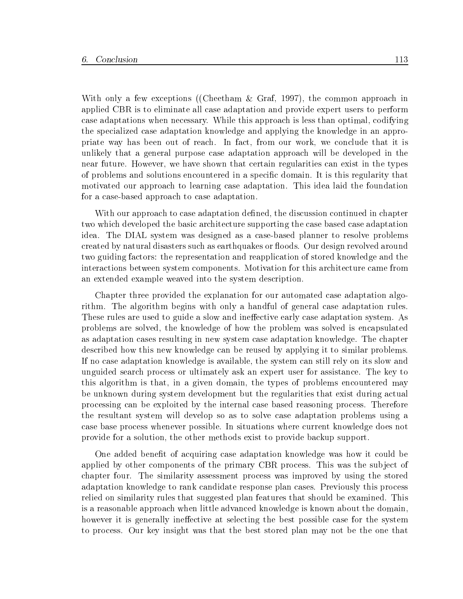With only a few exceptions ((Cheetham & Graf, 1997), the common approach in applied CBR is to eliminate all case adaptation and provide expert users to perform case adaptations when necessary. While this approach is less than optimal, codifying the specialized case adaptation knowledge and applying the knowledge in an appropriate way has been out of reach. In fact, from our work, we conclude that it is unlikely that a general purpose case adaptation approach will be developed in the near future. However, we have shown that certain regularities can exist in the types of problems and solutions encountered in a specic domain. It is this regularity that motivated our approach to learning case adaptation. This idea laid the foundation for a case-based approach to case adaptation.

With our approach to case adaptation defined, the discussion continued in chapter two which developed the basic architecture supporting the case based case adaptation idea. The DIAL system was designed as a case-based planner to resolve problems created by natural disasters such as earthquakes or floods. Our design revolved around two guiding factors: the representation and reapplication of stored knowledge and the interactions between system components. Motivation for this architecture came from an extended example weaved into the system description.

Chapter three provided the explanation for our automated case adaptation algorithm. The algorithm begins with only a handful of general case adaptation rules. These rules are used to guide a slow and ineffective early case adaptation system. As problems are solved, the knowledge of how the problem was solved is encapsulated as adaptation cases resulting in new system case adaptation knowledge. The chapter described how this new knowledge can be reused by applying it to similar problems. If no case adaptation knowledge is available, the system can still rely on its slow and unguided search process or ultimately ask an expert user for assistance. The key to this algorithm is that, in a given domain, the types of problems encountered may be unknown during system development but the regularities that exist during actual processing can be exploited by the internal case based reasoning process. Therefore the resultant system will develop so as to solve case adaptation problems using a case base process whenever possible. In situations where current knowledge does not provide for a solution, the other methods exist to provide backup support.

One added benet of acquiring case adaptation knowledge was how it could be applied by other components of the primary CBR process. This was the subject of chapter four. The similarity assessment process was improved by using the stored adaptation knowledge to rank candidate response plan cases. Previously this process relied on similarity rules that suggested plan features that should be examined. This is a reasonable approach when little advanced knowledge is known about the domain, however it is generally ineffective at selecting the best possible case for the system to process. Our key insight was that the best stored plan may not be the one that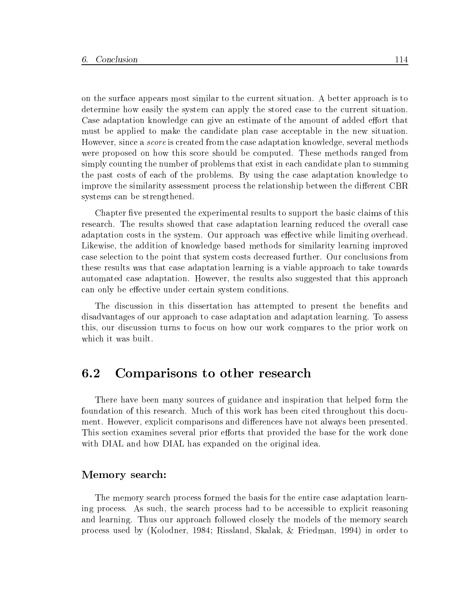on the surface appears most similar to the current situation. A better approach is to determine how easily the system can apply the stored case to the current situation. Case adaptation knowledge can give an estimate of the amount of added effort that must be applied to make the candidate plan case acceptable in the new situation. However, since a *score* is created from the case adaptation knowledge, several methods were proposed on how this score should be computed. These methods ranged from simply counting the number of problems that exist in each candidate plan to summing the past costs of each of the problems. By using the case adaptation knowledge to improve the similarity assessment process the relationship between the different CBR systems can be strengthened.

Chapter five presented the experimental results to support the basic claims of this research. The results showed that case adaptation learning reduced the overall case adaptation costs in the system. Our approach was effective while limiting overhead. Likewise, the addition of knowledge based methods for similarity learning improved case selection to the point that system costs decreased further. Our conclusions from these results was that case adaptation learning is a viable approach to take towards automated case adaptation. However, the results also suggested that this approach can only be effective under certain system conditions.

The discussion in this dissertation has attempted to present the benefits and disadvantages of our approach to case adaptation and adaptation learning. To assess this, our discussion turns to focus on how our work compares to the prior work on which it was built.

#### 6.2 Comparisons to other research

There have been many sources of guidance and inspiration that helped form the foundation of this research. Much of this work has been cited throughout this document. However, explicit comparisons and differences have not always been presented. This section examines several prior efforts that provided the base for the work done with DIAL and how DIAL has expanded on the original idea.

### Memory search:

The memory search process formed the basis for the entire case adaptation learning process. As such, the search process had to be accessible to explicit reasoning and learning. Thus our approach followed closely the models of the memory search process used by (Kolodner, 1984; Rissland, Skalak, & Friedman, 1994) in order to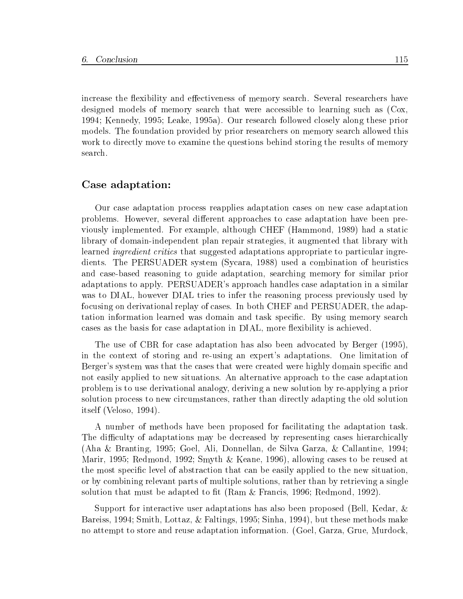increase the flexibility and effectiveness of memory search. Several researchers have designed models of memory search that were accessible to learning such as (Cox, 1994; Kennedy, 1995; Leake, 1995a). Our research followed closely along these prior models. The foundation provided by prior researchers on memory search allowed this work to directly move to examine the questions behind storing the results of memory search.

### Case adaptation:

Our case adaptation process reapplies adaptation cases on new case adaptation problems. However, several different approaches to case adaptation have been previously implemented. For example, although CHEF (Hammond, 1989) had a static library of domain-independent plan repair strategies, it augmented that library with learned *ingredient critics* that suggested adaptations appropriate to particular ingredients. The PERSUADER system (Sycara, 1988) used a combination of heuristics and case-based reasoning to guide adaptation, searching memory for similar prior adaptations to apply. PERSUADER's approach handles case adaptation in a similar was to DIAL, however DIAL tries to infer the reasoning process previously used by focusing on derivational replay of cases. In both CHEF and PERSUADER, the adaptation information learned was domain and task specic. By using memory search cases as the basis for case adaptation in DIAL, more flexibility is achieved.

The use of CBR for case adaptation has also been advocated by Berger (1995), in the context of storing and re-using an expert's adaptations. One limitation of Berger's system was that the cases that were created were highly domain specific and not easily applied to new situations. An alternative approach to the case adaptation problem is to use derivational analogy, deriving a new solution by re-applying a prior solution process to new circumstances, rather than directly adapting the old solution itself (Veloso, 1994).

A number of methods have been proposed for facilitating the adaptation task. The difficulty of adaptations may be decreased by representing cases hierarchically (Aha & Branting, 1995; Goel, Ali, Donnellan, de Silva Garza, & Callantine, 1994; Marir, 1995; Redmond, 1992; Smyth & Keane, 1996), allowing cases to be reused at the most specic level of abstraction that can be easily applied to the new situation, or by combining relevant parts of multiple solutions, rather than by retrieving a single solution that must be adapted to fit (Ram  $\&$  Francis, 1996; Redmond, 1992).

Support for interactive user adaptations has also been proposed (Bell, Kedar, & Bareiss, 1994; Smith, Lottaz, & Faltings, 1995; Sinha, 1994), but these methods make no attempt to store and reuse adaptation information. (Goel, Garza, Grue, Murdock,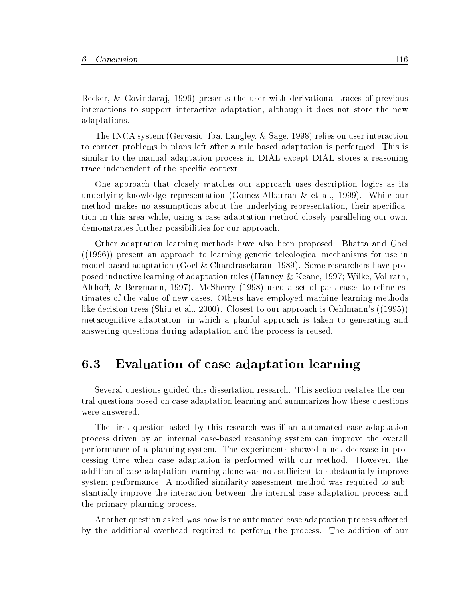Recker, & Govindaraj, 1996) presents the user with derivational traces of previous interactions to support interactive adaptation, although it does not store the new adaptations.

The INCA system (Gervasio, Iba, Langley, & Sage, 1998) relies on user interaction to correct problems in plans left after a rule based adaptation is performed. This is similar to the manual adaptation process in DIAL except DIAL stores a reasoning trace independent of the specific context.

One approach that closely matches our approach uses description logics as its underlying knowledge representation (Gomez-Albarran & et al., 1999). While our method makes no assumptions about the underlying representation, their specication in this area while, using a case adaptation method closely paralleling our own, demonstrates further possibilities for our approach.

Other adaptation learning methods have also been proposed. Bhatta and Goel ((1996)) present an approach to learning generic teleological mechanisms for use in model-based adaptation (Goel & Chandrasekaran, 1989). Some researchers have proposed inductive learning of adaptation rules (Hanney & Keane, 1997; Wilke, Vollrath, Althoff,  $\&$  Bergmann, 1997). McSherry (1998) used a set of past cases to refine estimates of the value of new cases. Others have employed machine learning methods like decision trees (Shiu et al., 2000). Closest to our approach is Oehlmann's ((1995)) metacognitive adaptation, in which a planful approach is taken to generating and answering questions during adaptation and the process is reused.

#### Evaluation of case adaptation learning 6.3

Several questions guided this dissertation research. This section restates the central questions posed on case adaptation learning and summarizes how these questions were answered.

The first question asked by this research was if an automated case adaptation process driven by an internal case-based reasoning system can improve the overall performance of a planning system. The experiments showed a net decrease in processing time when case adaptation is performed with our method. However, the addition of case adaptation learning alone was not sufficient to substantially improve system performance. A modified similarity assessment method was required to substantially improve the interaction between the internal case adaptation process and the primary planning process.

Another question asked was how is the automated case adaptation process affected by the additional overhead required to perform the process. The addition of our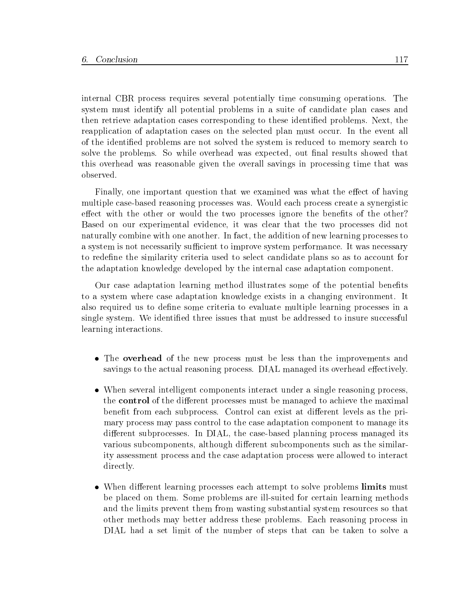internal CBR process requires several potentially time consuming operations. The system must identify all potential problems in a suite of candidate plan cases and then retrieve adaptation cases corresponding to these identied problems. Next, the reapplication of adaptation cases on the selected plan must occur. In the event all of the identied problems are not solved the system is reduced to memory search to solve the problems. So while overhead was expected, out final results showed that this overhead was reasonable given the overall savings in processing time that was observed.

Finally, one important question that we examined was what the effect of having multiple case-based reasoning processes was. Would each process create a synergistic effect with the other or would the two processes ignore the benefits of the other? Based on our experimental evidence, it was clear that the two processes did not naturally combine with one another. In fact, the addition of new learning processes to a system is not necessarily sufficient to improve system performance. It was necessary to redene the similarity criteria used to select candidate plans so as to account for the adaptation knowledge developed by the internal case adaptation component.

Our case adaptation learning method illustrates some of the potential benefits to a system where case adaptation knowledge exists in a changing environment. It also required us to define some criteria to evaluate multiple learning processes in a single system. We identied three issues that must be addressed to insure successful learning interactions.

- The **overhead** of the new process must be less than the improvements and savings to the actual reasoning process. DIAL managed its overhead effectively.
- When several intelligent components interact under a single reasoning process, the **control** of the different processes must be managed to achieve the maximal benefit from each subprocess. Control can exist at different levels as the primary process may pass control to the case adaptation component to manage its different subprocesses. In DIAL, the case-based planning process managed its various subcomponents, although different subcomponents such as the similarity assessment process and the case adaptation process were allowed to interact directly.
- When different learning processes each attempt to solve problems limits must be placed on them. Some problems are ill-suited for certain learning methods and the limits prevent them from wasting substantial system resources so that other methods may better address these problems. Each reasoning process in DIAL had a set limit of the number of steps that can be taken to solve a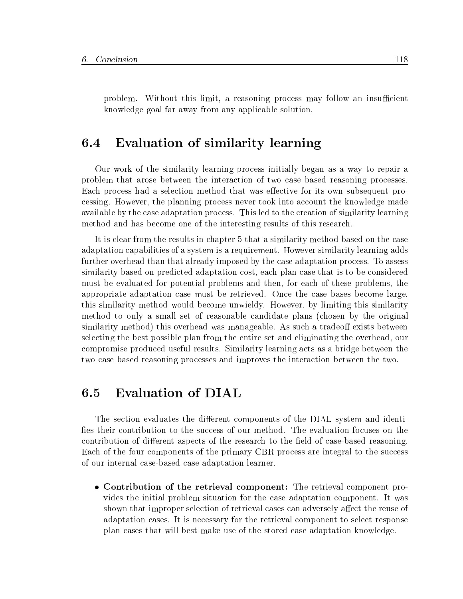problem. Without this limit, a reasoning process may follow an insufficient knowledge goal far away from any applicable solution.

#### Evaluation of similarity learning  $6.4$

Our work of the similarity learning process initially began as a way to repair a problem that arose between the interaction of two case based reasoning processes. Each process had a selection method that was effective for its own subsequent processing. However, the planning process never took into account the knowledge made available by the case adaptation process. This led to the creation of similarity learning method and has become one of the interesting results of this research.

It is clear from the results in chapter 5 that a similarity method based on the case adaptation capabilities of a system is a requirement. However similarity learning adds further overhead than that already imposed by the case adaptation process. To assess similarity based on predicted adaptation cost, each plan case that is to be considered must be evaluated for potential problems and then, for each of these problems, the appropriate adaptation case must be retrieved. Once the case bases become large, this similarity method would become unwieldy. However, by limiting this similarity method to only a small set of reasonable candidate plans (chosen by the original similarity method) this overhead was manageable. As such a tradeoff exists between selecting the best possible plan from the entire set and eliminating the overhead, our compromise produced useful results. Similarity learning acts as a bridge between the two case based reasoning processes and improves the interaction between the two.

### Evaluation of DIAL  $6.5$

The section evaluates the different components of the DIAL system and identifies their contribution to the success of our method. The evaluation focuses on the contribution of different aspects of the research to the field of case-based reasoning. Each of the four components of the primary CBR process are integral to the success of our internal case-based case adaptation learner.

 Contribution of the retrieval component: The retrieval component provides the initial problem situation for the case adaptation component. It was shown that improper selection of retrieval cases can adversely affect the reuse of adaptation cases. It is necessary for the retrieval component to select response plan cases that will best make use of the stored case adaptation knowledge.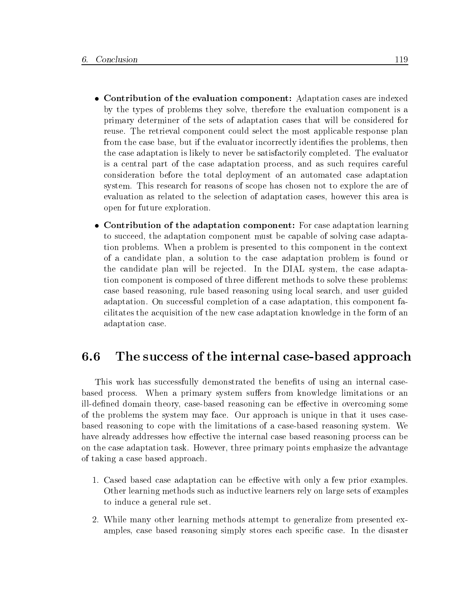- Contribution of the evaluation component: Adaptation cases are indexed by the types of problems they solve, therefore the evaluation component is a primary determiner of the sets of adaptation cases that will be considered for reuse. The retrieval component could select the most applicable response plan from the case base, but if the evaluator incorrectly identifies the problems, then the case adaptation is likely to never be satisfactorily completed. The evaluator is a central part of the case adaptation process, and as such requires careful consideration before the total deployment of an automated case adaptation system. This research for reasons of scope has chosen not to explore the are of evaluation as related to the selection of adaptation cases, however this area is open for future exploration.
- Contribution of the adaptation component: For case adaptation learning to succeed, the adaptation component must be capable of solving case adaptation problems. When a problem is presented to this component in the context of a candidate plan, a solution to the case adaptation problem is found or the candidate plan will be rejected. In the DIAL system, the case adaptation component is composed of three different methods to solve these problems: case based reasoning, rule based reasoning using local search, and user guided adaptation. On successful completion of a case adaptation, this component facilitates the acquisition of the new case adaptation knowledge in the form of an adaptation case.

### 6.6 The success of the internal case-based approach

This work has successfully demonstrated the benefits of using an internal casebased process. When a primary system suffers from knowledge limitations or an ill-defined domain theory, case-based reasoning can be effective in overcoming some of the problems the system may face. Our approach is unique in that it uses casebased reasoning to cope with the limitations of a case-based reasoning system. We have already addresses how effective the internal case based reasoning process can be on the case adaptation task. However, three primary points emphasize the advantage of taking a case based approach.

- 1. Cased based case adaptation can be effective with only a few prior examples. Other learning methods such as inductive learners rely on large sets of examples to induce a general rule set.
- 2. While many other learning methods attempt to generalize from presented examples, case based reasoning simply stores each specic case. In the disaster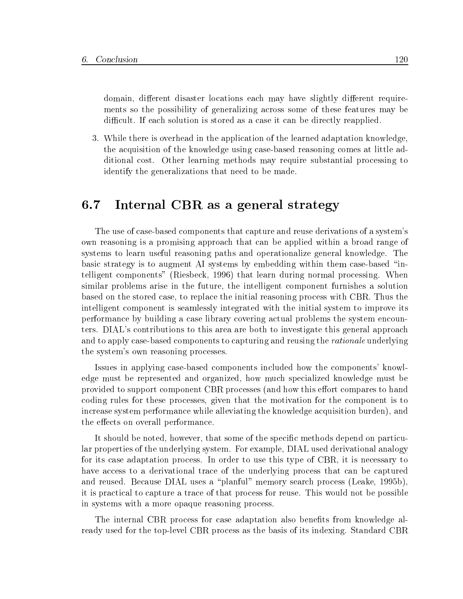domain, different disaster locations each may have slightly different requirements so the possibility of generalizing across some of these features may be difficult. If each solution is stored as a case it can be directly reapplied.

3. While there is overhead in the application of the learned adaptation knowledge, the acquisition of the knowledge using case-based reasoning comes at little additional cost. Other learning methods may require substantial processing to identify the generalizations that need to be made.

## 6.7 Internal CBR as a general strategy

The use of case-based components that capture and reuse derivations of a system's own reasoning is a promising approach that can be applied within a broad range of systems to learn useful reasoning paths and operationalize general knowledge. The basic strategy is to augment AI systems by embedding within them case-based \intelligent components" (Riesbeck, 1996) that learn during normal processing. When similar problems arise in the future, the intelligent component furnishes a solution based on the stored case, to replace the initial reasoning process with CBR. Thus the intelligent component is seamlessly integrated with the initial system to improve its performance by building a case library covering actual problems the system encounters. DIAL's contributions to this area are both to investigate this general approach and to apply case-based components to capturing and reusing the *rationale* underlying the system's own reasoning processes.

Issues in applying case-based components included how the components' knowledge must be represented and organized, how much specialized knowledge must be provided to support component CBR processes (and how this effort compares to hand coding rules for these processes, given that the motivation for the component is to increase system performance while alleviating the knowledge acquisition burden), and the effects on overall performance.

It should be noted, however, that some of the specic methods depend on particular properties of the underlying system. For example, DIAL used derivational analogy for its case adaptation process. In order to use this type of CBR, it is necessary to have access to a derivational trace of the underlying process that can be captured and reused. Because DIAL uses a "planful" memory search process (Leake, 1995b), it is practical to capture a trace of that process for reuse. This would not be possible in systems with a more opaque reasoning process.

The internal CBR process for case adaptation also benefits from knowledge already used for the top-level CBR process as the basis of its indexing. Standard CBR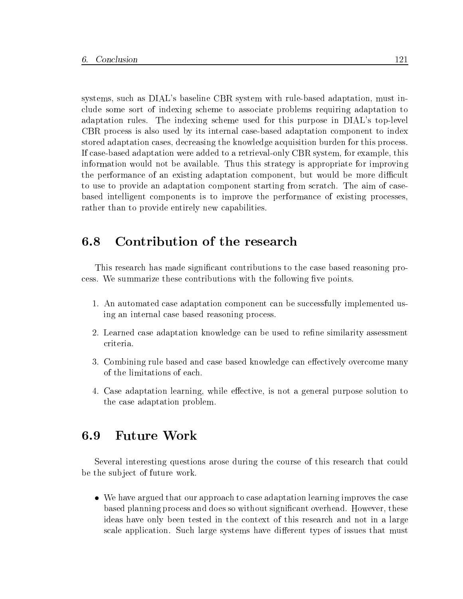systems, such as DIAL's baseline CBR system with rule-based adaptation, must include some sort of indexing scheme to associate problems requiring adaptation to adaptation rules. The indexing scheme used for this purpose in DIAL's top-level CBR process is also used by its internal case-based adaptation component to index stored adaptation cases, decreasing the knowledge acquisition burden for this process. If case-based adaptation were added to a retrieval-only CBR system, for example, this information would not be available. Thus this strategy is appropriate for improving the performance of an existing adaptation component, but would be more difficult to use to provide an adaptation component starting from scratch. The aim of casebased intelligent components is to improve the performance of existing processes, rather than to provide entirely new capabilities.

#### 6.8 Contribution of the research

This research has made signicant contributions to the case based reasoning process. We summarize these contributions with the following five points.

- 1. An automated case adaptation component can be successfully implemented using an internal case based reasoning process.
- 2. Learned case adaptation knowledge can be used to refine similarity assessment
- 3. Combining rule based and case based knowledge can effectively overcome many of the limitations of each.
- 4. Case adaptation learning, while effective, is not a general purpose solution to the case adaptation problem.

#### 6.9 **Future Work**

Several interesting questions arose during the course of this research that could be the subject of future work.

 We have argued that our approach to case adaptation learning improves the case based planning process and does so without significant overhead. However, these ideas have only been tested in the context of this research and not in a large scale application. Such large systems have different types of issues that must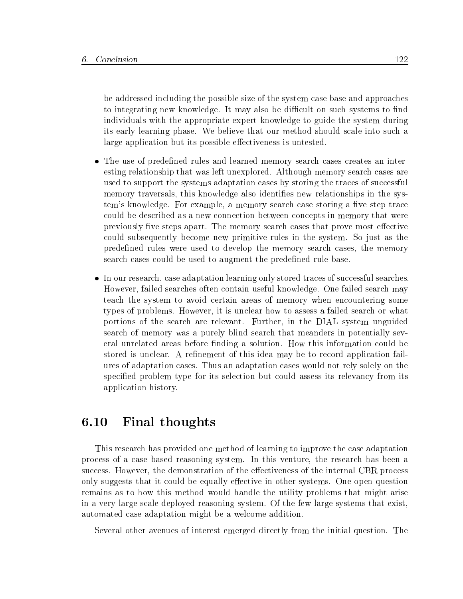be addressed including the possible size of the system case base and approaches to integrating new knowledge. It may also be difficult on such systems to find individuals with the appropriate expert knowledge to guide the system during its early learning phase. We believe that our method should scale into such a large application but its possible effectiveness is untested.

- The use of predefined rules and learned memory search cases creates an interesting relationship that was left unexplored. Although memory search cases are used to support the systems adaptation cases by storing the traces of successful memory traversals, this knowledge also identifies new relationships in the system's knowledge. For example, a memory search case storing a five step trace could be described as a new connection between concepts in memory that were previously five steps apart. The memory search cases that prove most effective could subsequently become new primitive rules in the system. So just as the predefined rules were used to develop the memory search cases, the memory search cases could be used to augment the predefined rule base.
- In our research, case adaptation learning only stored traces of successful searches. However, failed searches often contain useful knowledge. One failed search may teach the system to avoid certain areas of memory when encountering some types of problems. However, it is unclear how to assess a failed search orwhat portions of the search are relevant. Further, in the DIAL system unguided search of memory was a purely blind search that meanders in potentially several unrelated areas before finding a solution. How this information could be stored is unclear. A refinement of this idea may be to record application failures of adaptation cases. Thus an adaptation cases would not rely solely on the specied problem type for its selection but could assess its relevancy from its application history.

#### Final thoughts 6.10

This research has provided one method of learning to improve the case adaptation process of a case based reasoning system. In this venture, the research has been a success. However, the demonstration of the effectiveness of the internal CBR process only suggests that it could be equally effective in other systems. One open question remains as to how this method would handle the utility problems that might arise in a very large scale deployed reasoning system. Of the few large systems that exist, automated case adaptation might be a welcome addition.

Several other avenues of interest emerged directly from the initial question. The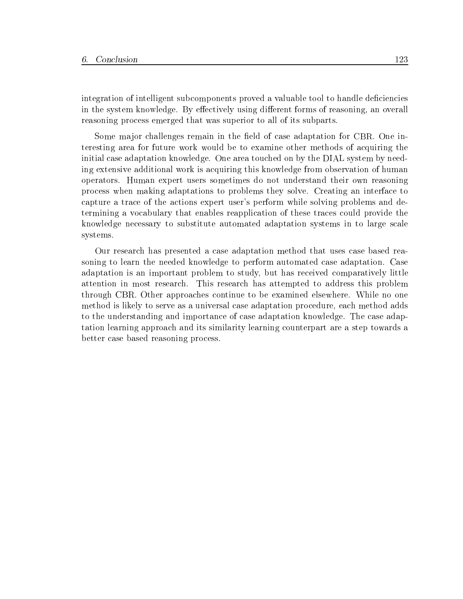integration of intelligent subcomponents proved a valuable tool to handle deficiencies in the system knowledge. By effectively using different forms of reasoning, an overall reasoning process emerged that was superior to all of its subparts.

Some major challenges remain in the field of case adaptation for CBR. One interesting area for future work would be to examine other methods of acquiring the initial case adaptation knowledge. One area touched on by the DIAL system by needing extensive additional work is acquiring this knowledge from observation of human operators. Human expert users sometimes do not understand their own reasoning process when making adaptations to problems they solve. Creating an interface to capture a trace of the actions expert user's perform while solving problems and determining a vocabulary that enables reapplication of these traces could provide the knowledge necessary to substitute automated adaptation systems in to large scale systems.

Our research has presented a case adaptation method that uses case based reasoning to learn the needed knowledge to perform automated case adaptation. Case adaptation is an important problem to study, but has received comparatively little attention in most research. This research has attempted to address this problem through CBR. Other approaches continue to be examined elsewhere. While no one method is likely to serve as a universal case adaptation procedure, each method adds to the understanding and importance of case adaptation knowledge. The case adaptation learning approach and its similarity learning counterpart are a step towards a better case based reasoning process.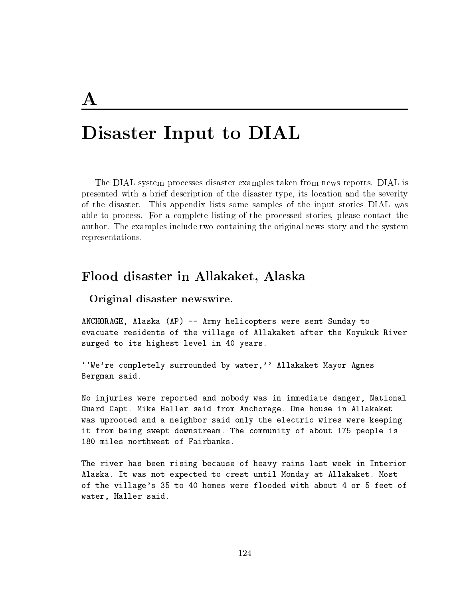## $\mathbf{A}$

## Disaster Input to DIAL

The DIAL system processes disaster examples taken from news reports. DIAL is presented with a brief description of the disaster type, its location and the severity of the disaster. This appendix lists some samples of the input stories DIAL was able to process. For a complete listing of the processed stories, please contact the author. The examples include two containing the original news story and the system representations.

### Flood disaster in Allakaket, Alaska

### Original disaster newswire.

ANCHORAGE, Alaska (AP) -- Army helicopters were sent Sunday to evacuate residents of the village of Allakaket after the Koyukuk River surged to its highest level in 40 years.

''We're completely surrounded by water,'' Allakaket Mayor Agnes Bergman said.

No injuries were reported and nobody was in immediate danger, National Guard Capt. Mike Haller said from Anchorage. One house in Allakaket was uprooted and a neighbor said only the electric wires were keeping it from being swept downstream. The community of about 175 people is 180 miles northwest of Fairbanks.

The river has been rising because of heavy rains last week in Interior Alaska. It was not expected to crest until Monday at Allakaket. Most of the village's 35 to 40 homes were flooded with about 4 or 5 feet of water, Haller said.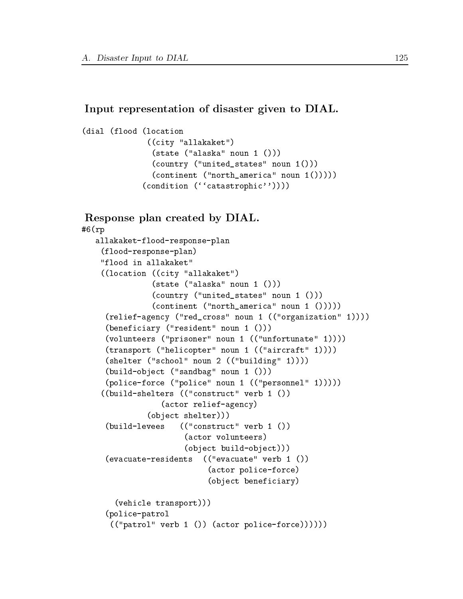### Input representation of disaster given to DIAL.

```
(dial (flood (location
              ((city "allakaket")
               (state ("alaska" noun 1 ()))
               (country ("united_states" noun 1()))
               (continent ("north_america" noun 1()))))
             (condition (``catastrophic''))))
```
### Response plan created by DIAL.

```
#6(rp
   allakaket-flood-response-plan
    (flood-response-plan)
    "flood in allakaket"
    ((location ((city "allakaket")
               (state ("alaska" noun 1 ()))
               (country ("united_states" noun 1 ()))
               (continent ("north_america" noun 1 ()))))
     (relief-agency ("red_cross" noun 1 (("organization" 1))))
     (beneficiary ("resident" noun 1 ()))
     (volunteers ("prisoner" noun 1 (("unfortunate" 1))))
     (transport ("helicopter" noun 1 (("aircraft" 1))))
     (shelter ("school" noun 2 (("building" 1))))
     (build-object ("sandbag" noun 1 ()))
     (police-force ("police" noun 1 (("personnel" 1)))))
    ((build-shelters (("construct" verb 1 ())
                 (actor relief-agency)
              (object shelter)))
     (huitId-Ievees((\text{``construct'' verb 1'}))(builded and level \alpha ), there is no constructed by \alpha(actor volunteers)
                      (object build-object)))
     (evacuate-residents
                         (("evacuate" verb 1 <sup>0</sup>)\mathcal{E}(actor police-force)
                           (object beneficiary)
       (vehicle transport)))
     (police-patrol
      (("patrol" verb 1 ()) (actor police-force))))))
```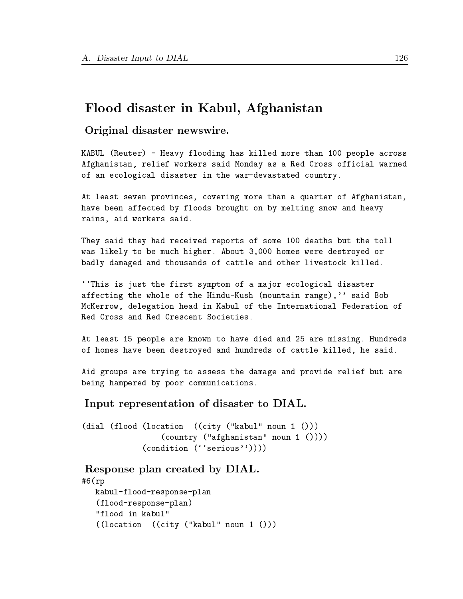## Flood disaster in Kabul, Afghanistan

Original disaster newswire.

KABUL (Reuter) - Heavy flooding has killed more than 100 people across Afghanistan, relief workers said Monday as a Red Cross official warned of an ecological disaster in the war-devastated country.

At least seven provinces, covering more than a quarter of Afghanistan, have been affected by floods brought on by melting snow and heavy rains, aid workers said.

They said they had received reports of some 100 deaths but the toll was likely to be much higher. About 3,000 homes were destroyed or badly damaged and thousands of cattle and other livestock killed.

``This is just the first symptom of a major ecological disaster affecting the whole of the Hindu-Kush (mountain range),'' said Bob McKerrow, delegation head in Kabul of the International Federation of Red Cross and Red Crescent Societies.

At least 15 people are known to have died and 25 are missing. Hundreds of homes have been destroyed and hundreds of cattle killed, he said.

Aid groups are trying to assess the damage and provide relief but are being hampered by poor communications.

Input representation of disaster to DIAL.

(dial (flood (location ((city ("kabul" noun 1 ())) (country ("afghanistan" noun 1 ()))) (condition (''serious''))))

Response plan created by DIAL.

```
#6(rp
   kabul-flood-response-plan
   (flood-response-plan)
   "flood in kabul"
   ((location ((city ("kabul" noun 1 ()))
```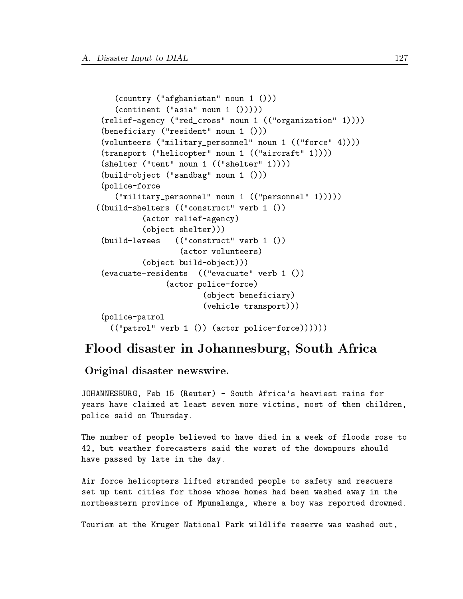```
(country ("afghanistan" noun 1 ()))
   (continent ("asia" noun 1 < ())))(relief-agency ("red_cross" noun 1 (("organization" 1))))
 (beneficiary ("resident" noun 1 ()))
 (volunteers ("military_personnel" noun 1 (("force" 4))))
 (transport ("helicopter" noun 1 (("aircraft" 1))))
 (shelter ("tent" noun 1 (("shelter" 1))))
 (build-object ("sandbag" noun 1 ()))
 (police-force
   ("military_personnel" noun 1 (("personnel" 1)))))
((build-shelters (("construct" verb 1 ())
          (actor relief-agency)
          (object shelter)))
 (build-levees
                 (("construct" verb 1 <sup>0</sup>)(actor volunteers)
          (object build-object)))
 (evacuate-residents (("evacuate" verb 1 ())
               (actor police-force)
                       (object beneficiary)
                       (vehicle transport)))
 (police-patrol
   (("patrol" verb 1 ()) (actor police-force))))))
```
## Flood disaster in Johannesburg, South Africa

Original disaster newswire.

JOHANNESBURG, Feb 15 (Reuter) - South Africa's heaviest rains for years have claimed at least seven more victims, most of them children, police said on Thursday.

The number of people believed to have died in a week of floods rose to 42, but weather forecasters said the worst of the downpours should have passed by late in the day.

Air force helicopters lifted stranded people to safety and rescuers set up tent cities for those whose homes had been washed away in the northeastern province of Mpumalanga, where a boy was reported drowned.

Tourism at the Kruger National Park wildlife reserve was washed out,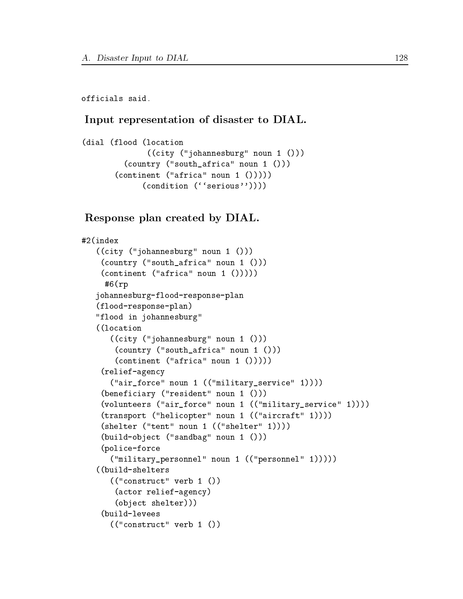officials said.

### Input representation of disaster to DIAL.

```
(dial (flood (location
              ((city ("johannesburg" noun 1 ()))
         (country ("south_africa" noun 1 ()))
       (continent ("africa" noun 1 ()))))
             (condition (''serious''))))
```
### Response plan created by DIAL.

```
#2(index
    ((city ("johannesburg" noun 1 ()))
     (country ("south_africa" noun 1 ()))
     (continent ("africa" noun 1 ()))))
      #6(rp
   johannesburg-flood-response-plan
    (flood-response-plan)
    "flood in johannesburg"
    ((location
        ((city ("johannesburg" noun 1 ()))
         (country ("south_africa" noun 1 ()))
         (continent ("africa" noun 1 ()))))
     (relief-agency
        ("air_force" noun 1 (("military_service" 1))))
     (beneficiary ("resident" noun 1 ()))
     (volunteers ("air_force" noun 1 (("military_service" 1))))
     (transport ("helicopter" noun 1 (("aircraft" 1))))
     (shelter ("tent" noun 1 (("shelter" 1))))
     (build-object ("sandbag" noun 1 ()))
     (police-force
        ("military_personnel" noun 1 (("personnel" 1)))))
    ((build-shelters
        (("construct" verb 1 ())
         (actor relief-agency)
         (object shelter)))
     (build-levees
     \lambda becomes the level of the level of the level of the level of the level of the level of the level of the level of the level of the level of the level of the level of the level of the level of the level of the level of 
        (("construct" verb 1 ())
```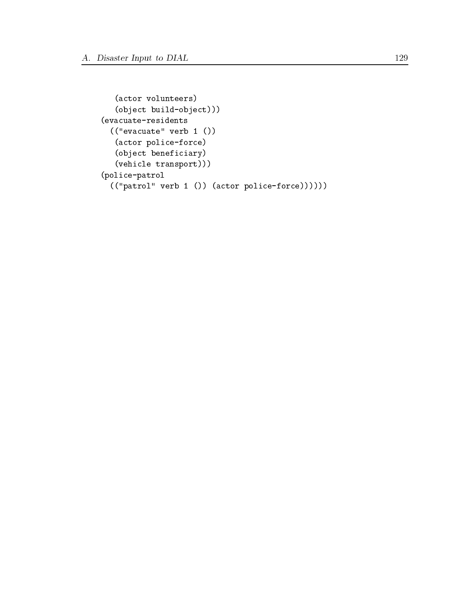```
(actor volunteers)
  (object build-object)))
(evacuate-residents
  (("evacuate" verb 1 ())
  (actor police-force)
  (object beneficiary)
  (vehicle transport)))
(police-patrol
  (("patrol" verb 1 ()) (actor police-force))))))
```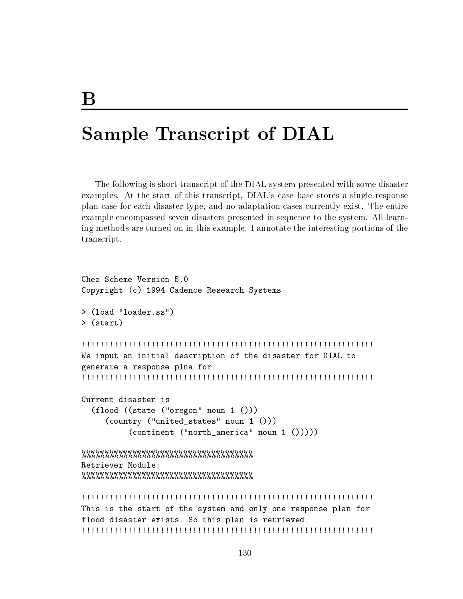# Sample Transcript of DIAL

The following is short transcript of the DIAL system presented with some disaster examples. At the start of this transcript, DIAL's case base stores a single response plan case for each disaster type, and no adaptation cases currently exist. The entire example encompassed seven disasters presented in sequence to the system. All learning methods are turned on in this example. I annotate the interesting portions of the transcript.

```
Chez Scheme Version 5.0
Copyright (c) 1994 Cadence Research Systems
> (load "loader.ss")
>(start)> (start)
!!!!!!!!!!!!!!!!!!!!!!!!!!!!!!!!!!!!!!!!!!!!!!!!!!!!!!!!!!!!!!!
We input an initial description of the disaster for DIAL to
generate a response plna for.
!!!!!!!!!!!!!!!!!!!!!!!!!!!!!!!!!!!!!!!!!!!!!!!!!!!!!!!!!!!!!!!
Current disaster is
  (flood ((state ("oregon" noun 1 ()))
     (country ("united_states" noun 1 ()))
         (continent ("north_america" noun 1 ()))))
%%%%%%%%%%%%%%%%%%%%%%%%%%%%%%%%%%%%%
Retriever Module:
%%%%%%%%%%%%%%%%%%%%%%%%%%%%%%%%%%%%%
This is the start of the system and only one response plan for
flood disaster exists. So this plan is retrieved.
!!!!!!!!!!!!!!!!!!!!!!!!!!!!!!!!!!!!!!!!!!!!!!!!!!!!!!!!!!!!!!!
```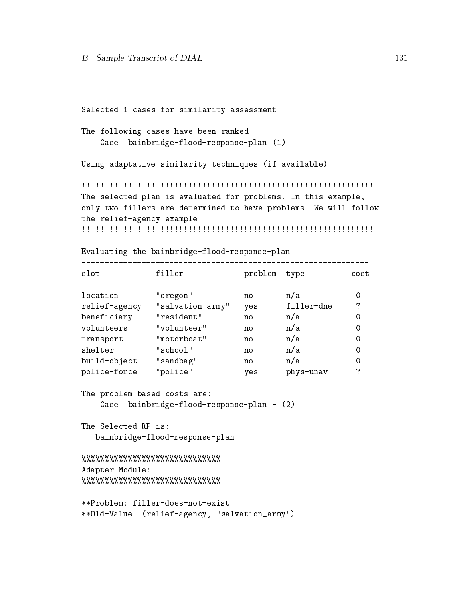Selected 1 cases for similarity assessment

The following cases have been ranked: Case: bainbridge-flood-response-plan (1)

Using adaptative similarity techniques (if available)

!!!!!!!!!!!!!!!!!!!!!!!!!!!!!!!!!!!!!!!!!!!!!!!!!!!!!!!!!!!!!!! The selected plan is evaluated for problems. In this example, only two fillers are determined to have problems. We will follow the relief-agency example.

!!!!!!!!!!!!!!!!!!!!!!!!!!!!!!!!!!!!!!!!!!!!!!!!!!!!!!!!!!!!!!!

Evaluating the bainbridge-flood-response-plan

| slot          | filler           | problem | type       | cost |
|---------------|------------------|---------|------------|------|
| location      | "oregon"         | no      | n/a        |      |
| relief-agency | "salvation_army" | yes     | filler-dne | 7    |
| beneficiary   | "resident"       | no      | n/a        | 0    |
| volunteers    | "volunteer"      | no      | n/a        | 0    |
| transport     | "motorboat"      | no      | n/a        | 0    |
| shelter       | "school"         | no      | n/a        | 0    |
| build-object  | "sandbag"        | no      | n/a        | 0    |
| police-force  | "police"         | ves     | phys-unav  | 7    |

The problem based costs are:

Case: bainbridge-flood-response-plan - (2)

The Selected RP is: bainbridge-flood-response-plan

%%%%%%%%%%%%%%%%%%%%%%%%%% Adapter Module: %%%%%%%%%%%%%%%%%%%%%%%%%%%%

```
**Problem: filler-does-not-exist
**Old-Value: (relief-agency, "salvation_army")
```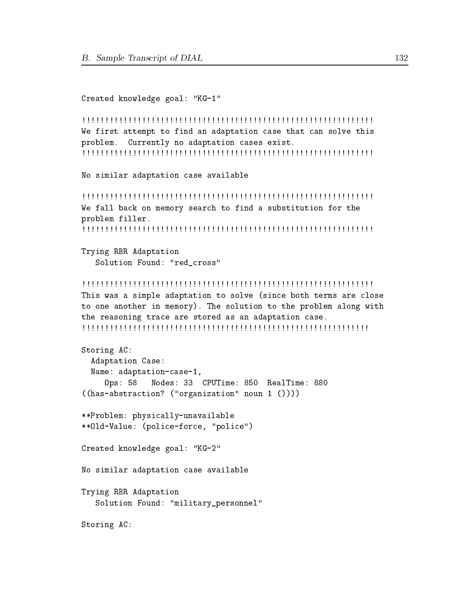### Created knowledge goal: "KG-1"

```
!!!!!!!!!!!!!!!!!!!!!!!!!!!!!!!!!!!!!!!!!!!!!!!!!!!!!!!!!!!!!!!
We first attempt to find an adaptation case that can solve this
problem. Currently no adaptation cases exist.
!!!!!!!!!!!!!!!!!!!!!!!!!!!!!!!!!!!!!!!!!!!!!!!!!!!!!!!!!!!!!!!
```
No similar adaptation case available

!!!!!!!!!!!!!!!!!!!!!!!!!!!!!!!!!!!!!!!!!!!!!!!!!!!!!!!!!!!!!!! We fall back on memory search to find a substitution for the problem filler. !!!!!!!!!!!!!!!!!!!!!!!!!!!!!!!!!!!!!!!!!!!!!!!!!!!!!!!!!!!!!!!

Trying RBR Adaptation Solution Found: "red\_cross"

#### !!!!!!!!!!!!!!!!!!!!!!!!!!!!!!!!!!!!!!!!!!!!!!!!!!!!!!!!!!!!!!!

This was a simple adaptation to solve (since both terms are close to one another in memory). The solution to the problem along with the reasoning trace are stored as an adaptation case. !!!!!!!!!!!!!!!!!!!!!!!!!!!!!!!!!!!!!!!!!!!!!!!!!!!!!!!!!!!!!!

```
Storing AC:
 Adaptation Case:
 Name: adaptation-case-1,
     Ops: 58 Nodes: 33 CPUTime: 850 RealTime: 880
((has-abstraction? ("organization" noun 1 ())))
**Problem: physically-unavailable
**Old-Value: (police-force, "police")
Created knowledge goal: "KG-2"
No similar adaptation case available
Trying RBR Adaptation
   Solution Found: "military_personnel"
Storing AC:
```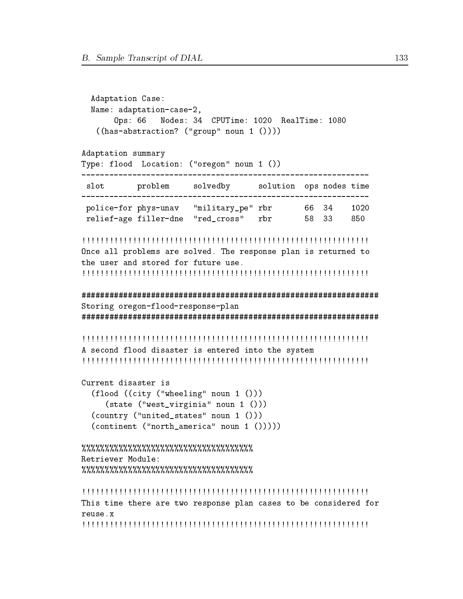```
Adaptation Case:
 Name: adaptation-case-2,
        Nodes: 34 CPUTime: 1020 RealTime: 1080
   Ops: 66((has-abstraction? ("group" noun 1 <))))Adaptation summary
Type: flood Location: ("oregon" noun 1 ())
slot problem solvedby solution ops nodes time
police-for phys-unav "military_pe" rbr 66 34
                              1020
relief-age filler-dne "red_cross" rbr 58 33
                              850
Once all problems are solved. The response plan is returned to
the user and stored for future use.
Storing oregon-flood-response-plan
A second flood disaster is entered into the system
Current disaster is
 (flood ((city ("wheeling" noun 1 ()))
  (state ("west_virginia" noun 1 ()))
 (country ("united_states" noun 1 ()))
 (continent ("north_namerica" noun 1 < ())))Retriever Module:
This time there are two response plan cases to be considered for
reuse.x
```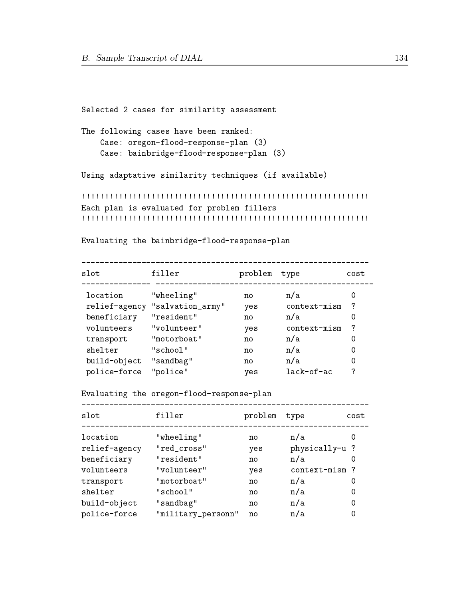```
Selected 2 cases for similarity assessment
```
The following cases have been ranked: Case: oregon-flood-response-plan (3) Case: bainbridge-flood-response-plan (3)

Using adaptative similarity techniques (if available)

```
!!!!!!!!!!!!!!!!!!!!!!!!!!!!!!!!!!!!!!!!!!!!!!!!!!!!!!!!!!!!!!
Each plan is evaluated for problem fillers
!!!!!!!!!!!!!!!!!!!!!!!!!!!!!!!!!!!!!!!!!!!!!!!!!!!!!!!!!!!!!!
```
Evaluating the bainbridge-flood-response-plan

| slot          | filler           | problem | type         | cost |
|---------------|------------------|---------|--------------|------|
| location      | "wheeling"       | no      | n/a          | O    |
| relief-agency | "salvation_army" | yes     | context-mism | ?    |
| beneficiary   | "resident"       | no      | n/a          | 0    |
| volunteers    | "volunteer"      | yes     | context-mism | 7    |
| transport     | "motorboat"      | no      | n/a          | 0    |
| shelter       | "school"         | no      | n/a          | 0    |
| build-object  | "sandbag"        | no      | n/a          | 0    |
| police-force  | "police"         | ves     | lack-of-ac   | 7    |

Evaluating the oregon-flood-response-plan

| slot          | filler             | problem | type          | cost |
|---------------|--------------------|---------|---------------|------|
| location      | "wheeling"         | no      | n/a           |      |
| relief-agency | "red_cross"        | yes     | physically-u? |      |
| beneficiary   | "resident"         | no      | n/a           |      |
| volunteers    | "volunteer"        | yes     | context-mism? |      |
| transport     | "motorboat"        | no      | n/a           | 0    |
| shelter       | "school"           | no      | n/a           | 0    |
| build-object  | "sandbag"          | no      | n/a           | 0    |
| police-force  | "military_personn" | no      | n/a           | 0    |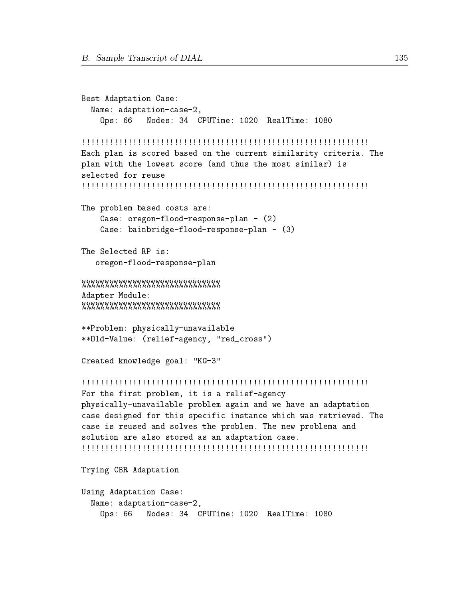```
Best Adaptation Case:
 Name: adaptation-case-2,
    Ops: 66 Nodes: 34 CPUTime: 1020 RealTime: 1080
!!!!!!!!!!!!!!!!!!!!!!!!!!!!!!!!!!!!!!!!!!!!!!!!!!!!!!!!!!!!!!
Each plan is scored based on the current similarity criteria. The
plan with the lowest score (and thus the most similar) is
selected for reuse
!!!!!!!!!!!!!!!!!!!!!!!!!!!!!!!!!!!!!!!!!!!!!!!!!!!!!!!!!!!!!!
The problem based costs are:
    Case: oregon-flood-response-plan - (2)
    Case: bainbridge-flood-response-plan - (3)
The Selected RP is:
   oregon-flood-response-plan
%%%%%%%%%%%%%%%%%%%%%%%%%%
Adapter Module:
%%%%%%%%%%%%%%%%%%%%%%%%%%%%%%
**Problem: physically-unavailable
**Old-Value: (relief-agency, "red_cross")
Created knowledge goal: "KG-3"
!!!!!!!!!!!!!!!!!!!!!!!!!!!!!!!!!!!!!!!!!!!!!!!!!!!!!!!!!!!!!!
For the first problem, it is a relief-agency
physically-unavailable problem again and we have an adaptation
case designed for this specific instance which was retrieved. The
case is reused and solves the problem. The new problema and
solution are also stored as an adaptation case.
!!!!!!!!!!!!!!!!!!!!!!!!!!!!!!!!!!!!!!!!!!!!!!!!!!!!!!!!!!!!!!
Trying CBR Adaptation
Using Adaptation Case:
 Name: adaptation-case-2,
    Ops: 66 Nodes: 34 CPUTime: 1020 RealTime: 1080
```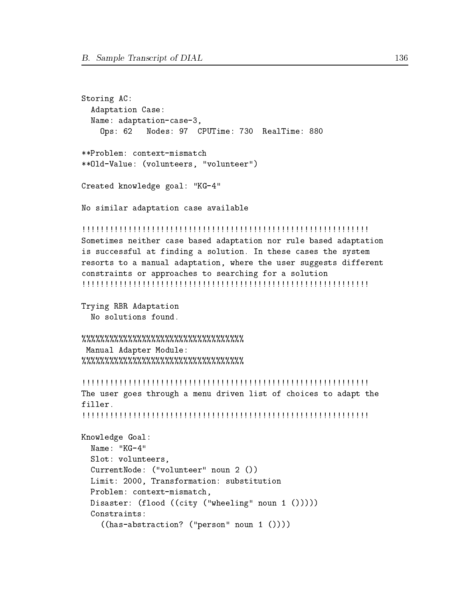```
Storing AC:
 Adaptation Case:
 Name: adaptation-case-3,
    Ops: 62 Nodes: 97 CPUTime: 730 RealTime: 880
**Problem: context-mismatch
**Old-Value: (volunteers, "volunteer")
Created knowledge goal: "KG-4"
No similar adaptation case available
!!!!!!!!!!!!!!!!!!!!!!!!!!!!!!!!!!!!!!!!!!!!!!!!!!!!!!!!!!!!!!
Sometimes neither case based adaptation nor rule based adaptation
is successful at finding a solution. In these cases the system
resorts to a manual adaptation, where the user suggests different
constraints or approaches to searching for a solution
!!!!!!!!!!!!!!!!!!!!!!!!!!!!!!!!!!!!!!!!!!!!!!!!!!!!!!!!!!!!!!
Trying RBR Adaptation
 No solutions found.
%%%%%%%%%%%%%%%%%%%%%%%%%%%%%%%%%%%
Manual Adapter Module:
%%%%%%%%%%%%%%%%%%%%%%%%%%%%%%%%%%%
!!!!!!!!!!!!!!!!!!!!!!!!!!!!!!!!!!!!!!!!!!!!!!!!!!!!!!!!!!!!!!
The user goes through a menu driven list of choices to adapt the
filler.
Knowledge Goal:
 Name: "KG-4"
 Slot: volunteers,
 CurrentNode: ("volunteer" noun 2 ())
 Limit: 2000, Transformation: substitution
 Problem: context-mismatch,
 Disaster: (flood ((city ("wheeling" noun 1 ()))))
 Constraints:
```

```
((has-abstraction? ("person" noun 1 ())))
```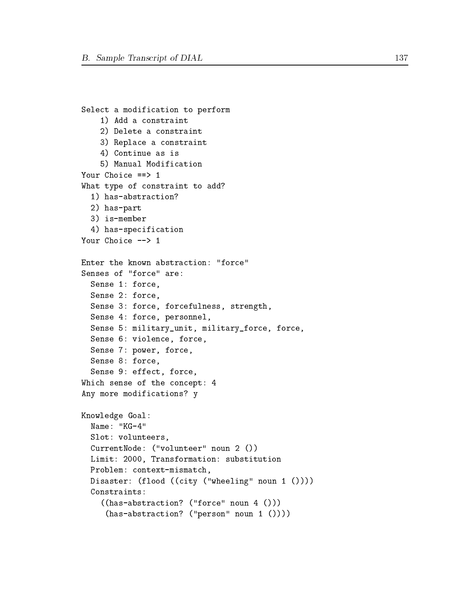```
Select a modification to perform
    1) Add a constraint
    2) Delete a constraint
    2) Delete a constraint
    3) Replace a constraint
    4) Continue as is
    5) Manual Modification
Your Choice ==> 1
What type of constraint to add?
  1) has-abstraction?
  2) has-part
  3) is-member
  4) has-specification
Your Choice --> 1
Enter the known abstraction: "force"
Senses of "force" are:
  Sense 1: force,
  Sense 2: force,
  Sense 3: force, forcefulness, strength,
  Sense 4: force, personnel,
  Sense 5: military_unit, military_force, force,
  Sense 6: violence, force,
  Sense 7: power, force,
  Sense 8: force,
  Sense 9: effect, force,
Which sense of the concept: 4
Any more modifications? y
Knowledge Goal:
 Name: -KG-4"
  Slot: volunteers,
  CurrentNode: ("volunteer" noun 2 ())
 Limit: 2000, Transformation: substitution
 Problem: context-mismatch,
 Disaster: (flood ((city ("wheeling" noun 1 ())))
  Constraints:
    ((has-abstraction? ("force" noun 4 ()))
     (has-abstraction? ("person" noun 1 ())))
```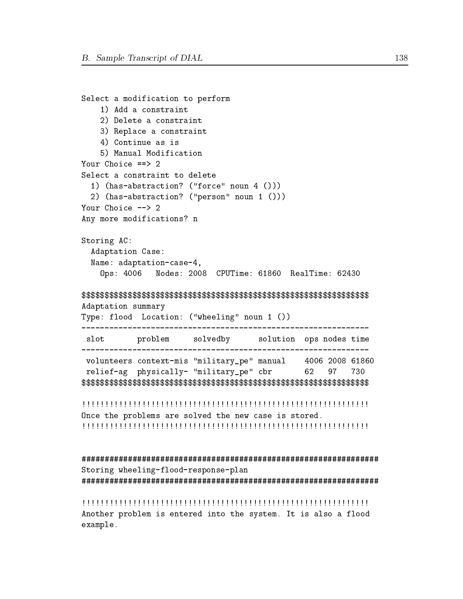```
Select a modification to perform
  1) Add a constraint
  2) Delete a constraint
  3) Replace a constraint
  4) Continue as is
  5) Manual Modification
Your Choice ==> 2
Select a constraint to delete
 1) (has-abstraction? ("force" noun 4 ()))
 2) (has-abstraction? ("person" noun 1 ()))
Your Choice --> 2
Any more modifications? n
Storing AC:
 Adaptation Case:
 Name: adaptation-case-4,
  0<sub>ps</sub>: 4006Nodes: 2008 CPUTime: 61860 RealTime: 62430
Adaptation summary
Type: flood Location: ("wheeling" noun 1 ())
slot problem solvedby solution ops nodes time
___________________________________
                         ____________________________
volunteers context-mis "military_pe" manual
                                  4006 2008 61860
relief-ag physically- "military_pe" cbr
                                  62
                                     97
                                         730
Once the problems are solved the new case is stored.
```
Storing wheeling-flood-response-plan

Another problem is entered into the system. It is also a flood  $example.$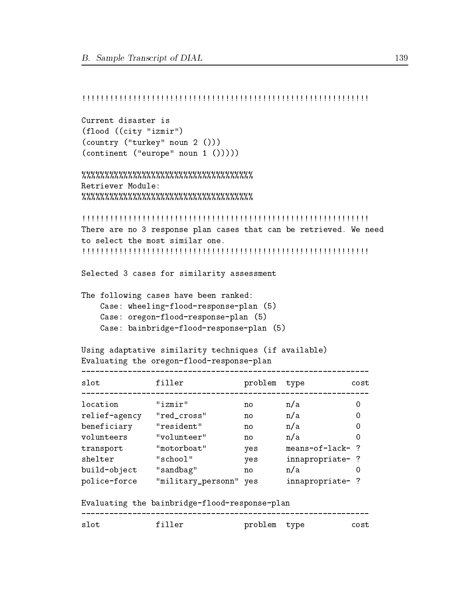## !!!!!!!!!!!!!!!!!!!!!!!!!!!!!!!!!!!!!!!!!!!!!!!!!!!!!!!!!!!!!!

```
Current disaster is
(flood ((city "izmir")
(country ("turkey" noun 2 ()))
(continent ("europe" noun 1 ()))))
```

```
%%%%%%%%%%%%%%%%%%%%%%%%%%%%%%%%%%%%%
Retriever Module:
%%%%%%%%%%%%%%%%%%%%%%%%%%%%%%%%%%%%%
```
#### !!!!!!!!!!!!!!!!!!!!!!!!!!!!!!!!!!!!!!!!!!!!!!!!!!!!!!!!!!!!!!

There are no 3 response plan cases that can be retrieved. We need to select the most similar one. !!!!!!!!!!!!!!!!!!!!!!!!!!!!!!!!!!!!!!!!!!!!!!!!!!!!!!!!!!!!!!

#### Selected 3 cases for similarity assessment

The following cases have been ranked: Case: wheeling-flood-response-plan (5) Case: oregon-flood-response-plan (5) Case: bainbridge-flood-response-plan (5)

```
Using adaptative similarity techniques (if available)
Evaluating the oregon-flood-response-plan
```

| slot          | filler                 | problem | type            | cost |
|---------------|------------------------|---------|-----------------|------|
| location      | "izmir"                | no      | n/a             |      |
| relief-agency | "red_cross"            | no      | n/a             | 0    |
| beneficiary   | "resident"             | no      | n/a             |      |
| volunteers    | "volunteer"            | no      | n/a             |      |
| transport     | "motorboat"            | yes     | means-of-lack-? |      |
| shelter       | "school"               | yes     | innapropriate-? |      |
| build-object  | "sandbag"              | no      | n/a             |      |
| police-force  | "military_personn" yes |         | innapropriate-? |      |

Evaluating the bainbridge-flood-response-plan

| $\sim$ |  |  |
|--------|--|--|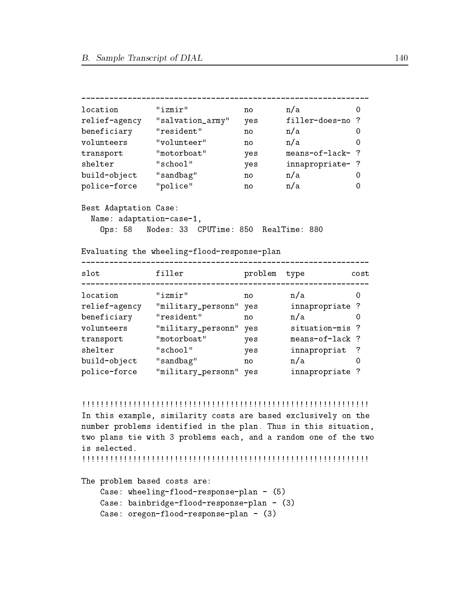```
location "izmir" no n/a 0
relief-agency "salvation_army" yes filler-does-no ?
beneficiary "resident" no n/a
                                                \Omegavolunteers "volunteer" no n/a 0
transport "motorboat" yes means-of-lack- ?
shelter "school" yes in napropriate- ? "school" yes in napropriate- ? "school" yes in napropriate- ? "school" y
build-object "sandbag" no n/a 0
police-force "police" no n/a
                                                \OmegaBest Adaptation Case:
 Name: adaptation-case-1,
   Ops: 58 Nodes: 33 CPUTime: 850 RealTime: 880
Evaluating the wheeling-flood-response-plan
slot filler problem type cost
\overline{0}location "izmir" no name and "izmir" no name and "izmir" no name and "izmir" no name and "izmir" no name and "
relief-agency "military_personn" yes innapropriate ?
beneficiary "resident" no no no na original no na original no na original no na original no na original no na 
volunteers "military_personn" yes situation-mis ?<br>transport "motorboat" yes means-of-lack ?
transport "motorboat" yes
shelter "school" yes innapropriat ?
build-object "sandbag" no n/a 0
police-force "military_personn" yes innapropriate ?
```
In this example, similarity costs are based exclusively on the number problems identified in the plan. Thus in this situation, two plans tie with 3 problems each, and a random one of the two is selected.

!!!!!!!!!!!!!!!!!!!!!!!!!!!!!!!!!!!!!!!!!!!!!!!!!!!!!!!!!!!!!!

The problem based costs are:

```
Case: wheeling-flood-response-plan - (5)
Case: bainbridge-flood-response-plan - (3)
Case: oregon-flood-response-plan - (3)
```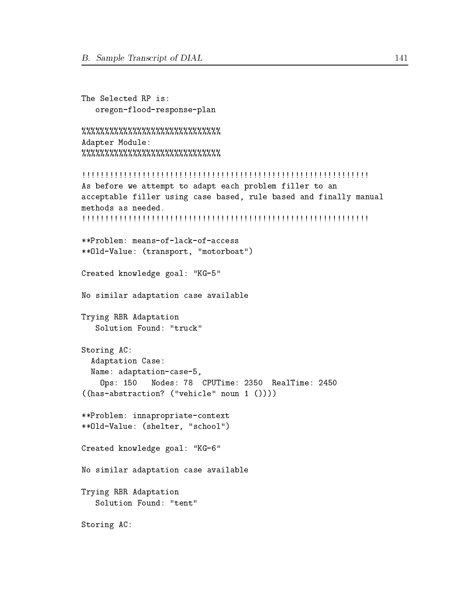```
The Selected RP is:
   oregon-flood-response-plan
```

```
%%%%%%%%%%%%%%%%%%%%%%%%%%%
Adapter Module:
%%%%%%%%%%%%%%%%%%%%%%%%%%
```

```
!!!!!!!!!!!!!!!!!!!!!!!!!!!!!!!!!!!!!!!!!!!!!!!!!!!!!!!!!!!!!!
As before we attempt to adapt each problem filler to an
acceptable filler using case based, rule based and finally manual
methods as needed.
!!!!!!!!!!!!!!!!!!!!!!!!!!!!!!!!!!!!!!!!!!!!!!!!!!!!!!!!!!!!!!
**Problem: means-of-lack-of-access
**Old-Value: (transport, "motorboat")
Created knowledge goal: "KG-5"
No similar adaptation case available
Trying RBR Adaptation
   Solution Found: "truck"
Storing AC:
 Adaptation Case:
 Name: adaptation-case-5,
    Ops: 150 Nodes: 78 CPUTime: 2350 RealTime: 2450
((has-abstraction? ("vehicle" noun 1 ())))
**Problem: innapropriate-context
**Old-Value: (shelter, "school")
```
Created knowledge goal: "KG-6"

No similar adaptation case available

Trying RBR Adaptation Solution Found: "tent"

Storing AC: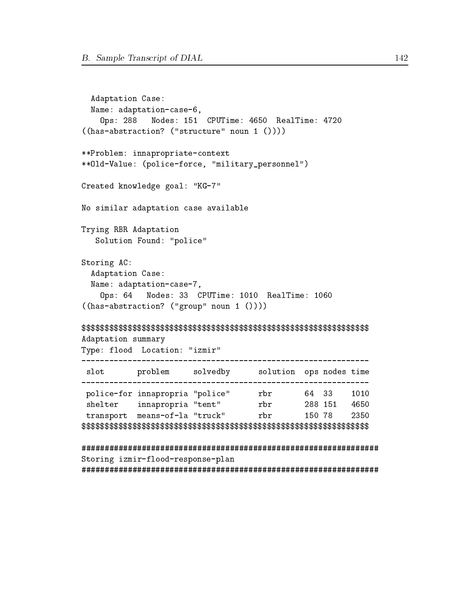```
Adaptation Case:
 Name: adaptation-case-6,
   Ops: 288 Nodes: 151 CPUTime: 4650 RealTime: 4720
((has-abstraction? ("structure" noun 1 ())))
**Problem: innapropriate-context
**Old-Value: (police-force, "military_personnel")
Created knowledge goal: "KG-7"
No similar adaptation case available
Trying RBR Adaptation
  Solution Found: "police"
Storing AC:
 Adaptation Case:
 Name: adaptation-case-7,
   Ops: 64Nodes: 33 CPUTime: 1010 RealTime: 1060
((has-abstraction? ("group" noun 1 ())))
Adaptation summary
Type: flood Location: "izmir"
slot problem solvedby solution ops nodes time
police-for innapropria "police"         rbr           64   33      1010<br>
shelter     innapropria "tent"          rbr          288  151    4650<br>
transport   means-of-la "truck"          rbr           150  78       2350
Storing izmir-flood-response-plan
```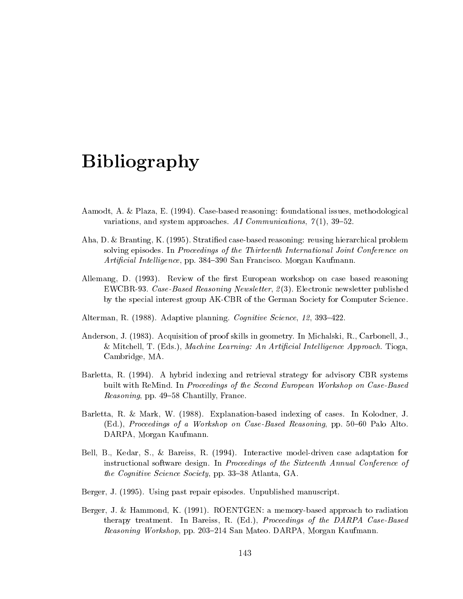# Bibliography

- Aamodt, A. & Plaza, E. (1994). Case-based reasoning: foundational issues, methodological variations, and system approaches. AI Communications,  $\gamma(1)$ , 39-52.
- Aha, D. & Branting, K. (1995). Stratied case-based reasoning: reusing hierarchical problem solving episodes. In Proceedings of the Thirteenth International Joint Conference on Artificial Intelligence, pp. 384–390 San Francisco. Morgan Kaufmann.
- Allemang, D. (1993). Review of the first European workshop on case based reasoning EWCBR-93. Case-Based Reasoning Newsletter, 2 (3). Electronic newsletter published by the special interest group AK-CBR of the German Society for Computer Science.
- Alterman, R. (1988). Adaptive planning. Cognitive Science, 12, 393-422.
- Anderson, J. (1983). Acquisition of proof skills in geometry. In Michalski, R., Carbonell, J., & Mitchell, T. (Eds.), Machine Learning: An Artificial Intelligence Approach. Tioga, Cambridge, MA.
- Barletta, R. (1994). A hybrid indexing and retrieval strategy for advisory CBR systems built with ReMind. In Proceedings of the Second European Workshop on Case-Based Reasoning, pp. 49-58 Chantilly, France.
- Barletta, R. & Mark, W. (1988). Explanation-based indexing of cases. In Kolodner, J. (Ed.), Proceedings of a Workshop on Case-Based Reasoning, pp.  $50-60$  Palo Alto. DARPA, Morgan Kaufmann.
- Bell, B., Kedar, S., & Bareiss, R. (1994). Interactive model-driven case adaptation for instructional software design. In Proceedings of the Sixteenth Annual Conference of the Cognitive Science Society, pp. 33-38 Atlanta, GA.
- Berger, J. (1995). Using past repair episodes. Unpublished manuscript.
- Berger, J. & Hammond, K. (1991). ROENTGEN: a memory-based approach to radiation therapy treatment. In Bareiss, R. (Ed.), Proceedings of the DARPA Case-Based Reasoning Workshop, pp. 203–214 San Mateo. DARPA, Morgan Kaufmann.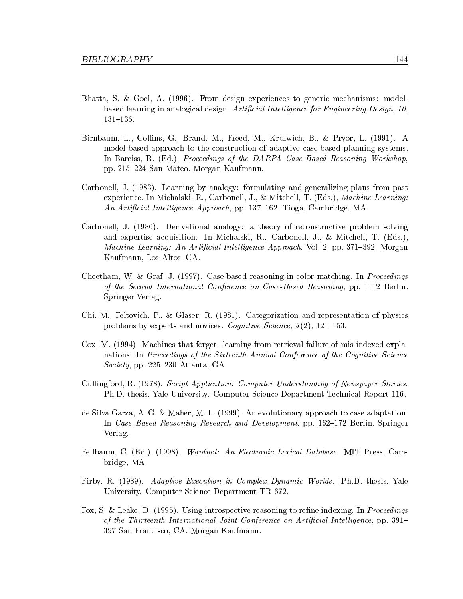- Bhatta, S. & Goel, A. (1996). From design experiences to generic mechanisms: modelbased learning in analogical design. Artificial Intelligence for Engineering Design, 10, 131-136.
- Birnbaum, L., Collins, G., Brand, M., Freed, M., Krulwich, B., & Pryor, L. (1991). A model-based approach to the construction of adaptive case-based planning systems. In Bareiss, R. (Ed.), Proceedings of the DARPA Case-Based Reasoning Workshop, pp. 215{224 San Mateo. Morgan Kaufmann.
- Carbonell, J. (1983). Learning by analogy: formulating and generalizing plans from past experience. In Michalski, R., Carbonell, J., & Mitchell, T. (Eds.), Machine Learning: An Artificial Intelligence Approach, pp. 137–162. Tioga, Cambridge, MA.
- Carbonell, J. (1986). Derivational analogy: a theory of reconstructive problem solving and expertise acquisition. In Michalski, R., Carbonell, J., & Mitchell, T. (Eds.), Machine Learning: An Artificial Intelligence Approach, Vol. 2, pp. 371–392. Morgan Kaufmann, Los Altos, CA.
- Cheetham, W. & Graf, J. (1997). Case-based reasoning in color matching. In Proceedings of the Second International Conference on Case-Based Reasoning, pp. 1-12 Berlin. Springer Verlag.
- Chi, M., Feltovich, P., & Glaser, R. (1981). Categorization and representation of physics problems by experts and novices. Cognitive Science,  $5(2)$ , 121-153.
- Cox, M. (1994). Machines that forget: learning from retrieval failure of mis-indexed explanations. In Proceedings of the Sixteenth Annual Conference of the Cognitive Science Society, pp. 225-230 Atlanta, GA.
- Cullingford, R. (1978). Script Application: Computer Understanding of Newspaper Stories. Ph.D. thesis, Yale University. Computer Science Department Technical Report 116.
- de Silva Garza, A. G. & Maher, M. L. (1999). An evolutionary approach to case adaptation. In Case Based Reasoning Research and Development, pp. 162-172 Berlin. Springer Verlag.
- Fellbaum, C. (Ed.). (1998). Wordnet: An Electronic Lexical Database. MIT Press, Cambridge, MA.
- Firby, R. (1989). Adaptive Execution in Complex Dynamic Worlds. Ph.D. thesis, Yale University. Computer Science Department TR 672.
- Fox, S. & Leake, D. (1995). Using introspective reasoning to refine indexing. In *Proceedings* of the Thirteenth International Joint Conference on Artificial Intelligence, pp.  $391-$ 397 San Francisco, CA. Morgan Kaufmann.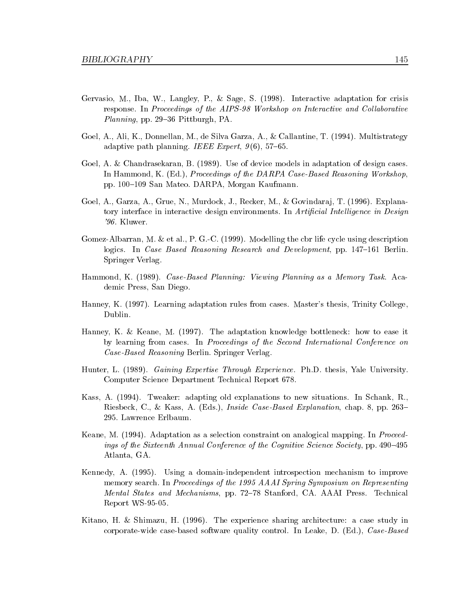- Gervasio, M., Iba, W., Langley, P., & Sage, S. (1998). Interactive adaptation for crisis response. In Proceedings of the AIPS-98 Workshop on Interactive and Collaborative *Planning*, pp. 29–36 Pittburgh, PA.
- Goel, A., Ali, K., Donnellan, M., de Silva Garza, A., & Callantine, T. (1994). Multistrategy adaptive path planning. IEEE Expert,  $9(6)$ , 57-65.
- Goel, A. & Chandrasekaran, B. (1989). Use of device models in adaptation of design cases. In Hammond, K. (Ed.), Proceedings of the DARPA Case-Based Reasoning Workshop, pp. 100-109 San Mateo. DARPA, Morgan Kaufmann.
- Goel, A., Garza, A., Grue, N., Murdock, J., Recker, M., & Govindaraj, T. (1996). Explanatory interface in interactive design environments. In Artificial Intelligence in Design '96. Kluwer.
- Gomez-Albarran, M. & et al., P. G.-C. (1999). Modelling the cbr life cycle using description logics. In Case Based Reasoning Research and Development, pp. 147-161 Berlin. Springer Verlag.
- Hammond, K. (1989). Case-Based Planning: Viewing Planning as a Memory Task. Academic Press, San Diego.
- Hanney, K. (1997). Learning adaptation rules from cases. Master's thesis, Trinity College, Dublin.
- Hanney, K. & Keane, M. (1997). The adaptation knowledge bottleneck: how to ease it by learning from cases. In Proceedings of the Second International Conference on Case-Based Reasoning Berlin. Springer Verlag.
- Hunter, L. (1989). Gaining Expertise Through Experience. Ph.D. thesis, Yale University. Computer Science Department Technical Report 678.
- Kass, A. (1994). Tweaker: adapting old explanations to new situations. In Schank, R., Riesbeck, C., & Kass, A. (Eds.), *Inside Case-Based Explanation*, chap. 8, pp. 263– 295. Lawrence Erlbaum.
- Keane, M. (1994). Adaptation as a selection constraint on analogical mapping. In Proceedings of the Sixteenth Annual Conference of the Cognitive Science Society, pp.  $490-495$ Atlanta, GA.
- Kennedy, A. (1995). Using a domain-independent introspection mechanism to improve memory search. In Proceedings of the 1995 AAAI Spring Symposium on Representing Mental States and Mechanisms, pp. 72–78 Stanford, CA. AAAI Press. Technical Report WS-95-05.
- Kitano, H. & Shimazu, H. (1996). The experience sharing architecture: a case study in corporate-wide case-based software quality control. In Leake, D. (Ed.), Case-Based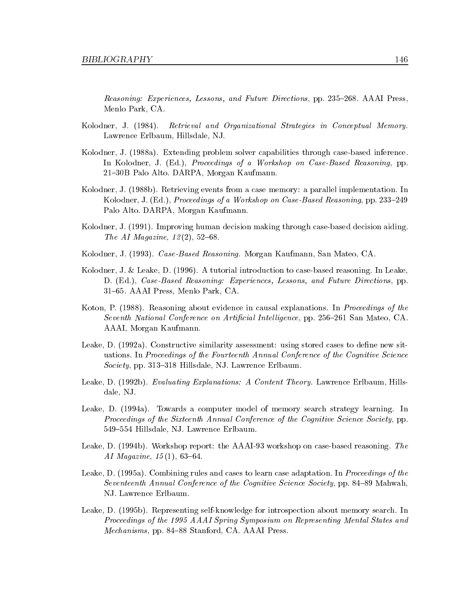Reasoning: Experiences, Lessons, and Future Directions, pp. 235–268. AAAI Press, Menlo Park, CA.

- Kolodner, J. (1984). Retrieval and Organizational Strategies in Conceptual Memory. Lawrence Erlbaum, Hillsdale, NJ.
- Kolodner, J. (1988a). Extending problem solver capabilities through case-based inference. In Kolodner, J. (Ed.), *Proceedings of a Workshop on Case-Based Reasoning*, pp. 21{30B Palo Alto. DARPA, Morgan Kaufmann.
- Kolodner, J. (1988b). Retrieving events from a case memory: a parallel implementation. In Kolodner, J. (Ed.), Proceedings of a Workshop on Case-Based Reasoning, pp. 233–249 Palo Alto. DARPA, Morgan Kaufmann.
- Kolodner, J. (1991). Improving human decision making through case-based decision aiding. The AI Magazine,  $12(2)$ , 52-68.
- Kolodner, J. (1993). Case-Based Reasoning. Morgan Kaufmann, San Mateo, CA.
- Kolodner, J. & Leake, D. (1996). A tutorial introduction to case-based reasoning. In Leake, D. (Ed.), Case-Based Reasoning: Experiences, Lessons, and Future Directions, pp. 31{65. AAAI Press, Menlo Park, CA.
- Koton, P. (1988). Reasoning about evidence in causal explanations. In Proceedings of the Seventh National Conference on Artificial Intelligence, pp. 256-261 San Mateo, CA. AAAI, Morgan Kaufmann.
- Leake, D. (1992a). Constructive similarity assessment: using stored cases to define new situations. In Proceedings of the Fourteenth Annual Conference of the Cognitive Science Society, pp. 313-318 Hillsdale, NJ. Lawrence Erlbaum.
- Leake, D. (1992b). Evaluating Explanations: A Content Theory. Lawrence Erlbaum, Hillsdale, NJ.
- Leake, D. (1994a). Towards a computer model of memory search strategy learning. In Proceedings of the Sixteenth Annual Conference of the Cognitive Science Society, pp. 549-554 Hillsdale, NJ. Lawrence Erlbaum.
- Leake, D. (1994b). Workshop report: the AAAI-93 workshop on case-based reasoning. The AI Magazine,  $15(1)$ , 63-64.
- Leake, D. (1995a). Combining rules and cases to learn case adaptation. In Proceedings of the Seventeenth Annual Conference of the Cognitive Science Society, pp. 84-89 Mahwah, NJ. Lawrence Erlbaum.
- Leake, D. (1995b). Representing self-knowledge for introspection about memory search. In Proceedings of the 1995 AAAI Spring Symposium on Representing Mental States and Mechanisms, pp. 84–88 Stanford, CA. AAAI Press.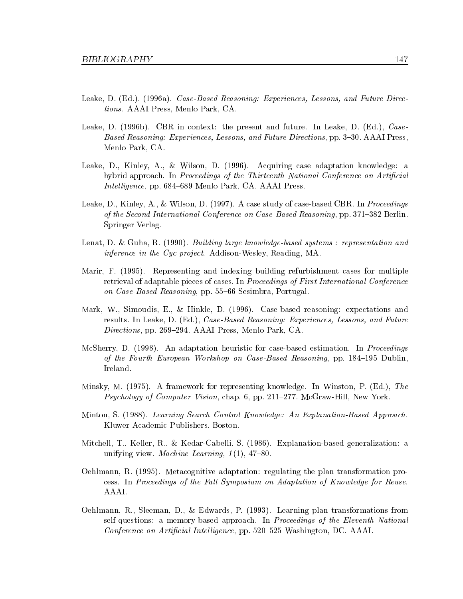- Leake, D. (Ed.). (1996a). Case-Based Reasoning: Experiences, Lessons, and Future Directions. AAAI Press, Menlo Park, CA.
- Leake, D. (1996b). CBR in context: the present and future. In Leake, D. (Ed.), Case-Based Reasoning: Experiences, Lessons, and Future Directions, pp. 3-30. AAAI Press, Menlo Park, CA.
- Leake, D., Kinley, A., & Wilson, D. (1996). Acquiring case adaptation knowledge: a hybrid approach. In Proceedings of the Thirteenth National Conference on Artificial Intelligence, pp. 684–689 Menlo Park, CA. AAAI Press.
- Leake, D., Kinley, A., & Wilson, D. (1997). A case study of case-based CBR. In *Proceedings* of the Second International Conference on Case-Based Reasoning, pp. 371–382 Berlin. Springer Verlag.
- Lenat, D. & Guha, R. (1990). Building large knowledge-based systems : representation and inference in the Cyc project. Addison-Wesley, Reading, MA.
- Marir, F. (1995). Representing and indexing building refurbishment cases for multiple retrieval of adaptable pieces of cases. In Proceedings of First International Conference on Case-Based Reasoning, pp. 55-66 Sesimbra, Portugal.
- Mark, W., Simoudis, E., & Hinkle, D. (1996). Case-based reasoning: expectations and results. In Leake, D. (Ed.), Case-Based Reasoning: Experiences, Lessons, and Future Directions, pp. 269-294. AAAI Press, Menlo Park, CA.
- McSherry, D. (1998). An adaptation heuristic for case-based estimation. In *Proceedings* of the Fourth European Workshop on Case-Based Reasoning, pp.  $184-195$  Dublin, Ireland.
- Minsky, M. (1975). A framework for representing knowledge. In Winston, P. (Ed.), The *Psychology of Computer Vision,* chap. 6, pp.  $211–277$ . McGraw-Hill, New York.
- Minton, S. (1988). Learning Search Control Know ledge: An Explanation-Based Approach. Kluwer Academic Publishers, Boston.
- Mitchell, T., Keller, R., & Kedar-Cabelli, S. (1986). Explanation-based generalization: a unifying view. Machine Learning,  $1(1)$ , 47-80.
- Oehlmann, R. (1995). Metacognitive adaptation: regulating the plan transformation process. In Proceedings of the Fall Symposium on Adaptation of Knowledge for Reuse. AAAI.
- Oehlmann, R., Sleeman, D., & Edwards, P. (1993). Learning plan transformations from self-questions: a memory-based approach. In Proceedings of the Eleventh National Conference on Artificial Intelligence, pp. 520–525 Washington, DC. AAAI.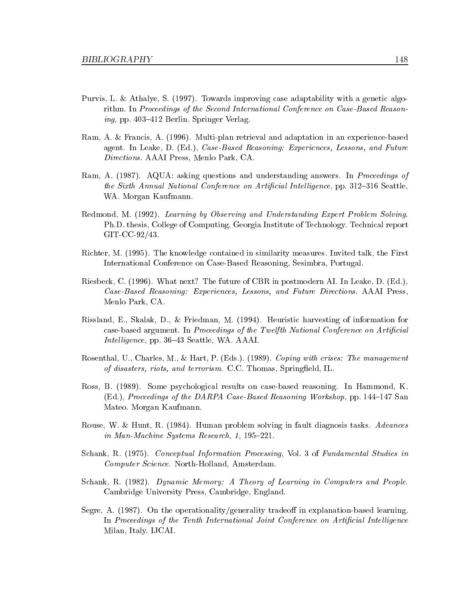- Purvis, L. & Athalye, S. (1997). Towards improving case adaptability with a genetic algorithm. In Proceedings of the Second International Conference on Case-Based Reason*ing*, pp. 403-412 Berlin. Springer Verlag.
- Ram, A. & Francis, A. (1996). Multi-plan retrieval and adaptation in an experience-based agent. In Leake, D. (Ed.), Case-Based Reasoning: Experiences, Lessons, and Future Directions. AAAI Press, Menlo Park, CA.
- Ram, A. (1987). AQUA: asking questions and understanding answers. In *Proceedings of* the Sixth Annual National Conference on Artificial Intelligence, pp. 312-316 Seattle, WA. Morgan Kaufmann.
- Redmond, M. (1992). Learning by Observing and Understanding Expert Problem Solving. Ph.D. thesis, College of Computing, Georgia Institute of Technology. Technical report GIT-CC-92/43.
- Richter, M. (1995). The knowledge contained in similarity measures. Invited talk, the First International Conference on Case-Based Reasoning, Sesimbra, Portugal.
- Riesbeck, C. (1996). What next? The future of CBR in postmodern AI. In Leake, D. (Ed.), Case-Based Reasoning: Experiences, Lessons, and Future Directions. AAAI Press, Menlo Park, CA.
- Rissland, E., Skalak, D., & Friedman, M. (1994). Heuristic harvesting of information for case-based argument. In Proceedings of the Twelfth National Conference on Artificial Intelligence, pp. 36–43 Seattle, WA. AAAI.
- Rosenthal, U., Charles, M., & Hart, P. (Eds.). (1989). Coping with crises: The management of disasters, riots, and terrorism. C.C. Thomas, Springfield, IL.
- Ross, B. (1989). Some psychological results on case-based reasoning. In Hammond, K. (Ed.), Proceedings of the DARPA Case-Based Reasoning Workshop, pp.  $144-147$  San Mateo. Morgan Kaufmann.
- Rouse, W. & Hunt, R. (1984). Human problem solving in fault diagnosis tasks. Advances in Man-Machine Systems Research, 1, 195-221.
- Schank, R. (1975). Conceptual Information Processing, Vol. 3 of Fundamental Studies in Computer Science. North-Holland, Amsterdam.
- Schank, R. (1982). Dynamic Memory: A Theory of Learning in Computers and People. Cambridge University Press, Cambridge, England.
- Segre, A. (1987). On the operationality/generality tradeoff in explanation-based learning. In Proceedings of the Tenth International Joint Conference on Artificial Intelligence Milan, Italy. IJCAI.